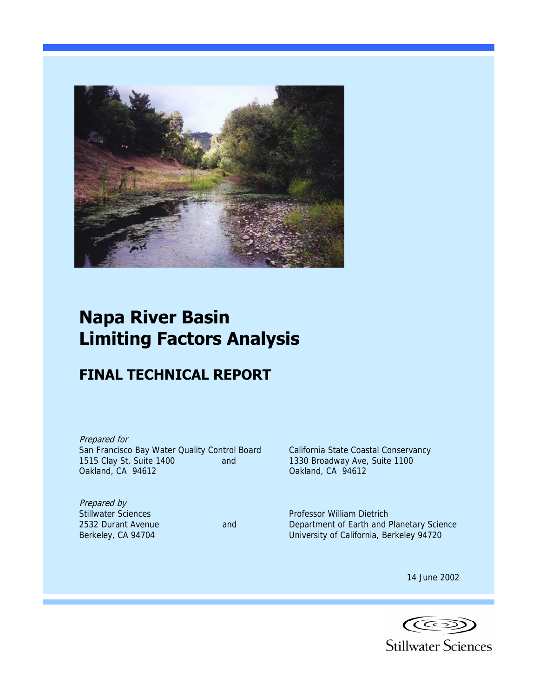

# **Napa River Basin Limiting Factors Analysis**

# **FINAL TECHNICAL REPORT**

Prepared for San Francisco Bay Water Quality Control Board California State Coastal Conservancy 1515 Clay St, Suite 1400 and 1330 Broadway Ave, Suite 1100 Oakland, CA 94612 Oakland, CA 94612

**Prepared by<br>Stillwater Sciences** 

Professor William Dietrich 2532 Durant Avenue and Department of Earth and Planetary Science Berkeley, CA 94704 University of California, Berkeley 94720

14 June 2002

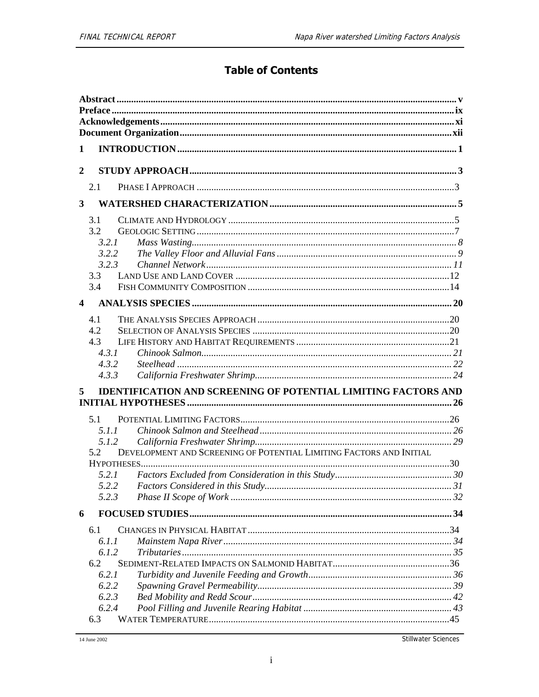## **Table of Contents**

| 1                       |                                                                         |                                                                                                                |  |  |  |  |
|-------------------------|-------------------------------------------------------------------------|----------------------------------------------------------------------------------------------------------------|--|--|--|--|
| $\boldsymbol{2}$        |                                                                         |                                                                                                                |  |  |  |  |
|                         | 2.1                                                                     |                                                                                                                |  |  |  |  |
| 3                       |                                                                         |                                                                                                                |  |  |  |  |
|                         | 3.1<br>3.2<br>3.2.1<br>3.2.2<br>3.2.3<br>3.3<br>3.4                     |                                                                                                                |  |  |  |  |
| $\overline{\mathbf{4}}$ |                                                                         |                                                                                                                |  |  |  |  |
|                         | 4.1<br>4.2<br>4.3<br>4.3.1<br>4.3.2<br>4.3.3                            |                                                                                                                |  |  |  |  |
| 5                       |                                                                         | <b>IDENTIFICATION AND SCREENING OF POTENTIAL LIMITING FACTORS AND</b>                                          |  |  |  |  |
|                         | 5.1<br>5.1.1<br>5.1.2<br>5.2<br>5.2.1<br>5.2.2                          | DEVELOPMENT AND SCREENING OF POTENTIAL LIMITING FACTORS AND INITIAL<br><b>Factors Considered in this Study</b> |  |  |  |  |
|                         | 5.2.3                                                                   |                                                                                                                |  |  |  |  |
| 6                       |                                                                         |                                                                                                                |  |  |  |  |
|                         | 6.1<br>6.1.1<br>6.1.2<br>6.2<br>6.2.1<br>6.2.2<br>6.2.3<br>6.2.4<br>6.3 |                                                                                                                |  |  |  |  |

Stillwater Sciences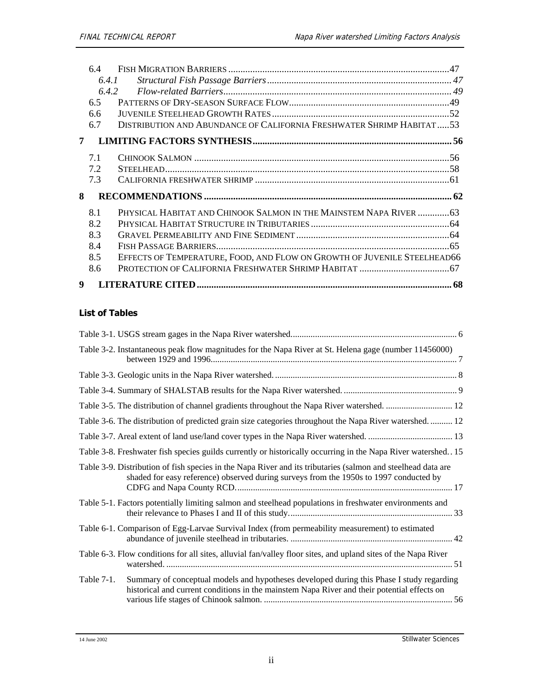|   | 64  |                                                                          |  |
|---|-----|--------------------------------------------------------------------------|--|
|   |     | 6.4.1                                                                    |  |
|   |     | 6.4.2                                                                    |  |
|   | 6.5 |                                                                          |  |
|   | 6.6 |                                                                          |  |
|   | 6.7 | DISTRIBUTION AND ABUNDANCE OF CALIFORNIA FRESHWATER SHRIMP HABITAT53     |  |
| 7 |     |                                                                          |  |
|   | 7.1 |                                                                          |  |
|   | 7.2 |                                                                          |  |
|   | 7.3 |                                                                          |  |
| 8 |     |                                                                          |  |
|   | 8.1 | PHYSICAL HABITAT AND CHINOOK SALMON IN THE MAINSTEM NAPA RIVER 63        |  |
|   | 8.2 |                                                                          |  |
|   | 8.3 |                                                                          |  |
|   | 8.4 |                                                                          |  |
|   | 8.5 | EFFECTS OF TEMPERATURE, FOOD, AND FLOW ON GROWTH OF JUVENILE STEELHEAD66 |  |
|   | 8.6 |                                                                          |  |
| 9 |     |                                                                          |  |

### **List of Tables**

|               | Table 3-2. Instantaneous peak flow magnitudes for the Napa River at St. Helena gage (number 11456000)                                                                                                  |  |
|---------------|--------------------------------------------------------------------------------------------------------------------------------------------------------------------------------------------------------|--|
|               |                                                                                                                                                                                                        |  |
|               |                                                                                                                                                                                                        |  |
|               |                                                                                                                                                                                                        |  |
|               | Table 3-6. The distribution of predicted grain size categories throughout the Napa River watershed 12                                                                                                  |  |
|               |                                                                                                                                                                                                        |  |
|               | Table 3-8. Freshwater fish species guilds currently or historically occurring in the Napa River watershed 15                                                                                           |  |
|               | Table 3-9. Distribution of fish species in the Napa River and its tributaries (salmon and steelhead data are<br>shaded for easy reference) observed during surveys from the 1950s to 1997 conducted by |  |
|               | Table 5-1. Factors potentially limiting salmon and steelhead populations in freshwater environments and                                                                                                |  |
|               | Table 6-1. Comparison of Egg-Larvae Survival Index (from permeability measurement) to estimated                                                                                                        |  |
|               | Table 6-3. Flow conditions for all sites, alluvial fan/valley floor sites, and upland sites of the Napa River                                                                                          |  |
| Table $7-1$ . | Summary of conceptual models and hypotheses developed during this Phase I study regarding<br>historical and current conditions in the mainstem Napa River and their potential effects on               |  |

14 June 2002 Stillwater Sciences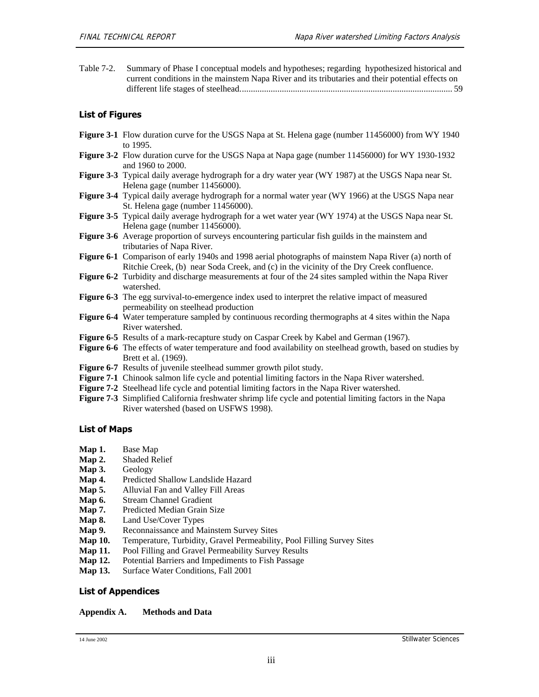Table 7-2. Summary of Phase I conceptual models and hypotheses; regarding hypothesized historical and current conditions in the mainstem Napa River and its tributaries and their potential effects on different life stages of steelhead................................................................................................ 59

#### **List of Figures**

- **Figure 3-1** Flow duration curve for the USGS Napa at St. Helena gage (number 11456000) from WY 1940 to 1995.
- **Figure 3-2** Flow duration curve for the USGS Napa at Napa gage (number 11456000) for WY 1930-1932 and 1960 to 2000.
- **Figure 3-3** Typical daily average hydrograph for a dry water year (WY 1987) at the USGS Napa near St. Helena gage (number 11456000).
- **Figure 3-4** Typical daily average hydrograph for a normal water year (WY 1966) at the USGS Napa near St. Helena gage (number 11456000).
- **Figure 3-5** Typical daily average hydrograph for a wet water year (WY 1974) at the USGS Napa near St. Helena gage (number 11456000).
- **Figure 3-6** Average proportion of surveys encountering particular fish guilds in the mainstem and tributaries of Napa River.
- **Figure 6-1** Comparison of early 1940s and 1998 aerial photographs of mainstem Napa River (a) north of Ritchie Creek, (b) near Soda Creek, and (c) in the vicinity of the Dry Creek confluence.
- **Figure 6-2** Turbidity and discharge measurements at four of the 24 sites sampled within the Napa River watershed.
- **Figure 6-3** The egg survival-to-emergence index used to interpret the relative impact of measured permeability on steelhead production
- **Figure 6-4** Water temperature sampled by continuous recording thermographs at 4 sites within the Napa River watershed.
- **Figure 6-5** Results of a mark-recapture study on Caspar Creek by Kabel and German (1967).
- Figure 6-6 The effects of water temperature and food availability on steelhead growth, based on studies by Brett et al. (1969).
- **Figure 6-7** Results of juvenile steelhead summer growth pilot study.
- **Figure 7-1** Chinook salmon life cycle and potential limiting factors in the Napa River watershed.
- **Figure 7-2** Steelhead life cycle and potential limiting factors in the Napa River watershed.
- **Figure 7-3** Simplified California freshwater shrimp life cycle and potential limiting factors in the Napa River watershed (based on USFWS 1998).

#### **List of Maps**

- **Map 1.** Base Map
- **Map 2.** Shaded Relief
- **Map 3.** Geology
- **Map 4.** Predicted Shallow Landslide Hazard
- **Map 5.** Alluvial Fan and Valley Fill Areas
- **Map 6.** Stream Channel Gradient
- Map 7. Predicted Median Grain Size
- **Map 8.** Land Use/Cover Types
- Map 9. Reconnaissance and Mainstem Survey Sites
- **Map 10.** Temperature, Turbidity, Gravel Permeability, Pool Filling Survey Sites
- **Map 11.** Pool Filling and Gravel Permeability Survey Results
- **Map 12.** Potential Barriers and Impediments to Fish Passage
- **Map 13.** Surface Water Conditions, Fall 2001

#### **List of Appendices**

#### **Appendix A. Methods and Data**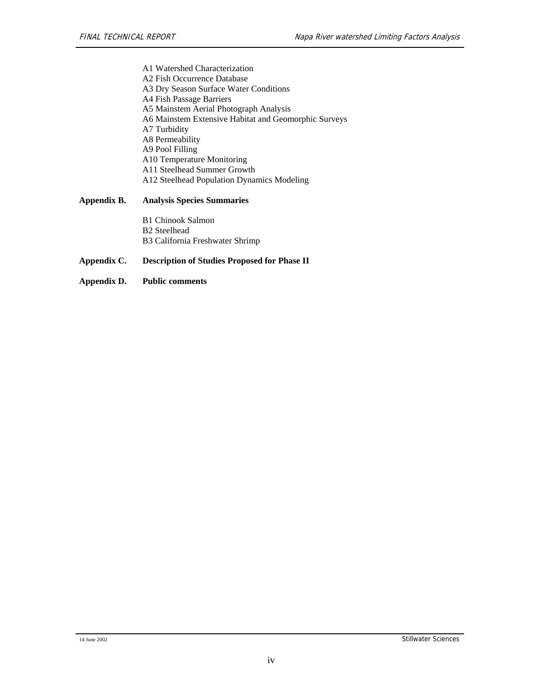A1 Watershed Characterization A2 Fish Occurrence Database A3 Dry Season Surface Water Conditions A4 Fish Passage Barriers A5 Mainstem Aerial Photograph Analysis A6 Mainstem Extensive Habitat and Geomorphic Surveys A7 Turbidity A8 Permeability A9 Pool Filling A10 Temperature Monitoring A11 Steelhead Summer Growth A12 Steelhead Population Dynamics Modeling

#### **Appendix B. Analysis Species Summaries**

B1 Chinook Salmon B2 Steelhead B3 California Freshwater Shrimp

#### **Appendix C. Description of Studies Proposed for Phase II**

**Appendix D. Public comments**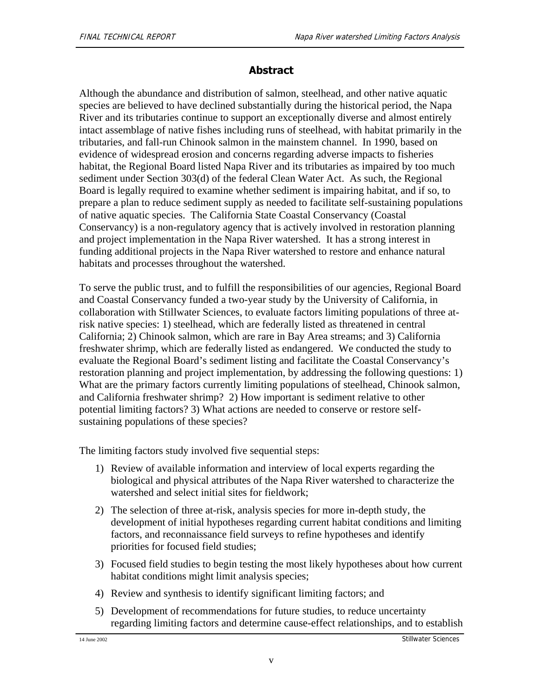### **Abstract**

Although the abundance and distribution of salmon, steelhead, and other native aquatic species are believed to have declined substantially during the historical period, the Napa River and its tributaries continue to support an exceptionally diverse and almost entirely intact assemblage of native fishes including runs of steelhead, with habitat primarily in the tributaries, and fall-run Chinook salmon in the mainstem channel. In 1990, based on evidence of widespread erosion and concerns regarding adverse impacts to fisheries habitat, the Regional Board listed Napa River and its tributaries as impaired by too much sediment under Section 303(d) of the federal Clean Water Act. As such, the Regional Board is legally required to examine whether sediment is impairing habitat, and if so, to prepare a plan to reduce sediment supply as needed to facilitate self-sustaining populations of native aquatic species. The California State Coastal Conservancy (Coastal Conservancy) is a non-regulatory agency that is actively involved in restoration planning and project implementation in the Napa River watershed. It has a strong interest in funding additional projects in the Napa River watershed to restore and enhance natural habitats and processes throughout the watershed.

To serve the public trust, and to fulfill the responsibilities of our agencies, Regional Board and Coastal Conservancy funded a two-year study by the University of California, in collaboration with Stillwater Sciences, to evaluate factors limiting populations of three atrisk native species: 1) steelhead, which are federally listed as threatened in central California; 2) Chinook salmon, which are rare in Bay Area streams; and 3) California freshwater shrimp, which are federally listed as endangered. We conducted the study to evaluate the Regional Board's sediment listing and facilitate the Coastal Conservancy's restoration planning and project implementation, by addressing the following questions: 1) What are the primary factors currently limiting populations of steelhead, Chinook salmon, and California freshwater shrimp? 2) How important is sediment relative to other potential limiting factors? 3) What actions are needed to conserve or restore selfsustaining populations of these species?

The limiting factors study involved five sequential steps:

- 1) Review of available information and interview of local experts regarding the biological and physical attributes of the Napa River watershed to characterize the watershed and select initial sites for fieldwork;
- 2) The selection of three at-risk, analysis species for more in-depth study, the development of initial hypotheses regarding current habitat conditions and limiting factors, and reconnaissance field surveys to refine hypotheses and identify priorities for focused field studies;
- 3) Focused field studies to begin testing the most likely hypotheses about how current habitat conditions might limit analysis species;
- 4) Review and synthesis to identify significant limiting factors; and
- 5) Development of recommendations for future studies, to reduce uncertainty regarding limiting factors and determine cause-effect relationships, and to establish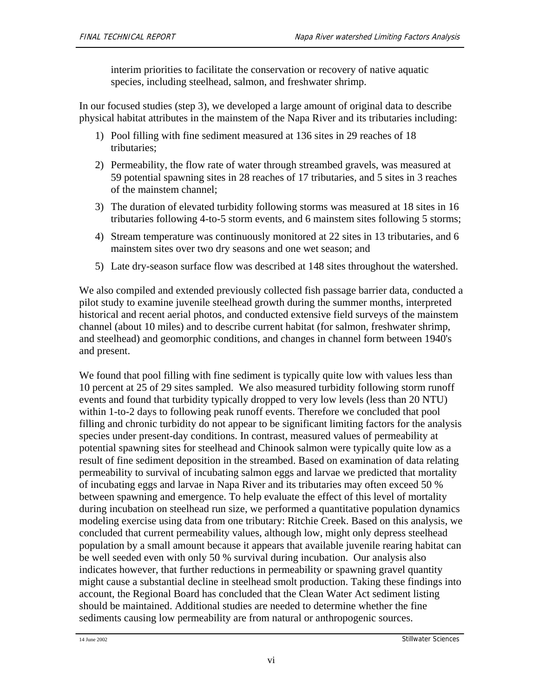interim priorities to facilitate the conservation or recovery of native aquatic species, including steelhead, salmon, and freshwater shrimp.

In our focused studies (step 3), we developed a large amount of original data to describe physical habitat attributes in the mainstem of the Napa River and its tributaries including:

- 1) Pool filling with fine sediment measured at 136 sites in 29 reaches of 18 tributaries;
- 2) Permeability, the flow rate of water through streambed gravels, was measured at 59 potential spawning sites in 28 reaches of 17 tributaries, and 5 sites in 3 reaches of the mainstem channel;
- 3) The duration of elevated turbidity following storms was measured at 18 sites in 16 tributaries following 4-to-5 storm events, and 6 mainstem sites following 5 storms;
- 4) Stream temperature was continuously monitored at 22 sites in 13 tributaries, and 6 mainstem sites over two dry seasons and one wet season; and
- 5) Late dry-season surface flow was described at 148 sites throughout the watershed.

We also compiled and extended previously collected fish passage barrier data, conducted a pilot study to examine juvenile steelhead growth during the summer months, interpreted historical and recent aerial photos, and conducted extensive field surveys of the mainstem channel (about 10 miles) and to describe current habitat (for salmon, freshwater shrimp, and steelhead) and geomorphic conditions, and changes in channel form between 1940's and present.

We found that pool filling with fine sediment is typically quite low with values less than 10 percent at 25 of 29 sites sampled. We also measured turbidity following storm runoff events and found that turbidity typically dropped to very low levels (less than 20 NTU) within 1-to-2 days to following peak runoff events. Therefore we concluded that pool filling and chronic turbidity do not appear to be significant limiting factors for the analysis species under present-day conditions. In contrast, measured values of permeability at potential spawning sites for steelhead and Chinook salmon were typically quite low as a result of fine sediment deposition in the streambed. Based on examination of data relating permeability to survival of incubating salmon eggs and larvae we predicted that mortality of incubating eggs and larvae in Napa River and its tributaries may often exceed 50 % between spawning and emergence. To help evaluate the effect of this level of mortality during incubation on steelhead run size, we performed a quantitative population dynamics modeling exercise using data from one tributary: Ritchie Creek. Based on this analysis, we concluded that current permeability values, although low, might only depress steelhead population by a small amount because it appears that available juvenile rearing habitat can be well seeded even with only 50 % survival during incubation. Our analysis also indicates however, that further reductions in permeability or spawning gravel quantity might cause a substantial decline in steelhead smolt production. Taking these findings into account, the Regional Board has concluded that the Clean Water Act sediment listing should be maintained. Additional studies are needed to determine whether the fine sediments causing low permeability are from natural or anthropogenic sources.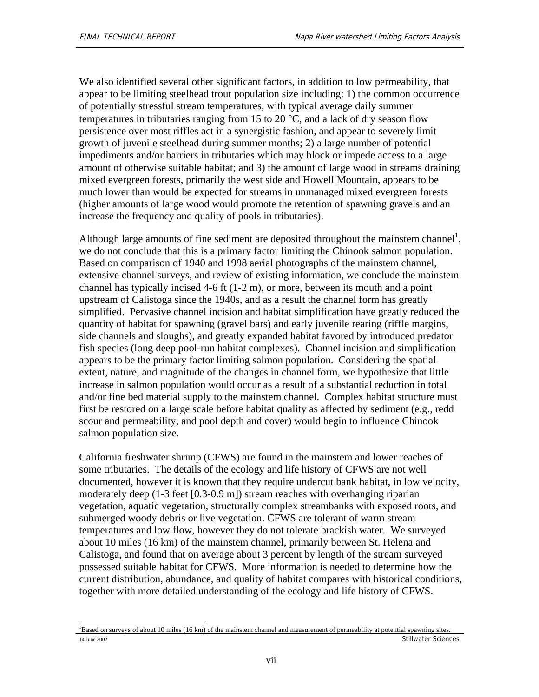We also identified several other significant factors, in addition to low permeability, that appear to be limiting steelhead trout population size including: 1) the common occurrence of potentially stressful stream temperatures, with typical average daily summer temperatures in tributaries ranging from 15 to 20  $\degree$ C, and a lack of dry season flow persistence over most riffles act in a synergistic fashion, and appear to severely limit growth of juvenile steelhead during summer months; 2) a large number of potential impediments and/or barriers in tributaries which may block or impede access to a large amount of otherwise suitable habitat; and 3) the amount of large wood in streams draining mixed evergreen forests, primarily the west side and Howell Mountain, appears to be much lower than would be expected for streams in unmanaged mixed evergreen forests (higher amounts of large wood would promote the retention of spawning gravels and an increase the frequency and quality of pools in tributaries).

Although large amounts of fine sediment are deposited throughout the mainstem channel<sup>1</sup>, we do not conclude that this is a primary factor limiting the Chinook salmon population. Based on comparison of 1940 and 1998 aerial photographs of the mainstem channel, extensive channel surveys, and review of existing information, we conclude the mainstem channel has typically incised 4-6 ft (1-2 m), or more, between its mouth and a point upstream of Calistoga since the 1940s, and as a result the channel form has greatly simplified. Pervasive channel incision and habitat simplification have greatly reduced the quantity of habitat for spawning (gravel bars) and early juvenile rearing (riffle margins, side channels and sloughs), and greatly expanded habitat favored by introduced predator fish species (long deep pool-run habitat complexes). Channel incision and simplification appears to be the primary factor limiting salmon population. Considering the spatial extent, nature, and magnitude of the changes in channel form, we hypothesize that little increase in salmon population would occur as a result of a substantial reduction in total and/or fine bed material supply to the mainstem channel. Complex habitat structure must first be restored on a large scale before habitat quality as affected by sediment (e.g., redd scour and permeability, and pool depth and cover) would begin to influence Chinook salmon population size.

California freshwater shrimp (CFWS) are found in the mainstem and lower reaches of some tributaries. The details of the ecology and life history of CFWS are not well documented, however it is known that they require undercut bank habitat, in low velocity, moderately deep (1-3 feet [0.3-0.9 m]) stream reaches with overhanging riparian vegetation, aquatic vegetation, structurally complex streambanks with exposed roots, and submerged woody debris or live vegetation. CFWS are tolerant of warm stream temperatures and low flow, however they do not tolerate brackish water. We surveyed about 10 miles (16 km) of the mainstem channel, primarily between St. Helena and Calistoga, and found that on average about 3 percent by length of the stream surveyed possessed suitable habitat for CFWS. More information is needed to determine how the current distribution, abundance, and quality of habitat compares with historical conditions, together with more detailed understanding of the ecology and life history of CFWS.

<sup>14</sup> June 2002 Stillwater Sciences l <sup>1</sup>Based on surveys of about 10 miles (16 km) of the mainstem channel and measurement of permeability at potential spawning sites.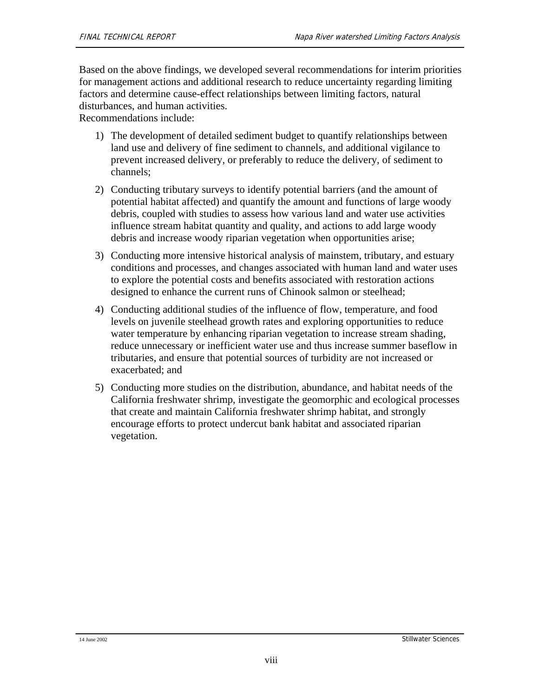Based on the above findings, we developed several recommendations for interim priorities for management actions and additional research to reduce uncertainty regarding limiting factors and determine cause-effect relationships between limiting factors, natural disturbances, and human activities.

Recommendations include:

- 1) The development of detailed sediment budget to quantify relationships between land use and delivery of fine sediment to channels, and additional vigilance to prevent increased delivery, or preferably to reduce the delivery, of sediment to channels;
- 2) Conducting tributary surveys to identify potential barriers (and the amount of potential habitat affected) and quantify the amount and functions of large woody debris, coupled with studies to assess how various land and water use activities influence stream habitat quantity and quality, and actions to add large woody debris and increase woody riparian vegetation when opportunities arise;
- 3) Conducting more intensive historical analysis of mainstem, tributary, and estuary conditions and processes, and changes associated with human land and water uses to explore the potential costs and benefits associated with restoration actions designed to enhance the current runs of Chinook salmon or steelhead;
- 4) Conducting additional studies of the influence of flow, temperature, and food levels on juvenile steelhead growth rates and exploring opportunities to reduce water temperature by enhancing riparian vegetation to increase stream shading, reduce unnecessary or inefficient water use and thus increase summer baseflow in tributaries, and ensure that potential sources of turbidity are not increased or exacerbated; and
- 5) Conducting more studies on the distribution, abundance, and habitat needs of the California freshwater shrimp, investigate the geomorphic and ecological processes that create and maintain California freshwater shrimp habitat, and strongly encourage efforts to protect undercut bank habitat and associated riparian vegetation.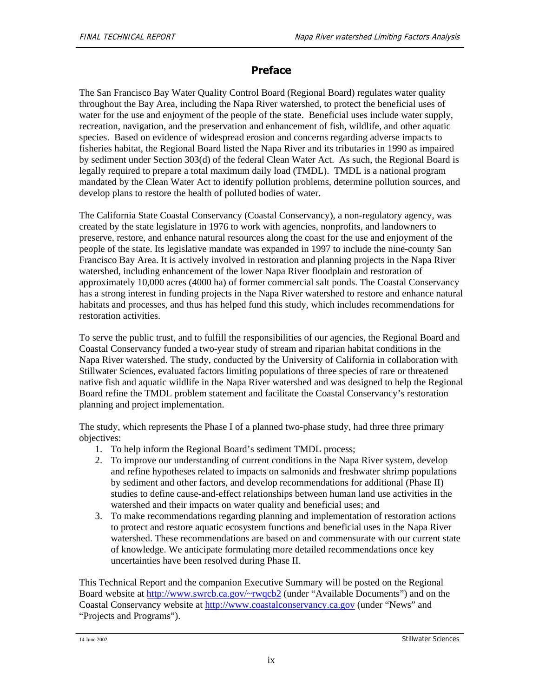### **Preface**

The San Francisco Bay Water Quality Control Board (Regional Board) regulates water quality throughout the Bay Area, including the Napa River watershed, to protect the beneficial uses of water for the use and enjoyment of the people of the state. Beneficial uses include water supply, recreation, navigation, and the preservation and enhancement of fish, wildlife, and other aquatic species. Based on evidence of widespread erosion and concerns regarding adverse impacts to fisheries habitat, the Regional Board listed the Napa River and its tributaries in 1990 as impaired by sediment under Section 303(d) of the federal Clean Water Act. As such, the Regional Board is legally required to prepare a total maximum daily load (TMDL). TMDL is a national program mandated by the Clean Water Act to identify pollution problems, determine pollution sources, and develop plans to restore the health of polluted bodies of water.

The California State Coastal Conservancy (Coastal Conservancy), a non-regulatory agency, was created by the state legislature in 1976 to work with agencies, nonprofits, and landowners to preserve, restore, and enhance natural resources along the coast for the use and enjoyment of the people of the state. Its legislative mandate was expanded in 1997 to include the nine-county San Francisco Bay Area. It is actively involved in restoration and planning projects in the Napa River watershed, including enhancement of the lower Napa River floodplain and restoration of approximately 10,000 acres (4000 ha) of former commercial salt ponds. The Coastal Conservancy has a strong interest in funding projects in the Napa River watershed to restore and enhance natural habitats and processes, and thus has helped fund this study, which includes recommendations for restoration activities.

To serve the public trust, and to fulfill the responsibilities of our agencies, the Regional Board and Coastal Conservancy funded a two-year study of stream and riparian habitat conditions in the Napa River watershed. The study, conducted by the University of California in collaboration with Stillwater Sciences, evaluated factors limiting populations of three species of rare or threatened native fish and aquatic wildlife in the Napa River watershed and was designed to help the Regional Board refine the TMDL problem statement and facilitate the Coastal Conservancy's restoration planning and project implementation.

The study, which represents the Phase I of a planned two-phase study, had three three primary objectives:

- 1. To help inform the Regional Board's sediment TMDL process;
- 2. To improve our understanding of current conditions in the Napa River system, develop and refine hypotheses related to impacts on salmonids and freshwater shrimp populations by sediment and other factors, and develop recommendations for additional (Phase II) studies to define cause-and-effect relationships between human land use activities in the watershed and their impacts on water quality and beneficial uses; and
- 3. To make recommendations regarding planning and implementation of restoration actions to protect and restore aquatic ecosystem functions and beneficial uses in the Napa River watershed. These recommendations are based on and commensurate with our current state of knowledge. We anticipate formulating more detailed recommendations once key uncertainties have been resolved during Phase II.

This Technical Report and the companion Executive Summary will be posted on the Regional Board website at http://www.swrcb.ca.gov/~rwqcb2 (under "Available Documents") and on the Coastal Conservancy website at http://www.coastalconservancy.ca.gov (under "News" and "Projects and Programs").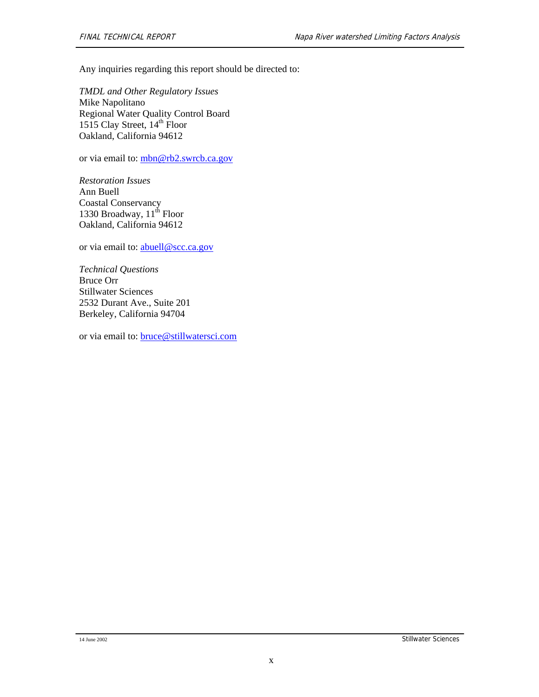Any inquiries regarding this report should be directed to:

*TMDL and Other Regulatory Issues*  Mike Napolitano Regional Water Quality Control Board 1515 Clay Street,  $14<sup>th</sup>$  Floor Oakland, California 94612

or via email to: mbn@rb2.swrcb.ca.gov

*Restoration Issues*  Ann Buell Coastal Conservancy 1330 Broadway,  $11^{th}$  Floor Oakland, California 94612

or via email to: abuell@scc.ca.gov

*Technical Questions*  Bruce Orr Stillwater Sciences 2532 Durant Ave., Suite 201 Berkeley, California 94704

or via email to: bruce@stillwatersci.com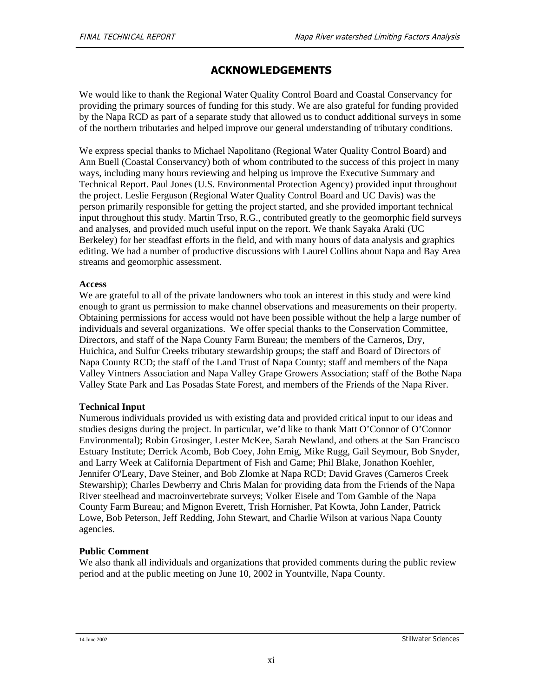### **ACKNOWLEDGEMENTS**

We would like to thank the Regional Water Quality Control Board and Coastal Conservancy for providing the primary sources of funding for this study. We are also grateful for funding provided by the Napa RCD as part of a separate study that allowed us to conduct additional surveys in some of the northern tributaries and helped improve our general understanding of tributary conditions.

We express special thanks to Michael Napolitano (Regional Water Quality Control Board) and Ann Buell (Coastal Conservancy) both of whom contributed to the success of this project in many ways, including many hours reviewing and helping us improve the Executive Summary and Technical Report. Paul Jones (U.S. Environmental Protection Agency) provided input throughout the project. Leslie Ferguson (Regional Water Quality Control Board and UC Davis) was the person primarily responsible for getting the project started, and she provided important technical input throughout this study. Martin Trso, R.G., contributed greatly to the geomorphic field surveys and analyses, and provided much useful input on the report. We thank Sayaka Araki (UC Berkeley) for her steadfast efforts in the field, and with many hours of data analysis and graphics editing. We had a number of productive discussions with Laurel Collins about Napa and Bay Area streams and geomorphic assessment.

### **Access**

We are grateful to all of the private landowners who took an interest in this study and were kind enough to grant us permission to make channel observations and measurements on their property. Obtaining permissions for access would not have been possible without the help a large number of individuals and several organizations. We offer special thanks to the Conservation Committee, Directors, and staff of the Napa County Farm Bureau; the members of the Carneros, Dry, Huichica, and Sulfur Creeks tributary stewardship groups; the staff and Board of Directors of Napa County RCD; the staff of the Land Trust of Napa County; staff and members of the Napa Valley Vintners Association and Napa Valley Grape Growers Association; staff of the Bothe Napa Valley State Park and Las Posadas State Forest, and members of the Friends of the Napa River.

### **Technical Input**

Numerous individuals provided us with existing data and provided critical input to our ideas and studies designs during the project. In particular, we'd like to thank Matt O'Connor of O'Connor Environmental); Robin Grosinger, Lester McKee, Sarah Newland, and others at the San Francisco Estuary Institute; Derrick Acomb, Bob Coey, John Emig, Mike Rugg, Gail Seymour, Bob Snyder, and Larry Week at California Department of Fish and Game; Phil Blake, Jonathon Koehler, Jennifer O'Leary, Dave Steiner, and Bob Zlomke at Napa RCD; David Graves (Carneros Creek Stewarship); Charles Dewberry and Chris Malan for providing data from the Friends of the Napa River steelhead and macroinvertebrate surveys; Volker Eisele and Tom Gamble of the Napa County Farm Bureau; and Mignon Everett, Trish Hornisher, Pat Kowta, John Lander, Patrick Lowe, Bob Peterson, Jeff Redding, John Stewart, and Charlie Wilson at various Napa County agencies.

### **Public Comment**

We also thank all individuals and organizations that provided comments during the public review period and at the public meeting on June 10, 2002 in Yountville, Napa County.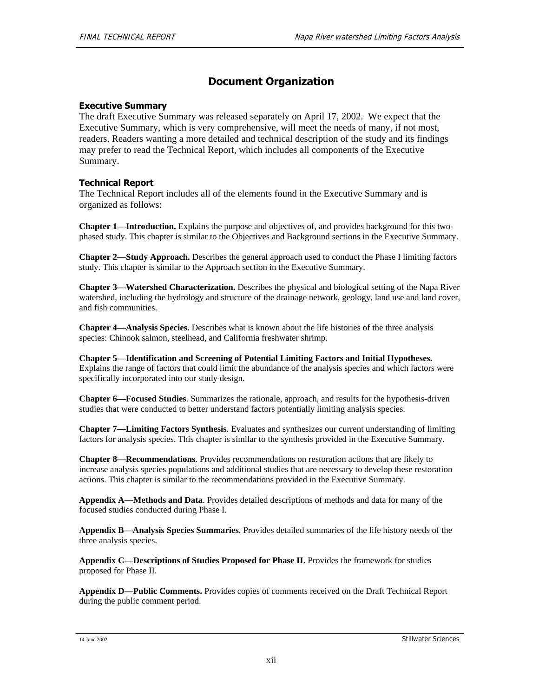### **Document Organization**

#### **Executive Summary**

The draft Executive Summary was released separately on April 17, 2002. We expect that the Executive Summary, which is very comprehensive, will meet the needs of many, if not most, readers. Readers wanting a more detailed and technical description of the study and its findings may prefer to read the Technical Report, which includes all components of the Executive Summary.

#### **Technical Report**

The Technical Report includes all of the elements found in the Executive Summary and is organized as follows:

**Chapter 1—Introduction.** Explains the purpose and objectives of, and provides background for this twophased study. This chapter is similar to the Objectives and Background sections in the Executive Summary.

**Chapter 2—Study Approach.** Describes the general approach used to conduct the Phase I limiting factors study. This chapter is similar to the Approach section in the Executive Summary.

**Chapter 3—Watershed Characterization.** Describes the physical and biological setting of the Napa River watershed, including the hydrology and structure of the drainage network, geology, land use and land cover, and fish communities.

**Chapter 4—Analysis Species.** Describes what is known about the life histories of the three analysis species: Chinook salmon, steelhead, and California freshwater shrimp.

**Chapter 5—Identification and Screening of Potential Limiting Factors and Initial Hypotheses.** Explains the range of factors that could limit the abundance of the analysis species and which factors were specifically incorporated into our study design.

**Chapter 6—Focused Studies**. Summarizes the rationale, approach, and results for the hypothesis-driven studies that were conducted to better understand factors potentially limiting analysis species.

**Chapter 7—Limiting Factors Synthesis**. Evaluates and synthesizes our current understanding of limiting factors for analysis species. This chapter is similar to the synthesis provided in the Executive Summary.

**Chapter 8—Recommendations**. Provides recommendations on restoration actions that are likely to increase analysis species populations and additional studies that are necessary to develop these restoration actions. This chapter is similar to the recommendations provided in the Executive Summary.

**Appendix A—Methods and Data**. Provides detailed descriptions of methods and data for many of the focused studies conducted during Phase I.

**Appendix B—Analysis Species Summaries**. Provides detailed summaries of the life history needs of the three analysis species.

**Appendix C—Descriptions of Studies Proposed for Phase II**. Provides the framework for studies proposed for Phase II.

**Appendix D—Public Comments.** Provides copies of comments received on the Draft Technical Report during the public comment period.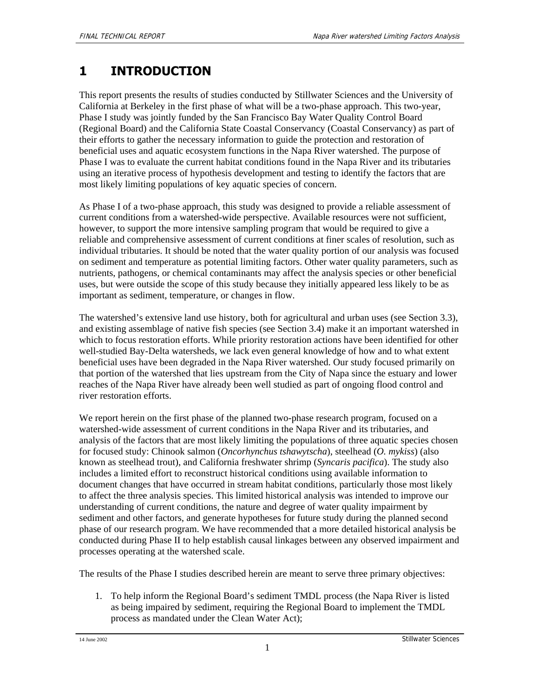# **1 INTRODUCTION**

This report presents the results of studies conducted by Stillwater Sciences and the University of California at Berkeley in the first phase of what will be a two-phase approach. This two-year, Phase I study was jointly funded by the San Francisco Bay Water Quality Control Board (Regional Board) and the California State Coastal Conservancy (Coastal Conservancy) as part of their efforts to gather the necessary information to guide the protection and restoration of beneficial uses and aquatic ecosystem functions in the Napa River watershed. The purpose of Phase I was to evaluate the current habitat conditions found in the Napa River and its tributaries using an iterative process of hypothesis development and testing to identify the factors that are most likely limiting populations of key aquatic species of concern.

As Phase I of a two-phase approach, this study was designed to provide a reliable assessment of current conditions from a watershed-wide perspective. Available resources were not sufficient, however, to support the more intensive sampling program that would be required to give a reliable and comprehensive assessment of current conditions at finer scales of resolution, such as individual tributaries. It should be noted that the water quality portion of our analysis was focused on sediment and temperature as potential limiting factors. Other water quality parameters, such as nutrients, pathogens, or chemical contaminants may affect the analysis species or other beneficial uses, but were outside the scope of this study because they initially appeared less likely to be as important as sediment, temperature, or changes in flow.

The watershed's extensive land use history, both for agricultural and urban uses (see Section 3.3), and existing assemblage of native fish species (see Section 3.4) make it an important watershed in which to focus restoration efforts. While priority restoration actions have been identified for other well-studied Bay-Delta watersheds, we lack even general knowledge of how and to what extent beneficial uses have been degraded in the Napa River watershed. Our study focused primarily on that portion of the watershed that lies upstream from the City of Napa since the estuary and lower reaches of the Napa River have already been well studied as part of ongoing flood control and river restoration efforts.

We report herein on the first phase of the planned two-phase research program, focused on a watershed-wide assessment of current conditions in the Napa River and its tributaries, and analysis of the factors that are most likely limiting the populations of three aquatic species chosen for focused study: Chinook salmon (*Oncorhynchus tshawytscha*), steelhead (*O. mykiss*) (also known as steelhead trout), and California freshwater shrimp (*Syncaris pacifica*). The study also includes a limited effort to reconstruct historical conditions using available information to document changes that have occurred in stream habitat conditions, particularly those most likely to affect the three analysis species. This limited historical analysis was intended to improve our understanding of current conditions, the nature and degree of water quality impairment by sediment and other factors, and generate hypotheses for future study during the planned second phase of our research program. We have recommended that a more detailed historical analysis be conducted during Phase II to help establish causal linkages between any observed impairment and processes operating at the watershed scale.

The results of the Phase I studies described herein are meant to serve three primary objectives:

1. To help inform the Regional Board's sediment TMDL process (the Napa River is listed as being impaired by sediment, requiring the Regional Board to implement the TMDL process as mandated under the Clean Water Act);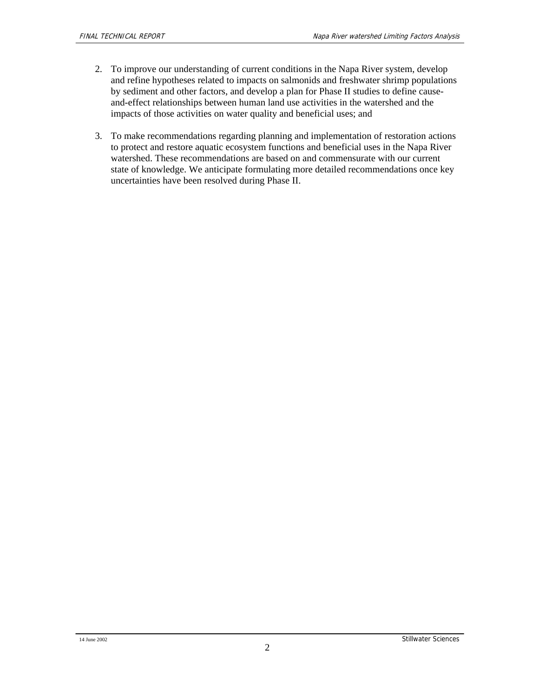- 2. To improve our understanding of current conditions in the Napa River system, develop and refine hypotheses related to impacts on salmonids and freshwater shrimp populations by sediment and other factors, and develop a plan for Phase II studies to define causeand-effect relationships between human land use activities in the watershed and the impacts of those activities on water quality and beneficial uses; and
- 3. To make recommendations regarding planning and implementation of restoration actions to protect and restore aquatic ecosystem functions and beneficial uses in the Napa River watershed. These recommendations are based on and commensurate with our current state of knowledge. We anticipate formulating more detailed recommendations once key uncertainties have been resolved during Phase II.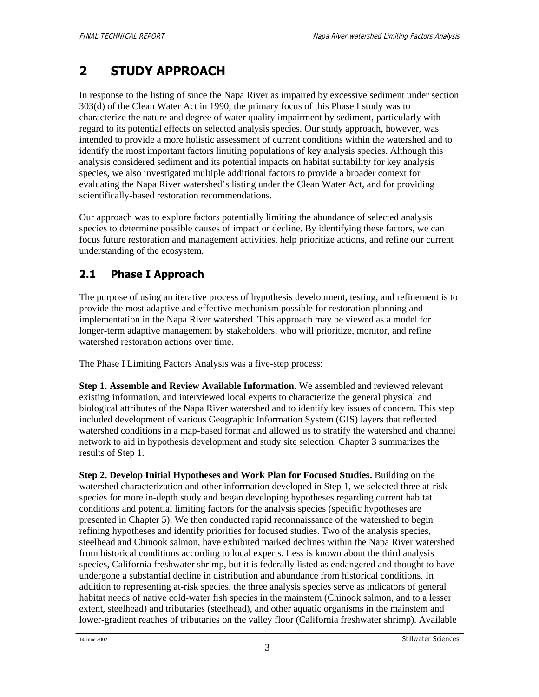# **2 STUDY APPROACH**

In response to the listing of since the Napa River as impaired by excessive sediment under section 303(d) of the Clean Water Act in 1990, the primary focus of this Phase I study was to characterize the nature and degree of water quality impairment by sediment, particularly with regard to its potential effects on selected analysis species. Our study approach, however, was intended to provide a more holistic assessment of current conditions within the watershed and to identify the most important factors limiting populations of key analysis species. Although this analysis considered sediment and its potential impacts on habitat suitability for key analysis species, we also investigated multiple additional factors to provide a broader context for evaluating the Napa River watershed's listing under the Clean Water Act, and for providing scientifically-based restoration recommendations.

Our approach was to explore factors potentially limiting the abundance of selected analysis species to determine possible causes of impact or decline. By identifying these factors, we can focus future restoration and management activities, help prioritize actions, and refine our current understanding of the ecosystem.

# **2.1 Phase I Approach**

The purpose of using an iterative process of hypothesis development, testing, and refinement is to provide the most adaptive and effective mechanism possible for restoration planning and implementation in the Napa River watershed. This approach may be viewed as a model for longer-term adaptive management by stakeholders, who will prioritize, monitor, and refine watershed restoration actions over time.

The Phase I Limiting Factors Analysis was a five-step process:

**Step 1. Assemble and Review Available Information.** We assembled and reviewed relevant existing information, and interviewed local experts to characterize the general physical and biological attributes of the Napa River watershed and to identify key issues of concern. This step included development of various Geographic Information System (GIS) layers that reflected watershed conditions in a map-based format and allowed us to stratify the watershed and channel network to aid in hypothesis development and study site selection. Chapter 3 summarizes the results of Step 1.

**Step 2. Develop Initial Hypotheses and Work Plan for Focused Studies.** Building on the watershed characterization and other information developed in Step 1, we selected three at-risk species for more in-depth study and began developing hypotheses regarding current habitat conditions and potential limiting factors for the analysis species (specific hypotheses are presented in Chapter 5). We then conducted rapid reconnaissance of the watershed to begin refining hypotheses and identify priorities for focused studies. Two of the analysis species, steelhead and Chinook salmon, have exhibited marked declines within the Napa River watershed from historical conditions according to local experts. Less is known about the third analysis species, California freshwater shrimp, but it is federally listed as endangered and thought to have undergone a substantial decline in distribution and abundance from historical conditions. In addition to representing at-risk species, the three analysis species serve as indicators of general habitat needs of native cold-water fish species in the mainstem (Chinook salmon, and to a lesser extent, steelhead) and tributaries (steelhead), and other aquatic organisms in the mainstem and lower-gradient reaches of tributaries on the valley floor (California freshwater shrimp). Available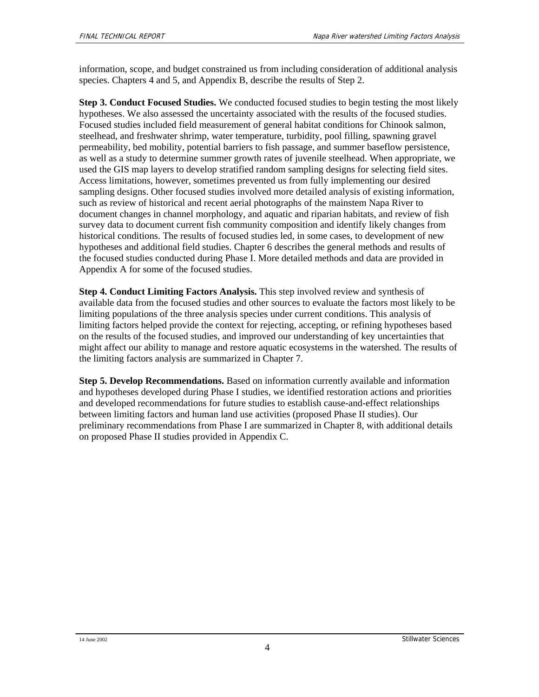information, scope, and budget constrained us from including consideration of additional analysis species. Chapters 4 and 5, and Appendix B, describe the results of Step 2.

**Step 3. Conduct Focused Studies.** We conducted focused studies to begin testing the most likely hypotheses. We also assessed the uncertainty associated with the results of the focused studies. Focused studies included field measurement of general habitat conditions for Chinook salmon, steelhead, and freshwater shrimp, water temperature, turbidity, pool filling, spawning gravel permeability, bed mobility, potential barriers to fish passage, and summer baseflow persistence, as well as a study to determine summer growth rates of juvenile steelhead. When appropriate, we used the GIS map layers to develop stratified random sampling designs for selecting field sites. Access limitations, however, sometimes prevented us from fully implementing our desired sampling designs. Other focused studies involved more detailed analysis of existing information, such as review of historical and recent aerial photographs of the mainstem Napa River to document changes in channel morphology, and aquatic and riparian habitats, and review of fish survey data to document current fish community composition and identify likely changes from historical conditions. The results of focused studies led, in some cases, to development of new hypotheses and additional field studies. Chapter 6 describes the general methods and results of the focused studies conducted during Phase I. More detailed methods and data are provided in Appendix A for some of the focused studies.

**Step 4. Conduct Limiting Factors Analysis.** This step involved review and synthesis of available data from the focused studies and other sources to evaluate the factors most likely to be limiting populations of the three analysis species under current conditions. This analysis of limiting factors helped provide the context for rejecting, accepting, or refining hypotheses based on the results of the focused studies, and improved our understanding of key uncertainties that might affect our ability to manage and restore aquatic ecosystems in the watershed. The results of the limiting factors analysis are summarized in Chapter 7.

**Step 5. Develop Recommendations.** Based on information currently available and information and hypotheses developed during Phase I studies, we identified restoration actions and priorities and developed recommendations for future studies to establish cause-and-effect relationships between limiting factors and human land use activities (proposed Phase II studies). Our preliminary recommendations from Phase I are summarized in Chapter 8, with additional details on proposed Phase II studies provided in Appendix C.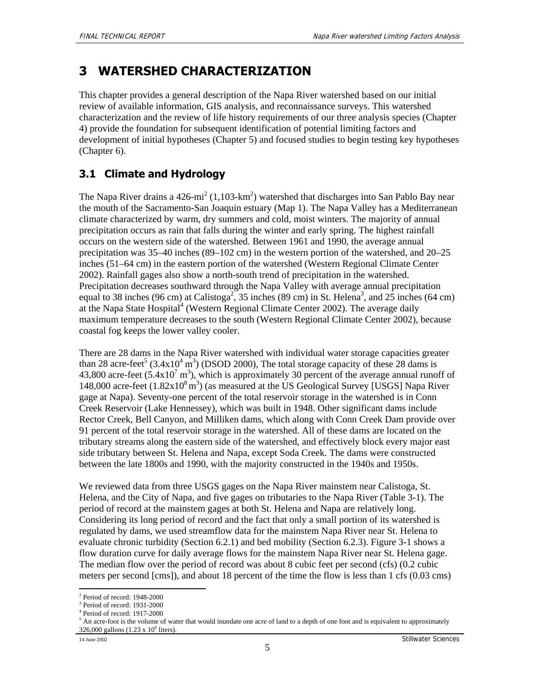# **3 WATERSHED CHARACTERIZATION**

This chapter provides a general description of the Napa River watershed based on our initial review of available information, GIS analysis, and reconnaissance surveys. This watershed characterization and the review of life history requirements of our three analysis species (Chapter 4) provide the foundation for subsequent identification of potential limiting factors and development of initial hypotheses (Chapter 5) and focused studies to begin testing key hypotheses (Chapter 6).

# **3.1 Climate and Hydrology**

The Napa River drains a  $426$ -mi<sup>2</sup> (1,103-km<sup>2</sup>) watershed that discharges into San Pablo Bay near the mouth of the Sacramento-San Joaquin estuary (Map 1). The Napa Valley has a Mediterranean climate characterized by warm, dry summers and cold, moist winters. The majority of annual precipitation occurs as rain that falls during the winter and early spring. The highest rainfall occurs on the western side of the watershed. Between 1961 and 1990, the average annual precipitation was 35–40 inches (89–102 cm) in the western portion of the watershed, and 20–25 inches (51–64 cm) in the eastern portion of the watershed (Western Regional Climate Center 2002). Rainfall gages also show a north-south trend of precipitation in the watershed. Precipitation decreases southward through the Napa Valley with average annual precipitation equal to 38 inches (96 cm) at Calistoga<sup>2</sup>, 35 inches (89 cm) in St. Helena<sup>3</sup>, and 25 inches (64 cm) at the Napa State Hospital<sup>4</sup> (Western Regional Climate Center 2002). The average daily maximum temperature decreases to the south (Western Regional Climate Center 2002), because coastal fog keeps the lower valley cooler.

There are 28 dams in the Napa River watershed with individual water storage capacities greater than 28 acre-feet<sup>5</sup> (3.4x10<sup>4</sup> m<sup>3</sup>) (DSOD 2000), The total storage capacity of these 28 dams is 43,800 acre-feet (5.4 $\times$ 10<sup>7</sup> m<sup>3</sup>), which is approximately 30 percent of the average annual runoff of 148,000 acre-feet  $(1.82 \times 10^8 \text{ m}^3)$  (as measured at the US Geological Survey [USGS] Napa River gage at Napa). Seventy-one percent of the total reservoir storage in the watershed is in Conn Creek Reservoir (Lake Hennessey), which was built in 1948. Other significant dams include Rector Creek, Bell Canyon, and Milliken dams, which along with Conn Creek Dam provide over 91 percent of the total reservoir storage in the watershed. All of these dams are located on the tributary streams along the eastern side of the watershed, and effectively block every major east side tributary between St. Helena and Napa, except Soda Creek. The dams were constructed between the late 1800s and 1990, with the majority constructed in the 1940s and 1950s.

We reviewed data from three USGS gages on the Napa River mainstem near Calistoga, St. Helena, and the City of Napa, and five gages on tributaries to the Napa River (Table 3-1). The period of record at the mainstem gages at both St. Helena and Napa are relatively long. Considering its long period of record and the fact that only a small portion of its watershed is regulated by dams, we used streamflow data for the mainstem Napa River near St. Helena to evaluate chronic turbidity (Section 6.2.1) and bed mobility (Section 6.2.3). Figure 3-1 shows a flow duration curve for daily average flows for the mainstem Napa River near St. Helena gage. The median flow over the period of record was about 8 cubic feet per second (cfs) (0.2 cubic meters per second [cms]), and about 18 percent of the time the flow is less than 1 cfs (0.03 cms)

<sup>1</sup> 2 Period of record: 1948-2000

<sup>3</sup> Period of record: 1931-2000

<sup>4</sup> Period of record: 1917-2000

 $<sup>5</sup>$  An acre-foot is the volume of water that would inundate one acre of land to a depth of one foot and is equivalent to approximately</sup> 326,000 gallons  $(1.23 \times 10^6)$  liters).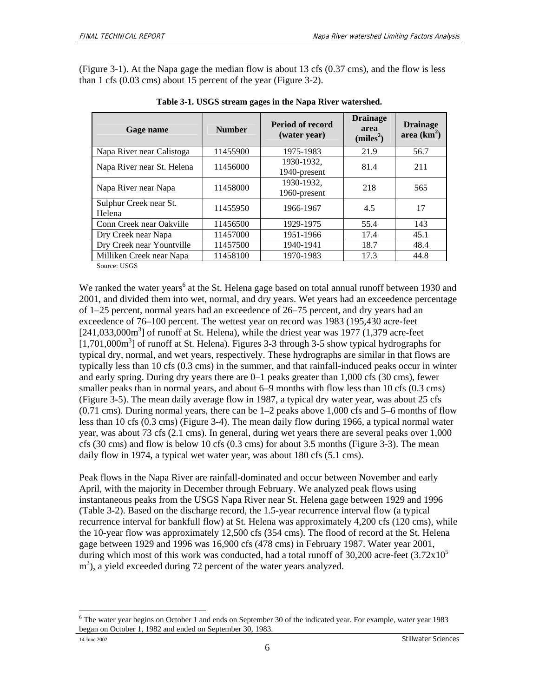(Figure 3-1). At the Napa gage the median flow is about 13 cfs (0.37 cms), and the flow is less than 1 cfs (0.03 cms) about 15 percent of the year (Figure 3-2).

| Gage name                                     | <b>Number</b> | <b>Period of record</b><br>(water year) | <b>Drainage</b><br>area<br>(miles <sup>2</sup> ) | <b>Drainage</b><br>area $(km^2)$ |
|-----------------------------------------------|---------------|-----------------------------------------|--------------------------------------------------|----------------------------------|
| Napa River near Calistoga                     | 11455900      | 1975-1983                               | 21.9                                             | 56.7                             |
| Napa River near St. Helena                    | 11456000      | 1930-1932.<br>1940-present              | 81.4                                             | 211                              |
| Napa River near Napa                          | 11458000      | 1930-1932,<br>1960-present              | 218                                              | 565                              |
| Sulphur Creek near St.<br>Helena              | 11455950      | 1966-1967                               | 4.5                                              | 17                               |
| Conn Creek near Oakville                      | 11456500      | 1929-1975                               | 55.4                                             | 143                              |
| Dry Creek near Napa                           | 11457000      | 1951-1966                               | 17.4                                             | 45.1                             |
| Dry Creek near Yountville                     | 11457500      | 1940-1941                               | 18.7                                             | 48.4                             |
| Milliken Creek near Napa<br>$\alpha$ $\alpha$ | 11458100      | 1970-1983                               | 17.3                                             | 44.8                             |

**Table 3-1. USGS stream gages in the Napa River watershed.** 

Source: USGS

We ranked the water years<sup>6</sup> at the St. Helena gage based on total annual runoff between 1930 and 2001, and divided them into wet, normal, and dry years. Wet years had an exceedence percentage of 1–25 percent, normal years had an exceedence of 26–75 percent, and dry years had an exceedence of 76–100 percent. The wettest year on record was 1983 (195,430 acre-feet  $[241,033,000m<sup>3</sup>]$  of runoff at St. Helena), while the driest year was 1977 (1,379 acre-feet [1,701,000m<sup>3</sup>] of runoff at St. Helena). Figures 3-3 through 3-5 show typical hydrographs for typical dry, normal, and wet years, respectively. These hydrographs are similar in that flows are typically less than 10 cfs (0.3 cms) in the summer, and that rainfall-induced peaks occur in winter and early spring. During dry years there are 0–1 peaks greater than 1,000 cfs (30 cms), fewer smaller peaks than in normal years, and about 6–9 months with flow less than 10 cfs (0.3 cms) (Figure 3-5). The mean daily average flow in 1987, a typical dry water year, was about 25 cfs  $(0.71 \text{ cm})$ . During normal years, there can be  $1-2$  peaks above 1,000 cfs and 5–6 months of flow less than 10 cfs (0.3 cms) (Figure 3-4). The mean daily flow during 1966, a typical normal water year, was about 73 cfs (2.1 cms). In general, during wet years there are several peaks over 1,000 cfs (30 cms) and flow is below 10 cfs (0.3 cms) for about 3.5 months (Figure 3-3). The mean daily flow in 1974, a typical wet water year, was about 180 cfs (5.1 cms).

Peak flows in the Napa River are rainfall-dominated and occur between November and early April, with the majority in December through February. We analyzed peak flows using instantaneous peaks from the USGS Napa River near St. Helena gage between 1929 and 1996 (Table 3-2). Based on the discharge record, the 1.5-year recurrence interval flow (a typical recurrence interval for bankfull flow) at St. Helena was approximately 4,200 cfs (120 cms), while the 10-year flow was approximately 12,500 cfs (354 cms). The flood of record at the St. Helena gage between 1929 and 1996 was 16,900 cfs (478 cms) in February 1987. Water year 2001, during which most of this work was conducted, had a total runoff of  $30,200$  acre-feet  $(3.72 \times 10^5)$ m<sup>3</sup>), a yield exceeded during 72 percent of the water years analyzed.

<sup>1</sup> <sup>6</sup> The water year begins on October 1 and ends on September 30 of the indicated year. For example, water year 1983 began on October 1, 1982 and ended on September 30, 1983.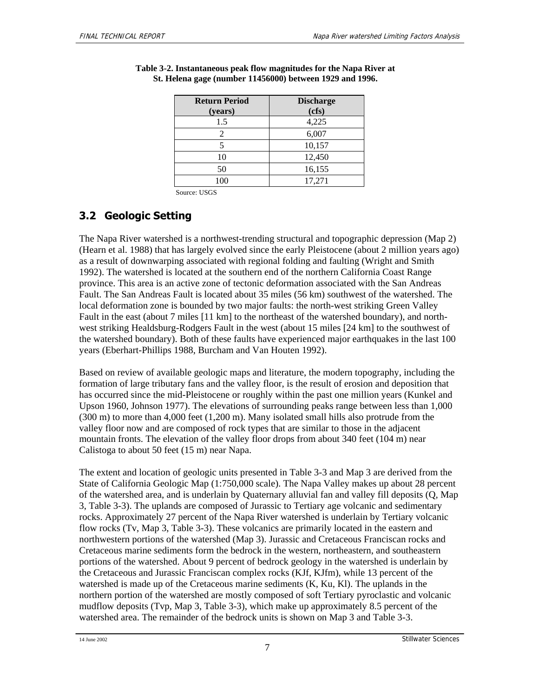| <b>Return Period</b><br>(years) | <b>Discharge</b><br>(cfs) |
|---------------------------------|---------------------------|
| 1.5                             | 4,225                     |
|                                 | 6,007                     |
|                                 | 10,157                    |
| 10                              | 12,450                    |
| 50                              | 16,155                    |
| 100                             | 17,271                    |

**Table 3-2. Instantaneous peak flow magnitudes for the Napa River at St. Helena gage (number 11456000) between 1929 and 1996.** 

Source: USGS

# **3.2 Geologic Setting**

The Napa River watershed is a northwest-trending structural and topographic depression (Map 2) (Hearn et al. 1988) that has largely evolved since the early Pleistocene (about 2 million years ago) as a result of downwarping associated with regional folding and faulting (Wright and Smith 1992). The watershed is located at the southern end of the northern California Coast Range province. This area is an active zone of tectonic deformation associated with the San Andreas Fault. The San Andreas Fault is located about 35 miles (56 km) southwest of the watershed. The local deformation zone is bounded by two major faults: the north-west striking Green Valley Fault in the east (about 7 miles [11 km] to the northeast of the watershed boundary), and northwest striking Healdsburg-Rodgers Fault in the west (about 15 miles [24 km] to the southwest of the watershed boundary). Both of these faults have experienced major earthquakes in the last 100 years (Eberhart-Phillips 1988, Burcham and Van Houten 1992).

Based on review of available geologic maps and literature, the modern topography, including the formation of large tributary fans and the valley floor, is the result of erosion and deposition that has occurred since the mid-Pleistocene or roughly within the past one million years (Kunkel and Upson 1960, Johnson 1977). The elevations of surrounding peaks range between less than 1,000 (300 m) to more than 4,000 feet (1,200 m). Many isolated small hills also protrude from the valley floor now and are composed of rock types that are similar to those in the adjacent mountain fronts. The elevation of the valley floor drops from about 340 feet (104 m) near Calistoga to about 50 feet (15 m) near Napa.

The extent and location of geologic units presented in Table 3-3 and Map 3 are derived from the State of California Geologic Map (1:750,000 scale). The Napa Valley makes up about 28 percent of the watershed area, and is underlain by Quaternary alluvial fan and valley fill deposits (Q, Map 3, Table 3-3). The uplands are composed of Jurassic to Tertiary age volcanic and sedimentary rocks. Approximately 27 percent of the Napa River watershed is underlain by Tertiary volcanic flow rocks (Tv, Map 3, Table 3-3). These volcanics are primarily located in the eastern and northwestern portions of the watershed (Map 3). Jurassic and Cretaceous Franciscan rocks and Cretaceous marine sediments form the bedrock in the western, northeastern, and southeastern portions of the watershed. About 9 percent of bedrock geology in the watershed is underlain by the Cretaceous and Jurassic Franciscan complex rocks (KJf, KJfm), while 13 percent of the watershed is made up of the Cretaceous marine sediments (K, Ku, Kl). The uplands in the northern portion of the watershed are mostly composed of soft Tertiary pyroclastic and volcanic mudflow deposits (Tvp, Map 3, Table 3-3), which make up approximately 8.5 percent of the watershed area. The remainder of the bedrock units is shown on Map 3 and Table 3-3.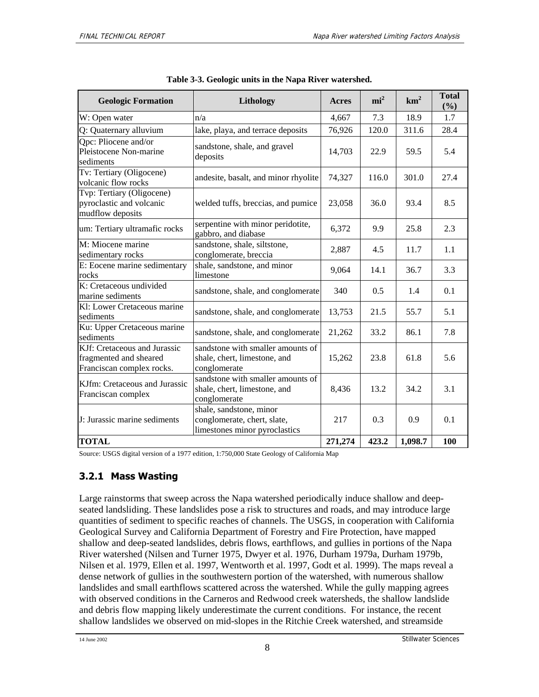| <b>Geologic Formation</b>                                                           | Lithology                                                                               | Acres   | mi <sup>2</sup> | km <sup>2</sup> | <b>Total</b><br>(%) |
|-------------------------------------------------------------------------------------|-----------------------------------------------------------------------------------------|---------|-----------------|-----------------|---------------------|
| W: Open water                                                                       | n/a                                                                                     | 4,667   | 7.3             | 18.9            | 1.7                 |
| Q: Quaternary alluvium                                                              | lake, playa, and terrace deposits                                                       | 76,926  | 120.0           | 311.6           | 28.4                |
| Qpc: Pliocene and/or<br>Pleistocene Non-marine<br>sediments                         | sandstone, shale, and gravel<br>deposits                                                | 14,703  | 22.9            | 59.5            | 5.4                 |
| Tv: Tertiary (Oligocene)<br>volcanic flow rocks                                     | andesite, basalt, and minor rhyolite                                                    | 74,327  | 116.0           | 301.0           | 27.4                |
| Tvp: Tertiary (Oligocene)<br>pyroclastic and volcanic<br>mudflow deposits           | welded tuffs, breccias, and pumice                                                      | 23,058  | 36.0            | 93.4            | 8.5                 |
| um: Tertiary ultramafic rocks                                                       | serpentine with minor peridotite,<br>gabbro, and diabase                                | 6,372   | 9.9             | 25.8            | 2.3                 |
| M: Miocene marine<br>sedimentary rocks                                              | sandstone, shale, siltstone,<br>conglomerate, breccia                                   | 2,887   | 4.5             | 11.7            | 1.1                 |
| E: Eocene marine sedimentary<br>rocks                                               | shale, sandstone, and minor<br>limestone                                                | 9,064   | 14.1            | 36.7            | 3.3                 |
| K: Cretaceous undivided<br>marine sediments                                         | sandstone, shale, and conglomerate                                                      | 340     | 0.5             | 1.4             | 0.1                 |
| Kl: Lower Cretaceous marine<br>sediments                                            | sandstone, shale, and conglomerate                                                      | 13,753  | 21.5            | 55.7            | 5.1                 |
| Ku: Upper Cretaceous marine<br>sediments                                            | sandstone, shale, and conglomerate                                                      | 21,262  | 33.2            | 86.1            | 7.8                 |
| KJf: Cretaceous and Jurassic<br>fragmented and sheared<br>Franciscan complex rocks. | sandstone with smaller amounts of<br>shale, chert, limestone, and<br>conglomerate       | 15,262  | 23.8            | 61.8            | 5.6                 |
| KJfm: Cretaceous and Jurassic<br>Franciscan complex                                 | sandstone with smaller amounts of<br>shale, chert, limestone, and<br>conglomerate       | 8,436   | 13.2            | 34.2            | 3.1                 |
| J: Jurassic marine sediments                                                        | shale, sandstone, minor<br>conglomerate, chert, slate,<br>limestones minor pyroclastics | 217     | 0.3             | 0.9             | 0.1                 |
| <b>TOTAL</b>                                                                        |                                                                                         | 271,274 | 423.2           | 1,098.7         | 100                 |

|  |  | Table 3-3. Geologic units in the Napa River watershed. |
|--|--|--------------------------------------------------------|
|  |  |                                                        |

Source: USGS digital version of a 1977 edition, 1:750,000 State Geology of California Map

### **3.2.1 Mass Wasting**

Large rainstorms that sweep across the Napa watershed periodically induce shallow and deepseated landsliding. These landslides pose a risk to structures and roads, and may introduce large quantities of sediment to specific reaches of channels. The USGS, in cooperation with California Geological Survey and California Department of Forestry and Fire Protection, have mapped shallow and deep-seated landslides, debris flows, earthflows, and gullies in portions of the Napa River watershed (Nilsen and Turner 1975, Dwyer et al. 1976, Durham 1979a, Durham 1979b, Nilsen et al. 1979, Ellen et al. 1997, Wentworth et al. 1997, Godt et al. 1999). The maps reveal a dense network of gullies in the southwestern portion of the watershed, with numerous shallow landslides and small earthflows scattered across the watershed. While the gully mapping agrees with observed conditions in the Carneros and Redwood creek watersheds, the shallow landslide and debris flow mapping likely underestimate the current conditions. For instance, the recent shallow landslides we observed on mid-slopes in the Ritchie Creek watershed, and streamside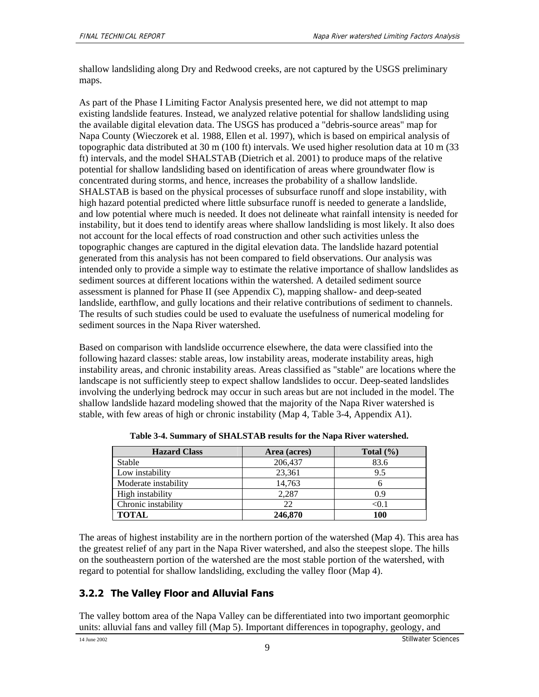shallow landsliding along Dry and Redwood creeks, are not captured by the USGS preliminary maps.

As part of the Phase I Limiting Factor Analysis presented here, we did not attempt to map existing landslide features. Instead, we analyzed relative potential for shallow landsliding using the available digital elevation data. The USGS has produced a "debris-source areas" map for Napa County (Wieczorek et al. 1988, Ellen et al. 1997), which is based on empirical analysis of topographic data distributed at 30 m (100 ft) intervals. We used higher resolution data at 10 m (33 ft) intervals, and the model SHALSTAB (Dietrich et al. 2001) to produce maps of the relative potential for shallow landsliding based on identification of areas where groundwater flow is concentrated during storms, and hence, increases the probability of a shallow landslide. SHALSTAB is based on the physical processes of subsurface runoff and slope instability, with high hazard potential predicted where little subsurface runoff is needed to generate a landslide, and low potential where much is needed. It does not delineate what rainfall intensity is needed for instability, but it does tend to identify areas where shallow landsliding is most likely. It also does not account for the local effects of road construction and other such activities unless the topographic changes are captured in the digital elevation data. The landslide hazard potential generated from this analysis has not been compared to field observations. Our analysis was intended only to provide a simple way to estimate the relative importance of shallow landslides as sediment sources at different locations within the watershed. A detailed sediment source assessment is planned for Phase II (see Appendix C), mapping shallow- and deep-seated landslide, earthflow, and gully locations and their relative contributions of sediment to channels. The results of such studies could be used to evaluate the usefulness of numerical modeling for sediment sources in the Napa River watershed.

Based on comparison with landslide occurrence elsewhere, the data were classified into the following hazard classes: stable areas, low instability areas, moderate instability areas, high instability areas, and chronic instability areas. Areas classified as "stable" are locations where the landscape is not sufficiently steep to expect shallow landslides to occur. Deep-seated landslides involving the underlying bedrock may occur in such areas but are not included in the model. The shallow landslide hazard modeling showed that the majority of the Napa River watershed is stable, with few areas of high or chronic instability (Map 4, Table 3-4, Appendix A1).

| <b>Hazard Class</b>  | Area (acres) | Total $(\% )$ |
|----------------------|--------------|---------------|
| Stable               | 206,437      | 83.6          |
| Low instability      | 23,361       | 9.5           |
| Moderate instability | 14,763       |               |
| High instability     | 2.287        | 0.9           |
| Chronic instability  | 22           | $< \! 0.1$    |
| <b>TOTAL</b>         | 246,870      | 100           |

**Table 3-4. Summary of SHALSTAB results for the Napa River watershed.** 

The areas of highest instability are in the northern portion of the watershed (Map 4). This area has the greatest relief of any part in the Napa River watershed, and also the steepest slope. The hills on the southeastern portion of the watershed are the most stable portion of the watershed, with regard to potential for shallow landsliding, excluding the valley floor (Map 4).

### **3.2.2 The Valley Floor and Alluvial Fans**

The valley bottom area of the Napa Valley can be differentiated into two important geomorphic units: alluvial fans and valley fill (Map 5). Important differences in topography, geology, and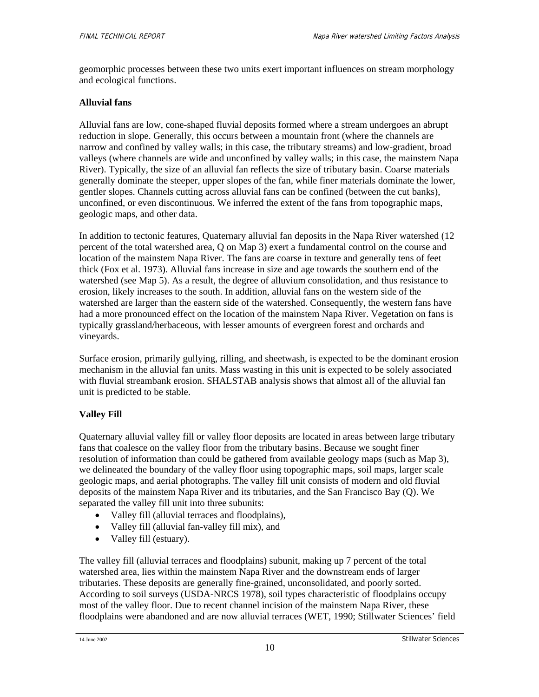geomorphic processes between these two units exert important influences on stream morphology and ecological functions.

### **Alluvial fans**

Alluvial fans are low, cone-shaped fluvial deposits formed where a stream undergoes an abrupt reduction in slope. Generally, this occurs between a mountain front (where the channels are narrow and confined by valley walls; in this case, the tributary streams) and low-gradient, broad valleys (where channels are wide and unconfined by valley walls; in this case, the mainstem Napa River). Typically, the size of an alluvial fan reflects the size of tributary basin. Coarse materials generally dominate the steeper, upper slopes of the fan, while finer materials dominate the lower, gentler slopes. Channels cutting across alluvial fans can be confined (between the cut banks), unconfined, or even discontinuous. We inferred the extent of the fans from topographic maps, geologic maps, and other data.

In addition to tectonic features, Quaternary alluvial fan deposits in the Napa River watershed (12 percent of the total watershed area, Q on Map 3) exert a fundamental control on the course and location of the mainstem Napa River. The fans are coarse in texture and generally tens of feet thick (Fox et al. 1973). Alluvial fans increase in size and age towards the southern end of the watershed (see Map 5). As a result, the degree of alluvium consolidation, and thus resistance to erosion, likely increases to the south. In addition, alluvial fans on the western side of the watershed are larger than the eastern side of the watershed. Consequently, the western fans have had a more pronounced effect on the location of the mainstem Napa River. Vegetation on fans is typically grassland/herbaceous, with lesser amounts of evergreen forest and orchards and vineyards.

Surface erosion, primarily gullying, rilling, and sheetwash, is expected to be the dominant erosion mechanism in the alluvial fan units. Mass wasting in this unit is expected to be solely associated with fluvial streambank erosion. SHALSTAB analysis shows that almost all of the alluvial fan unit is predicted to be stable.

### **Valley Fill**

Quaternary alluvial valley fill or valley floor deposits are located in areas between large tributary fans that coalesce on the valley floor from the tributary basins. Because we sought finer resolution of information than could be gathered from available geology maps (such as Map 3), we delineated the boundary of the valley floor using topographic maps, soil maps, larger scale geologic maps, and aerial photographs. The valley fill unit consists of modern and old fluvial deposits of the mainstem Napa River and its tributaries, and the San Francisco Bay (Q). We separated the valley fill unit into three subunits:

- Valley fill (alluvial terraces and floodplains),
- Valley fill (alluvial fan-valley fill mix), and
- Valley fill (estuary).

The valley fill (alluvial terraces and floodplains) subunit, making up 7 percent of the total watershed area, lies within the mainstem Napa River and the downstream ends of larger tributaries. These deposits are generally fine-grained, unconsolidated, and poorly sorted. According to soil surveys (USDA-NRCS 1978), soil types characteristic of floodplains occupy most of the valley floor. Due to recent channel incision of the mainstem Napa River, these floodplains were abandoned and are now alluvial terraces (WET, 1990; Stillwater Sciences' field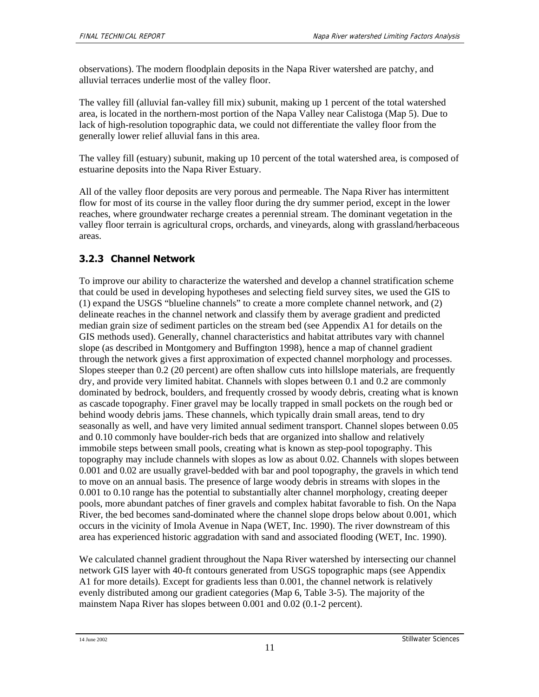observations). The modern floodplain deposits in the Napa River watershed are patchy, and alluvial terraces underlie most of the valley floor.

The valley fill (alluvial fan-valley fill mix) subunit, making up 1 percent of the total watershed area, is located in the northern-most portion of the Napa Valley near Calistoga (Map 5). Due to lack of high-resolution topographic data, we could not differentiate the valley floor from the generally lower relief alluvial fans in this area.

The valley fill (estuary) subunit, making up 10 percent of the total watershed area, is composed of estuarine deposits into the Napa River Estuary.

All of the valley floor deposits are very porous and permeable. The Napa River has intermittent flow for most of its course in the valley floor during the dry summer period, except in the lower reaches, where groundwater recharge creates a perennial stream. The dominant vegetation in the valley floor terrain is agricultural crops, orchards, and vineyards, along with grassland/herbaceous areas.

## **3.2.3 Channel Network**

To improve our ability to characterize the watershed and develop a channel stratification scheme that could be used in developing hypotheses and selecting field survey sites, we used the GIS to (1) expand the USGS "blueline channels" to create a more complete channel network, and (2) delineate reaches in the channel network and classify them by average gradient and predicted median grain size of sediment particles on the stream bed (see Appendix A1 for details on the GIS methods used). Generally, channel characteristics and habitat attributes vary with channel slope (as described in Montgomery and Buffington 1998), hence a map of channel gradient through the network gives a first approximation of expected channel morphology and processes. Slopes steeper than 0.2 (20 percent) are often shallow cuts into hillslope materials, are frequently dry, and provide very limited habitat. Channels with slopes between 0.1 and 0.2 are commonly dominated by bedrock, boulders, and frequently crossed by woody debris, creating what is known as cascade topography. Finer gravel may be locally trapped in small pockets on the rough bed or behind woody debris jams. These channels, which typically drain small areas, tend to dry seasonally as well, and have very limited annual sediment transport. Channel slopes between 0.05 and 0.10 commonly have boulder-rich beds that are organized into shallow and relatively immobile steps between small pools, creating what is known as step-pool topography. This topography may include channels with slopes as low as about 0.02. Channels with slopes between 0.001 and 0.02 are usually gravel-bedded with bar and pool topography, the gravels in which tend to move on an annual basis. The presence of large woody debris in streams with slopes in the 0.001 to 0.10 range has the potential to substantially alter channel morphology, creating deeper pools, more abundant patches of finer gravels and complex habitat favorable to fish. On the Napa River, the bed becomes sand-dominated where the channel slope drops below about 0.001, which occurs in the vicinity of Imola Avenue in Napa (WET, Inc. 1990). The river downstream of this area has experienced historic aggradation with sand and associated flooding (WET, Inc. 1990).

We calculated channel gradient throughout the Napa River watershed by intersecting our channel network GIS layer with 40-ft contours generated from USGS topographic maps (see Appendix A1 for more details). Except for gradients less than 0.001, the channel network is relatively evenly distributed among our gradient categories (Map 6, Table 3-5). The majority of the mainstem Napa River has slopes between 0.001 and 0.02 (0.1-2 percent).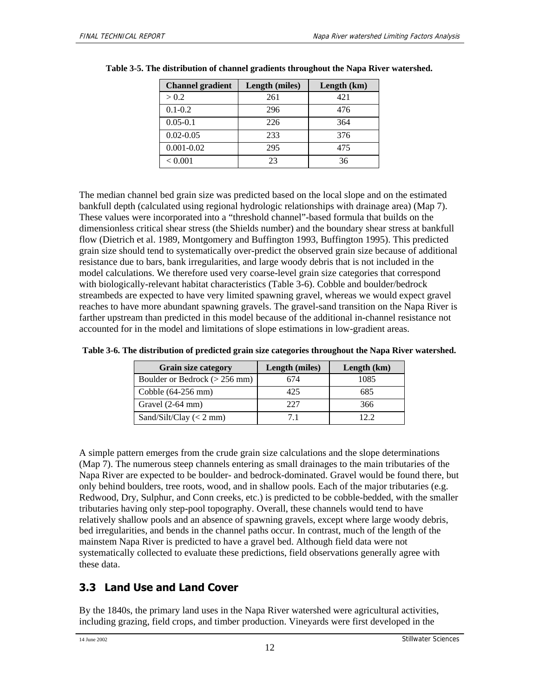| <b>Channel gradient</b> | Length (miles) | Length $(km)$ |
|-------------------------|----------------|---------------|
| > 0.2                   | 261            | 421           |
| $0.1 - 0.2$             | 296            | 476           |
| $0.05 - 0.1$            | 226            | 364           |
| $0.02 - 0.05$           | 233            | 376           |
| $0.001 - 0.02$          | 295            | 475           |
| < 0.001                 | 23             | 36            |

|  |  |  | Table 3-5. The distribution of channel gradients throughout the Napa River watershed. |
|--|--|--|---------------------------------------------------------------------------------------|
|  |  |  |                                                                                       |

The median channel bed grain size was predicted based on the local slope and on the estimated bankfull depth (calculated using regional hydrologic relationships with drainage area) (Map 7). These values were incorporated into a "threshold channel"-based formula that builds on the dimensionless critical shear stress (the Shields number) and the boundary shear stress at bankfull flow (Dietrich et al. 1989, Montgomery and Buffington 1993, Buffington 1995). This predicted grain size should tend to systematically over-predict the observed grain size because of additional resistance due to bars, bank irregularities, and large woody debris that is not included in the model calculations. We therefore used very coarse-level grain size categories that correspond with biologically-relevant habitat characteristics (Table 3-6). Cobble and boulder/bedrock streambeds are expected to have very limited spawning gravel, whereas we would expect gravel reaches to have more abundant spawning gravels. The gravel-sand transition on the Napa River is farther upstream than predicted in this model because of the additional in-channel resistance not accounted for in the model and limitations of slope estimations in low-gradient areas.

| <b>Grain size category</b>       | Length (miles) | Length $(km)$ |
|----------------------------------|----------------|---------------|
| Boulder or Bedrock ( $>$ 256 mm) | 674            | 1085          |
| Cobble $(64-256$ mm $)$          | 425            | 685           |
| Gravel $(2-64$ mm)               | 227            | 366           |
| Sand/Silt/Clay $(< 2$ mm)        | 71             | 122           |

**Table 3-6. The distribution of predicted grain size categories throughout the Napa River watershed.**

A simple pattern emerges from the crude grain size calculations and the slope determinations (Map 7). The numerous steep channels entering as small drainages to the main tributaries of the Napa River are expected to be boulder- and bedrock-dominated. Gravel would be found there, but only behind boulders, tree roots, wood, and in shallow pools. Each of the major tributaries (e.g. Redwood, Dry, Sulphur, and Conn creeks, etc.) is predicted to be cobble-bedded, with the smaller tributaries having only step-pool topography. Overall, these channels would tend to have relatively shallow pools and an absence of spawning gravels, except where large woody debris, bed irregularities, and bends in the channel paths occur. In contrast, much of the length of the mainstem Napa River is predicted to have a gravel bed. Although field data were not systematically collected to evaluate these predictions, field observations generally agree with these data.

# **3.3 Land Use and Land Cover**

By the 1840s, the primary land uses in the Napa River watershed were agricultural activities, including grazing, field crops, and timber production. Vineyards were first developed in the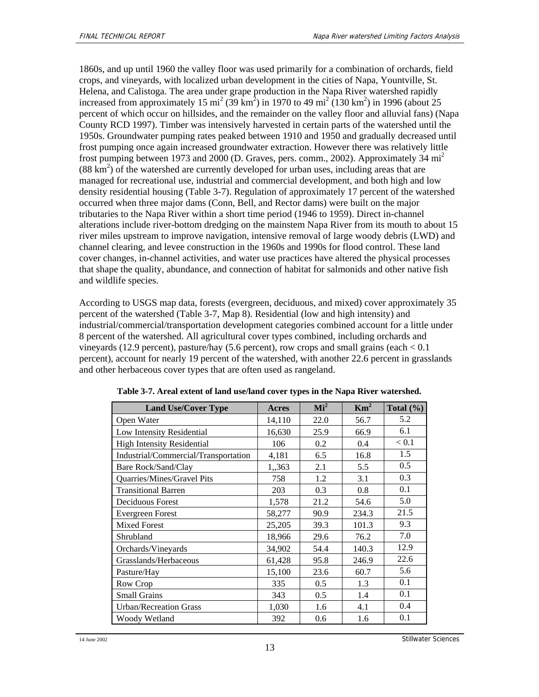1860s, and up until 1960 the valley floor was used primarily for a combination of orchards, field crops, and vineyards, with localized urban development in the cities of Napa, Yountville, St. Helena, and Calistoga. The area under grape production in the Napa River watershed rapidly increased from approximately 15 mi<sup>2</sup> (39 km<sup>2</sup>) in 1970 to 49 mi<sup>2</sup> (130 km<sup>2</sup>) in 1996 (about 25 percent of which occur on hillsides, and the remainder on the valley floor and alluvial fans) (Napa County RCD 1997). Timber was intensively harvested in certain parts of the watershed until the 1950s. Groundwater pumping rates peaked between 1910 and 1950 and gradually decreased until frost pumping once again increased groundwater extraction. However there was relatively little frost pumping between 1973 and 2000 (D. Graves, pers. comm., 2002). Approximately 34  $mi^2$  $(88 \text{ km}^2)$  of the watershed are currently developed for urban uses, including areas that are managed for recreational use, industrial and commercial development, and both high and low density residential housing (Table 3-7). Regulation of approximately 17 percent of the watershed occurred when three major dams (Conn, Bell, and Rector dams) were built on the major tributaries to the Napa River within a short time period (1946 to 1959). Direct in-channel alterations include river-bottom dredging on the mainstem Napa River from its mouth to about 15 river miles upstream to improve navigation, intensive removal of large woody debris (LWD) and channel clearing, and levee construction in the 1960s and 1990s for flood control. These land cover changes, in-channel activities, and water use practices have altered the physical processes that shape the quality, abundance, and connection of habitat for salmonids and other native fish and wildlife species.

According to USGS map data, forests (evergreen, deciduous, and mixed) cover approximately 35 percent of the watershed (Table 3-7, Map 8). Residential (low and high intensity) and industrial/commercial/transportation development categories combined account for a little under 8 percent of the watershed. All agricultural cover types combined, including orchards and vineyards (12.9 percent), pasture/hay (5.6 percent), row crops and small grains (each  $< 0.1$ ) percent), account for nearly 19 percent of the watershed, with another 22.6 percent in grasslands and other herbaceous cover types that are often used as rangeland.

| <b>Land Use/Cover Type</b>           | Acres  | Mi <sup>2</sup> | $\text{Km}^2$ | Total $(\% )$ |
|--------------------------------------|--------|-----------------|---------------|---------------|
| Open Water                           | 14,110 | 22.0            | 56.7          | 5.2           |
| Low Intensity Residential            | 16,630 | 25.9            | 66.9          | 6.1           |
| <b>High Intensity Residential</b>    | 106    | 0.2             | 0.4           | < 0.1         |
| Industrial/Commercial/Transportation | 4,181  | 6.5             | 16.8          | 1.5           |
| Bare Rock/Sand/Clay                  | 1,,363 | 2.1             | 5.5           | 0.5           |
| Quarries/Mines/Gravel Pits           | 758    | 1.2             | 3.1           | 0.3           |
| <b>Transitional Barren</b>           | 203    | 0.3             | 0.8           | 0.1           |
| Deciduous Forest                     | 1,578  | 21.2            | 54.6          | 5.0           |
| Evergreen Forest                     | 58,277 | 90.9            | 234.3         | 21.5          |
| <b>Mixed Forest</b>                  | 25,205 | 39.3            | 101.3         | 9.3           |
| Shrubland                            | 18,966 | 29.6            | 76.2          | 7.0           |
| Orchards/Vineyards                   | 34,902 | 54.4            | 140.3         | 12.9          |
| Grasslands/Herbaceous                | 61,428 | 95.8            | 246.9         | 22.6          |
| Pasture/Hay                          | 15,100 | 23.6            | 60.7          | 5.6           |
| Row Crop                             | 335    | 0.5             | 1.3           | 0.1           |
| <b>Small Grains</b>                  | 343    | 0.5             | 1.4           | 0.1           |
| <b>Urban/Recreation Grass</b>        | 1,030  | 1.6             | 4.1           | 0.4           |
| Woody Wetland                        | 392    | 0.6             | 1.6           | 0.1           |

| Table 3-7. Areal extent of land use/land cover types in the Napa River watershed. |  |
|-----------------------------------------------------------------------------------|--|
|-----------------------------------------------------------------------------------|--|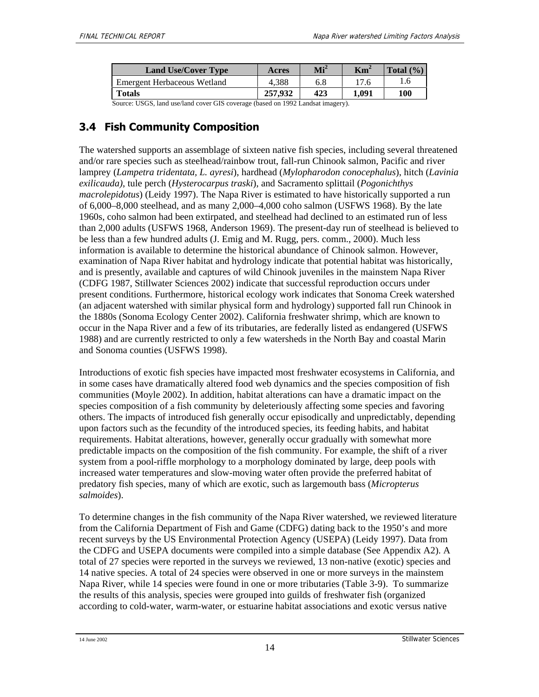| <b>Land Use/Cover Type</b>  | Acres   | $\mathbf{Mi}^2$ | $\mathbf{Km}^2$ | Total $(\% )$ |
|-----------------------------|---------|-----------------|-----------------|---------------|
| Emergent Herbaceous Wetland | 4.388   | 6.8             | 17.6            | 1.6           |
| <b>Totals</b>               | 257.932 | 423             | 1.091           | 100           |

Source: USGS, land use/land cover GIS coverage (based on 1992 Landsat imagery).

# **3.4 Fish Community Composition**

The watershed supports an assemblage of sixteen native fish species, including several threatened and/or rare species such as steelhead/rainbow trout, fall-run Chinook salmon, Pacific and river lamprey (*Lampetra tridentata, L. ayresi*), hardhead (*Mylopharodon conocephalus*), hitch (*Lavinia exilicauda)*, tule perch (*Hysterocarpus traski*), and Sacramento splittail (*Pogonichthys macrolepidotus*) (Leidy 1997). The Napa River is estimated to have historically supported a run of 6,000–8,000 steelhead, and as many 2,000–4,000 coho salmon (USFWS 1968). By the late 1960s, coho salmon had been extirpated, and steelhead had declined to an estimated run of less than 2,000 adults (USFWS 1968, Anderson 1969). The present-day run of steelhead is believed to be less than a few hundred adults (J. Emig and M. Rugg, pers. comm., 2000). Much less information is available to determine the historical abundance of Chinook salmon. However, examination of Napa River habitat and hydrology indicate that potential habitat was historically, and is presently, available and captures of wild Chinook juveniles in the mainstem Napa River (CDFG 1987, Stillwater Sciences 2002) indicate that successful reproduction occurs under present conditions. Furthermore, historical ecology work indicates that Sonoma Creek watershed (an adjacent watershed with similar physical form and hydrology) supported fall run Chinook in the 1880s (Sonoma Ecology Center 2002). California freshwater shrimp, which are known to occur in the Napa River and a few of its tributaries, are federally listed as endangered (USFWS 1988) and are currently restricted to only a few watersheds in the North Bay and coastal Marin and Sonoma counties (USFWS 1998).

Introductions of exotic fish species have impacted most freshwater ecosystems in California, and in some cases have dramatically altered food web dynamics and the species composition of fish communities (Moyle 2002). In addition, habitat alterations can have a dramatic impact on the species composition of a fish community by deleteriously affecting some species and favoring others. The impacts of introduced fish generally occur episodically and unpredictably, depending upon factors such as the fecundity of the introduced species, its feeding habits, and habitat requirements. Habitat alterations, however, generally occur gradually with somewhat more predictable impacts on the composition of the fish community. For example, the shift of a river system from a pool-riffle morphology to a morphology dominated by large, deep pools with increased water temperatures and slow-moving water often provide the preferred habitat of predatory fish species, many of which are exotic, such as largemouth bass (*Micropterus salmoides*).

To determine changes in the fish community of the Napa River watershed, we reviewed literature from the California Department of Fish and Game (CDFG) dating back to the 1950's and more recent surveys by the US Environmental Protection Agency (USEPA) (Leidy 1997). Data from the CDFG and USEPA documents were compiled into a simple database (See Appendix A2). A total of 27 species were reported in the surveys we reviewed, 13 non-native (exotic) species and 14 native species. A total of 24 species were observed in one or more surveys in the mainstem Napa River, while 14 species were found in one or more tributaries (Table 3-9). To summarize the results of this analysis, species were grouped into guilds of freshwater fish (organized according to cold-water, warm-water, or estuarine habitat associations and exotic versus native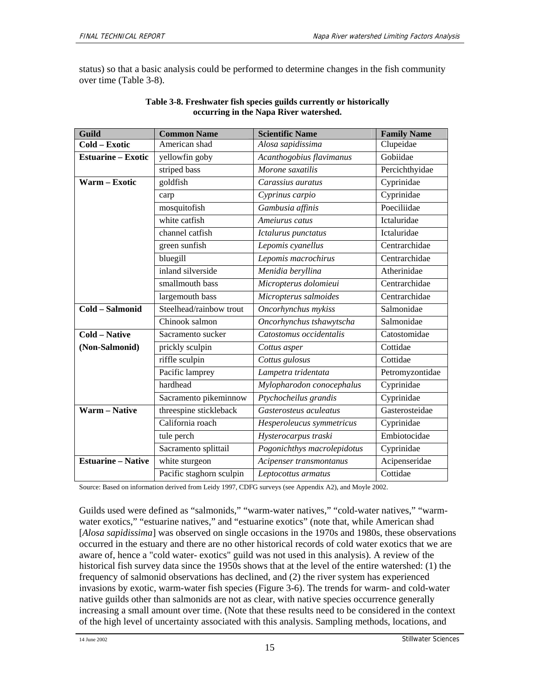status) so that a basic analysis could be performed to determine changes in the fish community over time (Table 3-8).

| Guild                     | <b>Common Name</b>       | <b>Scientific Name</b>      | <b>Family Name</b> |
|---------------------------|--------------------------|-----------------------------|--------------------|
| Cold - Exotic             | American shad            | Alosa sapidissima           | Clupeidae          |
| <b>Estuarine – Exotic</b> | yellowfin goby           | Acanthogobius flavimanus    | Gobiidae           |
|                           | striped bass             | Morone saxatilis            | Percichthyidae     |
| Warm - Exotic             | goldfish                 | Carassius auratus           | Cyprinidae         |
|                           | carp                     | Cyprinus carpio             | Cyprinidae         |
|                           | mosquitofish             | Gambusia affinis            | Poeciliidae        |
|                           | white catfish            | Ameiurus catus              | Ictaluridae        |
|                           | channel catfish          | Ictalurus punctatus         | Ictaluridae        |
|                           | green sunfish            | Lepomis cyanellus           | Centrarchidae      |
|                           | bluegill                 | Lepomis macrochirus         | Centrarchidae      |
|                           | inland silverside        | Menidia beryllina           | Atherinidae        |
|                           | smallmouth bass          | Micropterus dolomieui       | Centrarchidae      |
|                           | largemouth bass          | Micropterus salmoides       | Centrarchidae      |
| Cold - Salmonid           | Steelhead/rainbow trout  | Oncorhynchus mykiss         | Salmonidae         |
|                           | Chinook salmon           | Oncorhynchus tshawytscha    | Salmonidae         |
| <b>Cold - Native</b>      | Sacramento sucker        | Catostomus occidentalis     | Catostomidae       |
| (Non-Salmonid)            | prickly sculpin          | Cottus asper                | Cottidae           |
|                           | riffle sculpin           | Cottus gulosus              | Cottidae           |
|                           | Pacific lamprey          | Lampetra tridentata         | Petromyzontidae    |
|                           | hardhead                 | Mylopharodon conocephalus   | Cyprinidae         |
|                           | Sacramento pikeminnow    | Ptychocheilus grandis       | Cyprinidae         |
| <b>Warm - Native</b>      | threespine stickleback   | Gasterosteus aculeatus      | Gasterosteidae     |
|                           | California roach         | Hesperoleucus symmetricus   | Cyprinidae         |
|                           | tule perch               | Hysterocarpus traski        | Embiotocidae       |
|                           | Sacramento splittail     | Pogonichthys macrolepidotus | Cyprinidae         |
| <b>Estuarine - Native</b> | white sturgeon           | Acipenser transmontanus     | Acipenseridae      |
|                           | Pacific staghorn sculpin | Leptocottus armatus         | Cottidae           |

### **Table 3-8. Freshwater fish species guilds currently or historically occurring in the Napa River watershed.**

Source: Based on information derived from Leidy 1997, CDFG surveys (see Appendix A2), and Moyle 2002.

Guilds used were defined as "salmonids," "warm-water natives," "cold-water natives," "warmwater exotics," "estuarine natives," and "estuarine exotics" (note that, while American shad [*Alosa sapidissima*] was observed on single occasions in the 1970s and 1980s, these observations occurred in the estuary and there are no other historical records of cold water exotics that we are aware of, hence a "cold water- exotics" guild was not used in this analysis). A review of the historical fish survey data since the 1950s shows that at the level of the entire watershed: (1) the frequency of salmonid observations has declined, and (2) the river system has experienced invasions by exotic, warm-water fish species (Figure 3-6). The trends for warm- and cold-water native guilds other than salmonids are not as clear, with native species occurrence generally increasing a small amount over time. (Note that these results need to be considered in the context of the high level of uncertainty associated with this analysis. Sampling methods, locations, and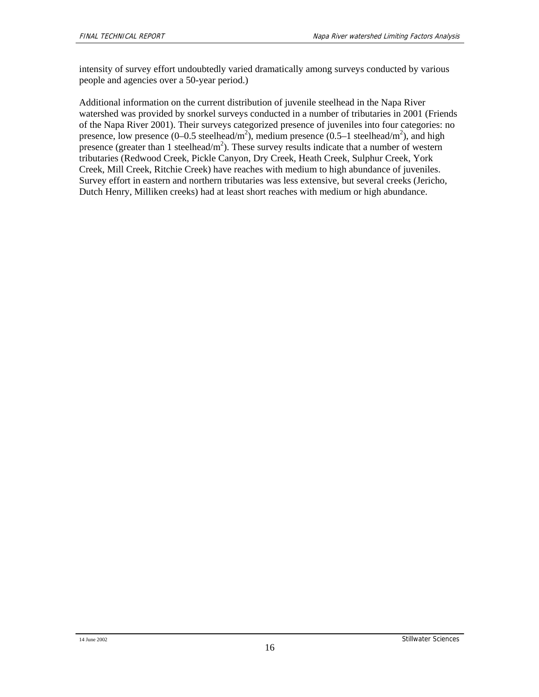intensity of survey effort undoubtedly varied dramatically among surveys conducted by various people and agencies over a 50-year period.)

Additional information on the current distribution of juvenile steelhead in the Napa River watershed was provided by snorkel surveys conducted in a number of tributaries in 2001 (Friends of the Napa River 2001). Their surveys categorized presence of juveniles into four categories: no presence, low presence (0–0.5 steelhead/m<sup>2</sup>), medium presence (0.5–1 steelhead/m<sup>2</sup>), and high presence (greater than 1 steelhead/ $m<sup>2</sup>$ ). These survey results indicate that a number of western tributaries (Redwood Creek, Pickle Canyon, Dry Creek, Heath Creek, Sulphur Creek, York Creek, Mill Creek, Ritchie Creek) have reaches with medium to high abundance of juveniles. Survey effort in eastern and northern tributaries was less extensive, but several creeks (Jericho, Dutch Henry, Milliken creeks) had at least short reaches with medium or high abundance.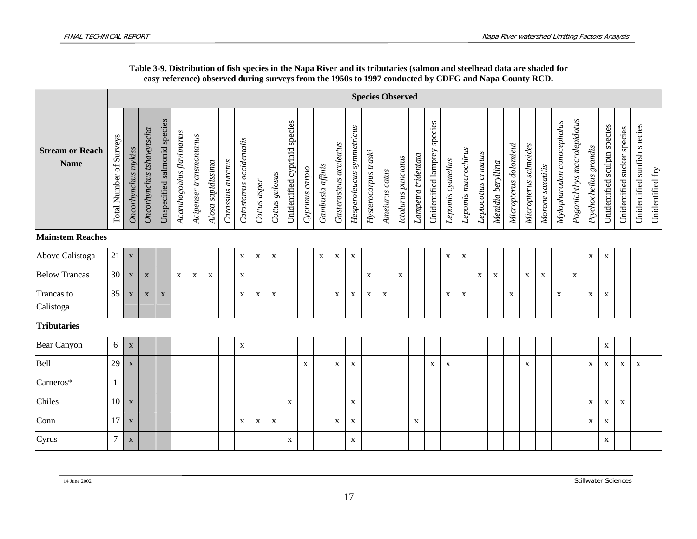|                                       |                         |                           |                          |                              |                          |                         |                   |                   |                         |              |                           |                                  |                 |                  |                        |                           |                      |                | <b>Species Observed</b> |                     |                                 |                   |                     |                     |                   |                       |                       |                  |                           |                             |                       |                              |                             |                              |                  |
|---------------------------------------|-------------------------|---------------------------|--------------------------|------------------------------|--------------------------|-------------------------|-------------------|-------------------|-------------------------|--------------|---------------------------|----------------------------------|-----------------|------------------|------------------------|---------------------------|----------------------|----------------|-------------------------|---------------------|---------------------------------|-------------------|---------------------|---------------------|-------------------|-----------------------|-----------------------|------------------|---------------------------|-----------------------------|-----------------------|------------------------------|-----------------------------|------------------------------|------------------|
| <b>Stream or Reach</b><br><b>Name</b> | Total Number of Surveys | Oncorhynchus mykiss       | Oncorhynchus tshawytscha | Unspecified salmonid species | Acanthogobius flavimanus | Acipenser transmontanus | Alosa sapidissima | Carassius auratus | Catostomus occidentalis | Cottus asper | Cottus gulosus            | species<br>Unidentified cyprinid | Cyprinus carpio | Gambusia affinis | Gasterosteus aculeatus | Hesperoleucus symmetricus | Hysterocarpus traski | Ameiurus catus | Ictalurus punctatus     | Lampetra tridentata | species<br>Unidentified lamprey | Lepomis cyanellus | Lepomis macrochirus | Leptocottus armatus | Menidia beryllina | Micropterus dolomieui | Micropterus salmoides | Morone saxatilis | Mylopharodon conocephalus | Pogonichthys macrolepidotus | Ptychocheilus grandis | Unidentified sculpin species | Unidentified sucker species | Unidentified sunfish species | Unidentified fry |
| <b>Mainstem Reaches</b>               |                         |                           |                          |                              |                          |                         |                   |                   |                         |              |                           |                                  |                 |                  |                        |                           |                      |                |                         |                     |                                 |                   |                     |                     |                   |                       |                       |                  |                           |                             |                       |                              |                             |                              |                  |
| Above Calistoga                       | 21                      | $\mathbf X$               |                          |                              |                          |                         |                   |                   | $\mathbf{X}$            | $\mathbf X$  | $\mathbf{X}$              |                                  |                 | $\mathbf X$      | X                      | $\mathbf X$               |                      |                |                         |                     |                                 | $\mathbf x$       | X                   |                     |                   |                       |                       |                  |                           |                             | $\mathbf X$           | X                            |                             |                              |                  |
| <b>Below Trancas</b>                  | 30                      | $\boldsymbol{\mathrm{X}}$ | $\mathbf X$              |                              | $\mathbf{X}$             | $\mathbf X$             | X                 |                   | $\mathbf X$             |              |                           |                                  |                 |                  |                        |                           | $\mathbf X$          |                | X                       |                     |                                 |                   |                     | $\mathbf X$         | $\mathbf X$       |                       | $\mathbf X$           | $\mathbf X$      |                           | $\mathbf X$                 |                       |                              |                             |                              |                  |
| Trancas to<br>Calistoga               | 35                      | X                         | $\mathbf X$              | $\mathbf X$                  |                          |                         |                   |                   | $\mathbf{X}$            | $\mathbf X$  | $\mathbf{X}$              |                                  |                 |                  | $\mathbf X$            | $\mathbf X$               | $\mathbf{X}$         | $\mathbf{X}$   |                         |                     |                                 | X                 | $\mathbf X$         |                     |                   | $\mathbf{X}$          |                       |                  | $\mathbf X$               |                             | $\mathbf X$           | X                            |                             |                              |                  |
| Tributaries                           |                         |                           |                          |                              |                          |                         |                   |                   |                         |              |                           |                                  |                 |                  |                        |                           |                      |                |                         |                     |                                 |                   |                     |                     |                   |                       |                       |                  |                           |                             |                       |                              |                             |                              |                  |
| <b>Bear Canyon</b>                    | 6                       | $\mathbf X$               |                          |                              |                          |                         |                   |                   | $\mathbf X$             |              |                           |                                  |                 |                  |                        |                           |                      |                |                         |                     |                                 |                   |                     |                     |                   |                       |                       |                  |                           |                             |                       | $\mathbf X$                  |                             |                              |                  |
| Bell                                  | 29                      | X                         |                          |                              |                          |                         |                   |                   |                         |              |                           |                                  | X               |                  | $\mathbf{X}$           | X                         |                      |                |                         |                     | X                               | X                 |                     |                     |                   |                       | X                     |                  |                           |                             | X                     | X                            | X                           | $\mathbf{X}$                 |                  |
| Carneros*                             |                         |                           |                          |                              |                          |                         |                   |                   |                         |              |                           |                                  |                 |                  |                        |                           |                      |                |                         |                     |                                 |                   |                     |                     |                   |                       |                       |                  |                           |                             |                       |                              |                             |                              |                  |
| Chiles                                | 10                      | $\boldsymbol{\mathrm{X}}$ |                          |                              |                          |                         |                   |                   |                         |              |                           | $\mathbf{X}$                     |                 |                  |                        | $\mathbf{X}$              |                      |                |                         |                     |                                 |                   |                     |                     |                   |                       |                       |                  |                           |                             | $\mathbf X$           | X                            | $\mathbf{X}$                |                              |                  |
| Conn                                  | 17                      | $\mathbf X$               |                          |                              |                          |                         |                   |                   | $\mathbf{X}$            | X            | $\boldsymbol{\mathrm{X}}$ |                                  |                 |                  | X                      | $\mathbf x$               |                      |                |                         | X                   |                                 |                   |                     |                     |                   |                       |                       |                  |                           |                             | $\mathbf X$           | $\mathbf X$                  |                             |                              |                  |
| Cyrus                                 | $\overline{7}$          | $\mathbf X$               |                          |                              |                          |                         |                   |                   |                         |              |                           | X                                |                 |                  |                        | $\mathbf X$               |                      |                |                         |                     |                                 |                   |                     |                     |                   |                       |                       |                  |                           |                             |                       | X                            |                             |                              |                  |

### **Table 3-9. Distribution of fish species in the Napa River and its tributaries (salmon and steelhead data are shaded for easy reference) observed during surveys from the 1950s to 1997 conducted by CDFG and Napa County RCD.**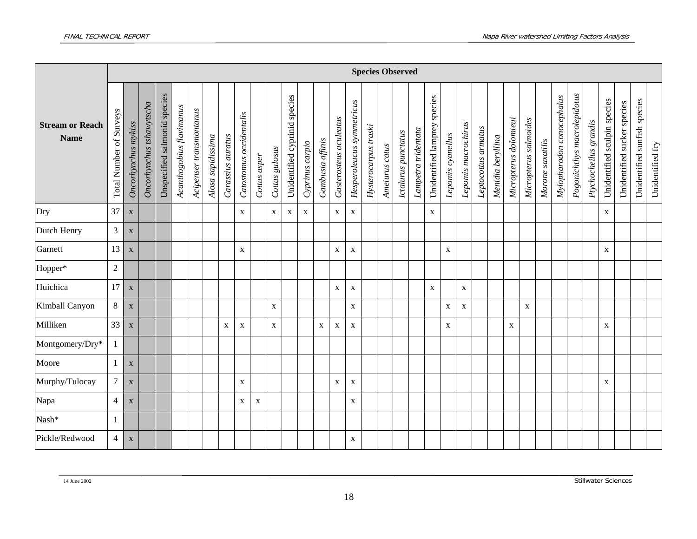|                                       |                         |                           |                          |                              |                          |                         |                   |                   |                         |              |                |                               |                 |                  |                        |                           |                      |                | <b>Species Observed</b> |                     |                              |                   |                     |                     |                   |                       |                       |                  |                           |                             |                       |                              |                                |                              |                  |
|---------------------------------------|-------------------------|---------------------------|--------------------------|------------------------------|--------------------------|-------------------------|-------------------|-------------------|-------------------------|--------------|----------------|-------------------------------|-----------------|------------------|------------------------|---------------------------|----------------------|----------------|-------------------------|---------------------|------------------------------|-------------------|---------------------|---------------------|-------------------|-----------------------|-----------------------|------------------|---------------------------|-----------------------------|-----------------------|------------------------------|--------------------------------|------------------------------|------------------|
| <b>Stream or Reach</b><br><b>Name</b> | Total Number of Surveys | Oncorhynchus mykiss       | Oncorhynchus tshawytscha | Unspecified salmonid species | Acanthogobius flavimanus | Acipenser transmontanus | Alosa sapidissima | Carassius auratus | Catostomus occidentalis | Cottus asper | Cottus gulosus | Unidentified cyprinid species | Cyprinus carpio | Gambusia affinis | Gasterosteus aculeatus | Hesperoleucus symmetricus | Hysterocarpus traski | Ameiurus catus | Ictalurus punctatus     | Lampetra tridentata | Unidentified lamprey species | Lepomis cyanellus | Lepomis macrochirus | Leptocottus armatus | Menidia beryllina | Micropterus dolomieui | Micropterus salmoides | Morone saxatilis | Mylopharodon conocephalus | Pogonichthys macrolepidotus | Ptychocheilus grandis | Unidentified sculpin species | sucker species<br>Unidentified | Unidentified sunfish species | Unidentified fry |
| Dry                                   | 37                      | $\boldsymbol{\mathrm{X}}$ |                          |                              |                          |                         |                   |                   | $\mathbf{X}$            |              | X              | $\mathbf{X}$                  | $\mathbf X$     |                  | $\mathbf{X}$           | $\mathbf X$               |                      |                |                         |                     | $\mathbf X$                  |                   |                     |                     |                   |                       |                       |                  |                           |                             |                       | $\mathbf{X}$                 |                                |                              |                  |
| Dutch Henry                           | 3                       | $\mathbf X$               |                          |                              |                          |                         |                   |                   |                         |              |                |                               |                 |                  |                        |                           |                      |                |                         |                     |                              |                   |                     |                     |                   |                       |                       |                  |                           |                             |                       |                              |                                |                              |                  |
| Garnett                               | 13                      | $\mathbf X$               |                          |                              |                          |                         |                   |                   | $\mathbf X$             |              |                |                               |                 |                  | X                      | $\mathbf X$               |                      |                |                         |                     |                              | $\mathbf X$       |                     |                     |                   |                       |                       |                  |                           |                             |                       | $\mathbf X$                  |                                |                              |                  |
| Hopper*                               | $\overline{2}$          |                           |                          |                              |                          |                         |                   |                   |                         |              |                |                               |                 |                  |                        |                           |                      |                |                         |                     |                              |                   |                     |                     |                   |                       |                       |                  |                           |                             |                       |                              |                                |                              |                  |
| Huichica                              | 17                      | $\mathbf X$               |                          |                              |                          |                         |                   |                   |                         |              |                |                               |                 |                  | $\mathbf X$            | $\mathbf X$               |                      |                |                         |                     | $\mathbf X$                  |                   | $\mathbf X$         |                     |                   |                       |                       |                  |                           |                             |                       |                              |                                |                              |                  |
| Kimball Canyon                        | 8                       | $\mathbf X$               |                          |                              |                          |                         |                   |                   |                         |              | X              |                               |                 |                  |                        | $\mathbf X$               |                      |                |                         |                     |                              | $\mathbf X$       | $\mathbf{X}$        |                     |                   |                       | $\mathbf X$           |                  |                           |                             |                       |                              |                                |                              |                  |
| Milliken                              | 33                      | $\boldsymbol{\mathrm{X}}$ |                          |                              |                          |                         |                   | $\mathbf X$       | $\mathbf X$             |              | X              |                               |                 | X                | X                      | $\mathbf X$               |                      |                |                         |                     |                              | $\mathbf X$       |                     |                     |                   | $\mathbf X$           |                       |                  |                           |                             |                       | $\mathbf X$                  |                                |                              |                  |
| Montgomery/Dry*                       | 1                       |                           |                          |                              |                          |                         |                   |                   |                         |              |                |                               |                 |                  |                        |                           |                      |                |                         |                     |                              |                   |                     |                     |                   |                       |                       |                  |                           |                             |                       |                              |                                |                              |                  |
| Moore                                 | $\mathbf{1}$            | $\mathbf X$               |                          |                              |                          |                         |                   |                   |                         |              |                |                               |                 |                  |                        |                           |                      |                |                         |                     |                              |                   |                     |                     |                   |                       |                       |                  |                           |                             |                       |                              |                                |                              |                  |
| Murphy/Tulocay                        | $\overline{7}$          | $\mathbf X$               |                          |                              |                          |                         |                   |                   | $\mathbf X$             |              |                |                               |                 |                  | X                      | $\mathbf X$               |                      |                |                         |                     |                              |                   |                     |                     |                   |                       |                       |                  |                           |                             |                       | $\mathbf X$                  |                                |                              |                  |
| Napa                                  | $\overline{4}$          | $\mathbf X$               |                          |                              |                          |                         |                   |                   | X                       | X            |                |                               |                 |                  |                        | $\mathbf X$               |                      |                |                         |                     |                              |                   |                     |                     |                   |                       |                       |                  |                           |                             |                       |                              |                                |                              |                  |
| Nash*                                 | 1                       |                           |                          |                              |                          |                         |                   |                   |                         |              |                |                               |                 |                  |                        |                           |                      |                |                         |                     |                              |                   |                     |                     |                   |                       |                       |                  |                           |                             |                       |                              |                                |                              |                  |
| Pickle/Redwood                        | $\overline{4}$          | $\boldsymbol{\mathrm{X}}$ |                          |                              |                          |                         |                   |                   |                         |              |                |                               |                 |                  |                        | X                         |                      |                |                         |                     |                              |                   |                     |                     |                   |                       |                       |                  |                           |                             |                       |                              |                                |                              |                  |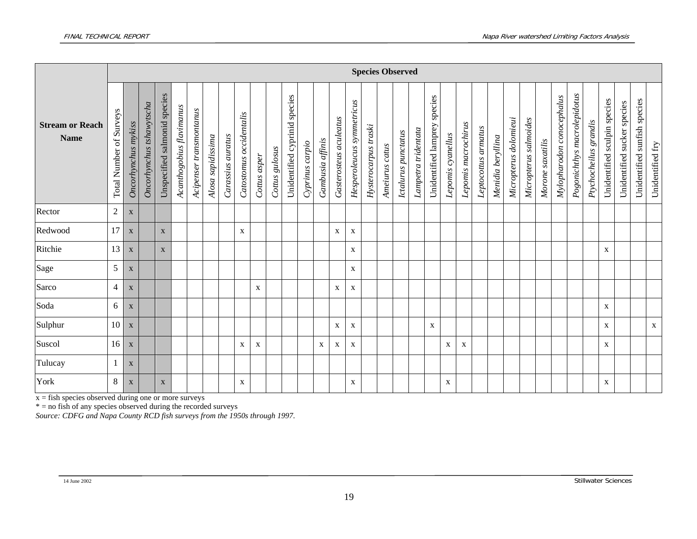|                                       |                                            |                           | <b>Species Observed</b>  |                              |                          |                         |                   |                   |                         |              |                |                                  |                 |                  |                        |                           |                      |                |                     |                     |                                 |                   |                     |                     |                   |                       |                       |                  |                              |                             |                       |                              |                             |                              |                  |
|---------------------------------------|--------------------------------------------|---------------------------|--------------------------|------------------------------|--------------------------|-------------------------|-------------------|-------------------|-------------------------|--------------|----------------|----------------------------------|-----------------|------------------|------------------------|---------------------------|----------------------|----------------|---------------------|---------------------|---------------------------------|-------------------|---------------------|---------------------|-------------------|-----------------------|-----------------------|------------------|------------------------------|-----------------------------|-----------------------|------------------------------|-----------------------------|------------------------------|------------------|
| <b>Stream or Reach</b><br><b>Name</b> | Surveys<br>$\sigma$<br><b>Total Number</b> | Oncorhynchus mykiss       | Oncorhynchus tshawytscha | Unspecified salmonid species | Acanthogobius flavimanus | Acipenser transmontanus | Alosa sapidissima | Carassius auratus | Catostomus occidentalis | Cottus asper | Cottus gulosus | species<br>Unidentified cyprinid | Cyprinus carpio | Gambusia affinis | Gasterosteus aculeatus | Hesperoleucus symmetricus | Hysterocarpus traski | Ameiurus catus | Ictalurus punctatus | Lampetra tridentata | species<br>Unidentified lamprey | Lepomis cyanellus | Lepomis macrochirus | Leptocottus armatus | Menidia beryllina | Micropterus dolomieui | Micropterus salmoides | Morone saxatilis | conocephalus<br>Mylopharodon | Pogonichthys macrolepidotus | Ptychocheilus grandis | Unidentified sculpin species | Unidentified sucker species | Unidentified sunfish species | Unidentified fry |
| Rector                                | $\overline{c}$                             | X                         |                          |                              |                          |                         |                   |                   |                         |              |                |                                  |                 |                  |                        |                           |                      |                |                     |                     |                                 |                   |                     |                     |                   |                       |                       |                  |                              |                             |                       |                              |                             |                              |                  |
| Redwood                               | 17                                         | $\mathbf{X}$              |                          | $\mathbf X$                  |                          |                         |                   |                   | $\mathbf x$             |              |                |                                  |                 |                  | X                      | X                         |                      |                |                     |                     |                                 |                   |                     |                     |                   |                       |                       |                  |                              |                             |                       |                              |                             |                              |                  |
| Ritchie                               | 13                                         | $\mathbf{X}$              |                          | $\mathbf X$                  |                          |                         |                   |                   |                         |              |                |                                  |                 |                  |                        | X                         |                      |                |                     |                     |                                 |                   |                     |                     |                   |                       |                       |                  |                              |                             |                       | X                            |                             |                              |                  |
| Sage                                  | 5                                          | X                         |                          |                              |                          |                         |                   |                   |                         |              |                |                                  |                 |                  |                        | X                         |                      |                |                     |                     |                                 |                   |                     |                     |                   |                       |                       |                  |                              |                             |                       |                              |                             |                              |                  |
| Sarco                                 | $\overline{4}$                             | $\mathbf{X}$              |                          |                              |                          |                         |                   |                   |                         | X            |                |                                  |                 |                  | X                      | X                         |                      |                |                     |                     |                                 |                   |                     |                     |                   |                       |                       |                  |                              |                             |                       |                              |                             |                              |                  |
| Soda                                  | 6                                          | $\mathbf X$               |                          |                              |                          |                         |                   |                   |                         |              |                |                                  |                 |                  |                        |                           |                      |                |                     |                     |                                 |                   |                     |                     |                   |                       |                       |                  |                              |                             |                       | $\mathbf X$                  |                             |                              |                  |
| Sulphur                               | 10                                         | $\mathbf{X}$              |                          |                              |                          |                         |                   |                   |                         |              |                |                                  |                 |                  | X                      | $\mathbf{X}$              |                      |                |                     |                     | $\mathbf X$                     |                   |                     |                     |                   |                       |                       |                  |                              |                             |                       | X                            |                             |                              | $\mathbf X$      |
| Suscol                                | 16                                         | X                         |                          |                              |                          |                         |                   |                   | $\mathbf x$             | X            |                |                                  |                 | X                | X                      | X                         |                      |                |                     |                     |                                 | $\mathbf X$       | $\mathbf X$         |                     |                   |                       |                       |                  |                              |                             |                       | $\mathbf X$                  |                             |                              |                  |
| Tulucay                               |                                            | $\mathbf{X}$              |                          |                              |                          |                         |                   |                   |                         |              |                |                                  |                 |                  |                        |                           |                      |                |                     |                     |                                 |                   |                     |                     |                   |                       |                       |                  |                              |                             |                       |                              |                             |                              |                  |
| York                                  | 8                                          | $\boldsymbol{\mathrm{X}}$ |                          | $\boldsymbol{\mathrm{X}}$    |                          |                         |                   |                   | X                       |              |                |                                  |                 |                  |                        | X                         |                      |                |                     |                     |                                 | X                 |                     |                     |                   |                       |                       |                  |                              |                             |                       | X                            |                             |                              |                  |

x = fish species observed during one or more surveys

\* = no fish of any species observed during the recorded surveys

*Source: CDFG and Napa County RCD fish surveys from the 1950s through 1997.*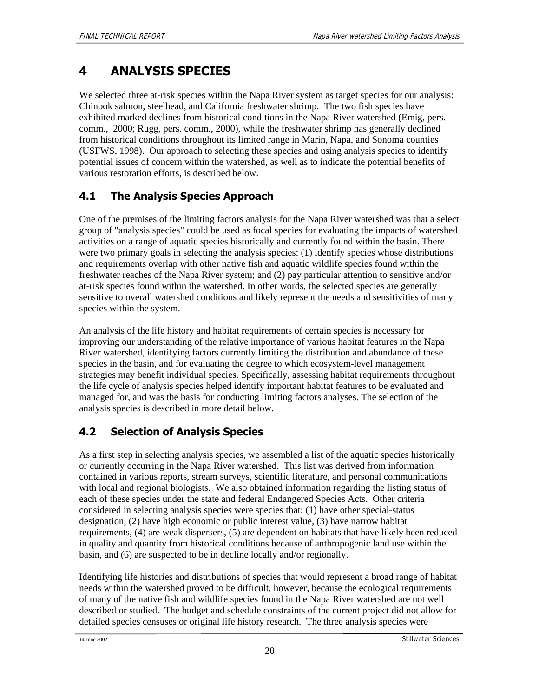# **4 ANALYSIS SPECIES**

We selected three at-risk species within the Napa River system as target species for our analysis: Chinook salmon, steelhead, and California freshwater shrimp. The two fish species have exhibited marked declines from historical conditions in the Napa River watershed (Emig, pers. comm., 2000; Rugg, pers. comm., 2000), while the freshwater shrimp has generally declined from historical conditions throughout its limited range in Marin, Napa, and Sonoma counties (USFWS, 1998). Our approach to selecting these species and using analysis species to identify potential issues of concern within the watershed, as well as to indicate the potential benefits of various restoration efforts, is described below.

# **4.1 The Analysis Species Approach**

One of the premises of the limiting factors analysis for the Napa River watershed was that a select group of "analysis species" could be used as focal species for evaluating the impacts of watershed activities on a range of aquatic species historically and currently found within the basin. There were two primary goals in selecting the analysis species: (1) identify species whose distributions and requirements overlap with other native fish and aquatic wildlife species found within the freshwater reaches of the Napa River system; and (2) pay particular attention to sensitive and/or at-risk species found within the watershed. In other words, the selected species are generally sensitive to overall watershed conditions and likely represent the needs and sensitivities of many species within the system.

An analysis of the life history and habitat requirements of certain species is necessary for improving our understanding of the relative importance of various habitat features in the Napa River watershed, identifying factors currently limiting the distribution and abundance of these species in the basin, and for evaluating the degree to which ecosystem-level management strategies may benefit individual species. Specifically, assessing habitat requirements throughout the life cycle of analysis species helped identify important habitat features to be evaluated and managed for, and was the basis for conducting limiting factors analyses. The selection of the analysis species is described in more detail below.

# **4.2 Selection of Analysis Species**

As a first step in selecting analysis species, we assembled a list of the aquatic species historically or currently occurring in the Napa River watershed. This list was derived from information contained in various reports, stream surveys, scientific literature, and personal communications with local and regional biologists. We also obtained information regarding the listing status of each of these species under the state and federal Endangered Species Acts. Other criteria considered in selecting analysis species were species that: (1) have other special-status designation, (2) have high economic or public interest value, (3) have narrow habitat requirements, (4) are weak dispersers, (5) are dependent on habitats that have likely been reduced in quality and quantity from historical conditions because of anthropogenic land use within the basin, and (6) are suspected to be in decline locally and/or regionally.

Identifying life histories and distributions of species that would represent a broad range of habitat needs within the watershed proved to be difficult, however, because the ecological requirements of many of the native fish and wildlife species found in the Napa River watershed are not well described or studied. The budget and schedule constraints of the current project did not allow for detailed species censuses or original life history research. The three analysis species were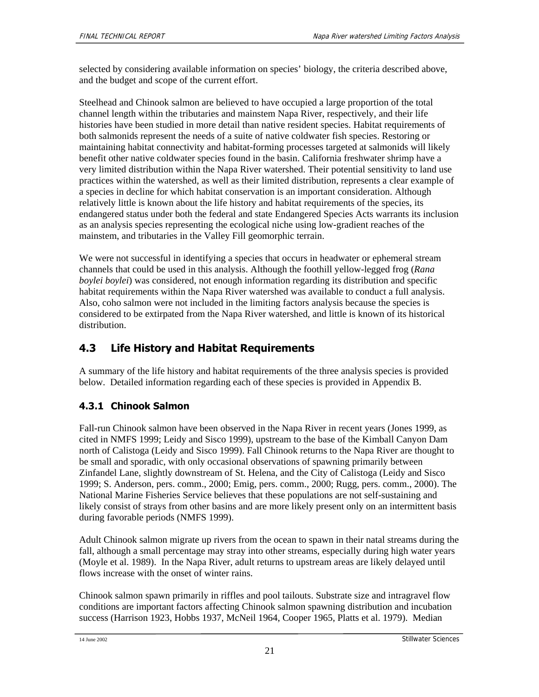selected by considering available information on species' biology, the criteria described above, and the budget and scope of the current effort.

Steelhead and Chinook salmon are believed to have occupied a large proportion of the total channel length within the tributaries and mainstem Napa River, respectively, and their life histories have been studied in more detail than native resident species. Habitat requirements of both salmonids represent the needs of a suite of native coldwater fish species. Restoring or maintaining habitat connectivity and habitat-forming processes targeted at salmonids will likely benefit other native coldwater species found in the basin. California freshwater shrimp have a very limited distribution within the Napa River watershed. Their potential sensitivity to land use practices within the watershed, as well as their limited distribution, represents a clear example of a species in decline for which habitat conservation is an important consideration. Although relatively little is known about the life history and habitat requirements of the species, its endangered status under both the federal and state Endangered Species Acts warrants its inclusion as an analysis species representing the ecological niche using low-gradient reaches of the mainstem, and tributaries in the Valley Fill geomorphic terrain.

We were not successful in identifying a species that occurs in headwater or ephemeral stream channels that could be used in this analysis. Although the foothill yellow-legged frog (*Rana boylei boylei*) was considered, not enough information regarding its distribution and specific habitat requirements within the Napa River watershed was available to conduct a full analysis. Also, coho salmon were not included in the limiting factors analysis because the species is considered to be extirpated from the Napa River watershed, and little is known of its historical distribution.

# **4.3 Life History and Habitat Requirements**

A summary of the life history and habitat requirements of the three analysis species is provided below. Detailed information regarding each of these species is provided in Appendix B.

## **4.3.1 Chinook Salmon**

Fall-run Chinook salmon have been observed in the Napa River in recent years (Jones 1999, as cited in NMFS 1999; Leidy and Sisco 1999), upstream to the base of the Kimball Canyon Dam north of Calistoga (Leidy and Sisco 1999). Fall Chinook returns to the Napa River are thought to be small and sporadic, with only occasional observations of spawning primarily between Zinfandel Lane, slightly downstream of St. Helena, and the City of Calistoga (Leidy and Sisco 1999; S. Anderson, pers. comm., 2000; Emig, pers. comm., 2000; Rugg, pers. comm., 2000). The National Marine Fisheries Service believes that these populations are not self-sustaining and likely consist of strays from other basins and are more likely present only on an intermittent basis during favorable periods (NMFS 1999).

Adult Chinook salmon migrate up rivers from the ocean to spawn in their natal streams during the fall, although a small percentage may stray into other streams, especially during high water years (Moyle et al. 1989). In the Napa River, adult returns to upstream areas are likely delayed until flows increase with the onset of winter rains.

Chinook salmon spawn primarily in riffles and pool tailouts. Substrate size and intragravel flow conditions are important factors affecting Chinook salmon spawning distribution and incubation success (Harrison 1923, Hobbs 1937, McNeil 1964, Cooper 1965, Platts et al. 1979). Median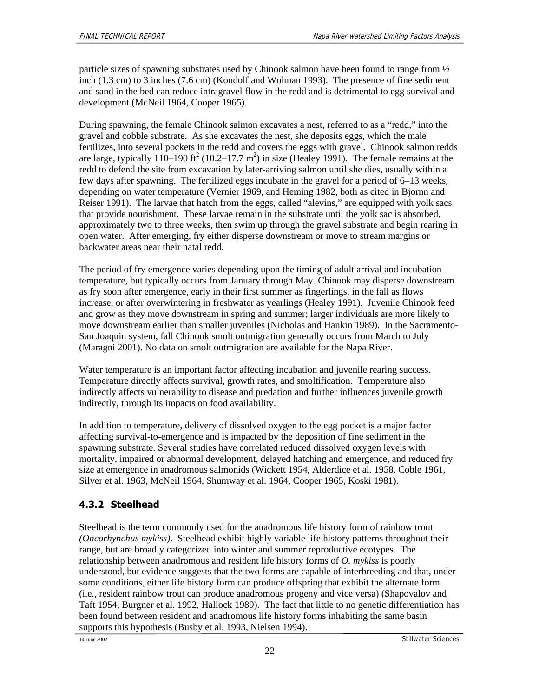particle sizes of spawning substrates used by Chinook salmon have been found to range from ½ inch (1.3 cm) to 3 inches (7.6 cm) (Kondolf and Wolman 1993). The presence of fine sediment and sand in the bed can reduce intragravel flow in the redd and is detrimental to egg survival and development (McNeil 1964, Cooper 1965).

During spawning, the female Chinook salmon excavates a nest, referred to as a "redd," into the gravel and cobble substrate. As she excavates the nest, she deposits eggs, which the male fertilizes, into several pockets in the redd and covers the eggs with gravel. Chinook salmon redds are large, typically 110–190 ft<sup>2</sup> (10.2–17.7 m<sup>2</sup>) in size (Healey 1991). The female remains at the redd to defend the site from excavation by later-arriving salmon until she dies, usually within a few days after spawning. The fertilized eggs incubate in the gravel for a period of 6–13 weeks, depending on water temperature (Vernier 1969, and Heming 1982, both as cited in Bjornn and Reiser 1991). The larvae that hatch from the eggs, called "alevins," are equipped with yolk sacs that provide nourishment. These larvae remain in the substrate until the yolk sac is absorbed, approximately two to three weeks, then swim up through the gravel substrate and begin rearing in open water. After emerging, fry either disperse downstream or move to stream margins or backwater areas near their natal redd.

The period of fry emergence varies depending upon the timing of adult arrival and incubation temperature, but typically occurs from January through May. Chinook may disperse downstream as fry soon after emergence, early in their first summer as fingerlings, in the fall as flows increase, or after overwintering in freshwater as yearlings (Healey 1991). Juvenile Chinook feed and grow as they move downstream in spring and summer; larger individuals are more likely to move downstream earlier than smaller juveniles (Nicholas and Hankin 1989). In the Sacramento-San Joaquin system, fall Chinook smolt outmigration generally occurs from March to July (Maragni 2001). No data on smolt outmigration are available for the Napa River.

Water temperature is an important factor affecting incubation and juvenile rearing success. Temperature directly affects survival, growth rates, and smoltification. Temperature also indirectly affects vulnerability to disease and predation and further influences juvenile growth indirectly, through its impacts on food availability.

In addition to temperature, delivery of dissolved oxygen to the egg pocket is a major factor affecting survival-to-emergence and is impacted by the deposition of fine sediment in the spawning substrate. Several studies have correlated reduced dissolved oxygen levels with mortality, impaired or abnormal development, delayed hatching and emergence, and reduced fry size at emergence in anadromous salmonids (Wickett 1954, Alderdice et al. 1958, Coble 1961, Silver et al. 1963, McNeil 1964, Shumway et al. 1964, Cooper 1965, Koski 1981).

## **4.3.2 Steelhead**

Steelhead is the term commonly used for the anadromous life history form of rainbow trout *(Oncorhynchus mykiss)*. Steelhead exhibit highly variable life history patterns throughout their range, but are broadly categorized into winter and summer reproductive ecotypes. The relationship between anadromous and resident life history forms of *O. mykiss* is poorly understood, but evidence suggests that the two forms are capable of interbreeding and that, under some conditions, either life history form can produce offspring that exhibit the alternate form (i.e., resident rainbow trout can produce anadromous progeny and vice versa) (Shapovalov and Taft 1954, Burgner et al. 1992, Hallock 1989). The fact that little to no genetic differentiation has been found between resident and anadromous life history forms inhabiting the same basin supports this hypothesis (Busby et al. 1993, Nielsen 1994).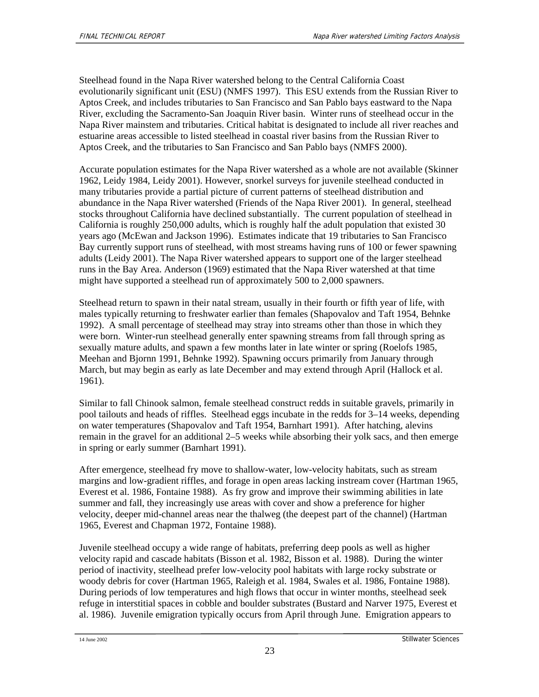Steelhead found in the Napa River watershed belong to the Central California Coast evolutionarily significant unit (ESU) (NMFS 1997). This ESU extends from the Russian River to Aptos Creek, and includes tributaries to San Francisco and San Pablo bays eastward to the Napa River, excluding the Sacramento-San Joaquin River basin. Winter runs of steelhead occur in the Napa River mainstem and tributaries. Critical habitat is designated to include all river reaches and estuarine areas accessible to listed steelhead in coastal river basins from the Russian River to Aptos Creek, and the tributaries to San Francisco and San Pablo bays (NMFS 2000).

Accurate population estimates for the Napa River watershed as a whole are not available (Skinner 1962, Leidy 1984, Leidy 2001). However, snorkel surveys for juvenile steelhead conducted in many tributaries provide a partial picture of current patterns of steelhead distribution and abundance in the Napa River watershed (Friends of the Napa River 2001). In general, steelhead stocks throughout California have declined substantially. The current population of steelhead in California is roughly 250,000 adults, which is roughly half the adult population that existed 30 years ago (McEwan and Jackson 1996). Estimates indicate that 19 tributaries to San Francisco Bay currently support runs of steelhead, with most streams having runs of 100 or fewer spawning adults (Leidy 2001). The Napa River watershed appears to support one of the larger steelhead runs in the Bay Area. Anderson (1969) estimated that the Napa River watershed at that time might have supported a steelhead run of approximately 500 to 2,000 spawners.

Steelhead return to spawn in their natal stream, usually in their fourth or fifth year of life, with males typically returning to freshwater earlier than females (Shapovalov and Taft 1954, Behnke 1992). A small percentage of steelhead may stray into streams other than those in which they were born. Winter-run steelhead generally enter spawning streams from fall through spring as sexually mature adults, and spawn a few months later in late winter or spring (Roelofs 1985, Meehan and Bjornn 1991, Behnke 1992). Spawning occurs primarily from January through March, but may begin as early as late December and may extend through April (Hallock et al. 1961).

Similar to fall Chinook salmon, female steelhead construct redds in suitable gravels, primarily in pool tailouts and heads of riffles. Steelhead eggs incubate in the redds for 3–14 weeks, depending on water temperatures (Shapovalov and Taft 1954, Barnhart 1991). After hatching, alevins remain in the gravel for an additional 2–5 weeks while absorbing their yolk sacs, and then emerge in spring or early summer (Barnhart 1991).

After emergence, steelhead fry move to shallow-water, low-velocity habitats, such as stream margins and low-gradient riffles, and forage in open areas lacking instream cover (Hartman 1965, Everest et al. 1986, Fontaine 1988). As fry grow and improve their swimming abilities in late summer and fall, they increasingly use areas with cover and show a preference for higher velocity, deeper mid-channel areas near the thalweg (the deepest part of the channel) (Hartman 1965, Everest and Chapman 1972, Fontaine 1988).

Juvenile steelhead occupy a wide range of habitats, preferring deep pools as well as higher velocity rapid and cascade habitats (Bisson et al. 1982, Bisson et al. 1988). During the winter period of inactivity, steelhead prefer low-velocity pool habitats with large rocky substrate or woody debris for cover (Hartman 1965, Raleigh et al. 1984, Swales et al. 1986, Fontaine 1988). During periods of low temperatures and high flows that occur in winter months, steelhead seek refuge in interstitial spaces in cobble and boulder substrates (Bustard and Narver 1975, Everest et al. 1986). Juvenile emigration typically occurs from April through June. Emigration appears to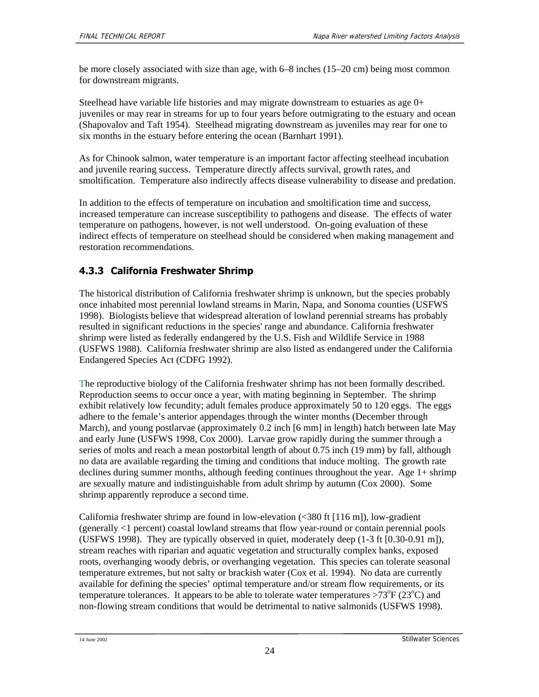be more closely associated with size than age, with 6–8 inches (15–20 cm) being most common for downstream migrants.

Steelhead have variable life histories and may migrate downstream to estuaries as age 0+ juveniles or may rear in streams for up to four years before outmigrating to the estuary and ocean (Shapovalov and Taft 1954). Steelhead migrating downstream as juveniles may rear for one to six months in the estuary before entering the ocean (Barnhart 1991).

As for Chinook salmon, water temperature is an important factor affecting steelhead incubation and juvenile rearing success. Temperature directly affects survival, growth rates, and smoltification. Temperature also indirectly affects disease vulnerability to disease and predation.

In addition to the effects of temperature on incubation and smoltification time and success, increased temperature can increase susceptibility to pathogens and disease. The effects of water temperature on pathogens, however, is not well understood. On-going evaluation of these indirect effects of temperature on steelhead should be considered when making management and restoration recommendations.

## **4.3.3 California Freshwater Shrimp**

The historical distribution of California freshwater shrimp is unknown, but the species probably once inhabited most perennial lowland streams in Marin, Napa, and Sonoma counties (USFWS 1998). Biologists believe that widespread alteration of lowland perennial streams has probably resulted in significant reductions in the species' range and abundance. California freshwater shrimp were listed as federally endangered by the U.S. Fish and Wildlife Service in 1988 (USFWS 1988). California freshwater shrimp are also listed as endangered under the California Endangered Species Act (CDFG 1992).

The reproductive biology of the California freshwater shrimp has not been formally described. Reproduction seems to occur once a year, with mating beginning in September. The shrimp exhibit relatively low fecundity; adult females produce approximately 50 to 120 eggs. The eggs adhere to the female's anterior appendages through the winter months (December through March), and young postlarvae (approximately 0.2 inch [6 mm] in length) hatch between late May and early June (USFWS 1998, Cox 2000). Larvae grow rapidly during the summer through a series of molts and reach a mean postorbital length of about 0.75 inch (19 mm) by fall, although no data are available regarding the timing and conditions that induce molting. The growth rate declines during summer months, although feeding continues throughout the year. Age 1+ shrimp are sexually mature and indistinguishable from adult shrimp by autumn (Cox 2000). Some shrimp apparently reproduce a second time.

California freshwater shrimp are found in low-elevation (<380 ft [116 m]), low-gradient (generally <1 percent) coastal lowland streams that flow year-round or contain perennial pools (USFWS 1998). They are typically observed in quiet, moderately deep (1-3 ft [0.30-0.91 m]), stream reaches with riparian and aquatic vegetation and structurally complex banks, exposed roots, overhanging woody debris, or overhanging vegetation. This species can tolerate seasonal temperature extremes, but not salty or brackish water (Cox et al. 1994). No data are currently available for defining the species' optimal temperature and/or stream flow requirements, or its temperature tolerances. It appears to be able to tolerate water temperatures > $73^{\circ}F(23^{\circ}C)$  and non-flowing stream conditions that would be detrimental to native salmonids (USFWS 1998).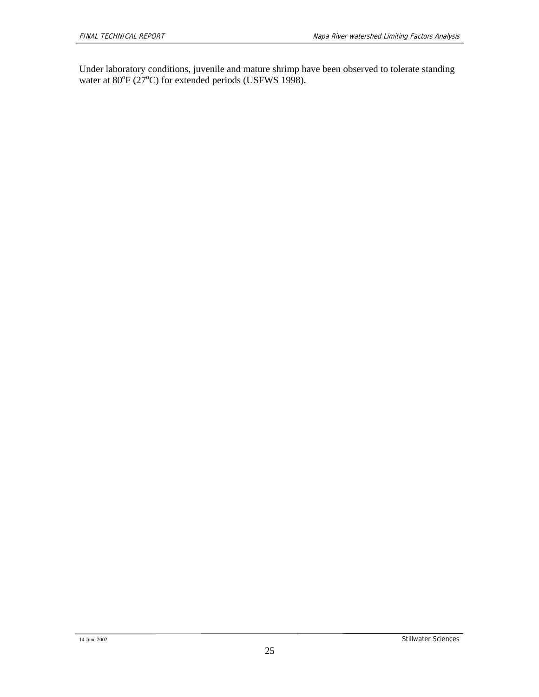Under laboratory conditions, juvenile and mature shrimp have been observed to tolerate standing water at  $80^{\circ}$ F (27 $^{\circ}$ C) for extended periods (USFWS 1998).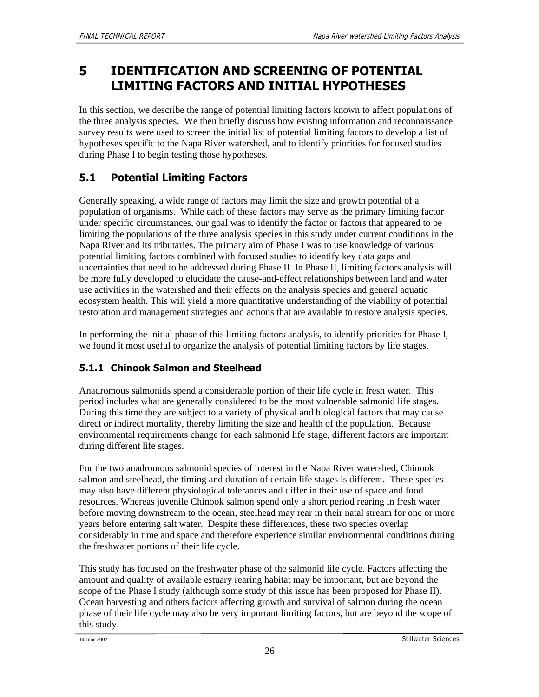## **5 IDENTIFICATION AND SCREENING OF POTENTIAL LIMITING FACTORS AND INITIAL HYPOTHESES**

In this section, we describe the range of potential limiting factors known to affect populations of the three analysis species. We then briefly discuss how existing information and reconnaissance survey results were used to screen the initial list of potential limiting factors to develop a list of hypotheses specific to the Napa River watershed, and to identify priorities for focused studies during Phase I to begin testing those hypotheses.

## **5.1 Potential Limiting Factors**

Generally speaking, a wide range of factors may limit the size and growth potential of a population of organisms. While each of these factors may serve as the primary limiting factor under specific circumstances, our goal was to identify the factor or factors that appeared to be limiting the populations of the three analysis species in this study under current conditions in the Napa River and its tributaries. The primary aim of Phase I was to use knowledge of various potential limiting factors combined with focused studies to identify key data gaps and uncertainties that need to be addressed during Phase II. In Phase II, limiting factors analysis will be more fully developed to elucidate the cause-and-effect relationships between land and water use activities in the watershed and their effects on the analysis species and general aquatic ecosystem health. This will yield a more quantitative understanding of the viability of potential restoration and management strategies and actions that are available to restore analysis species.

In performing the initial phase of this limiting factors analysis, to identify priorities for Phase I, we found it most useful to organize the analysis of potential limiting factors by life stages.

## **5.1.1 Chinook Salmon and Steelhead**

Anadromous salmonids spend a considerable portion of their life cycle in fresh water. This period includes what are generally considered to be the most vulnerable salmonid life stages. During this time they are subject to a variety of physical and biological factors that may cause direct or indirect mortality, thereby limiting the size and health of the population. Because environmental requirements change for each salmonid life stage, different factors are important during different life stages.

For the two anadromous salmonid species of interest in the Napa River watershed, Chinook salmon and steelhead, the timing and duration of certain life stages is different. These species may also have different physiological tolerances and differ in their use of space and food resources. Whereas juvenile Chinook salmon spend only a short period rearing in fresh water before moving downstream to the ocean, steelhead may rear in their natal stream for one or more years before entering salt water. Despite these differences, these two species overlap considerably in time and space and therefore experience similar environmental conditions during the freshwater portions of their life cycle.

This study has focused on the freshwater phase of the salmonid life cycle. Factors affecting the amount and quality of available estuary rearing habitat may be important, but are beyond the scope of the Phase I study (although some study of this issue has been proposed for Phase II). Ocean harvesting and others factors affecting growth and survival of salmon during the ocean phase of their life cycle may also be very important limiting factors, but are beyond the scope of this study.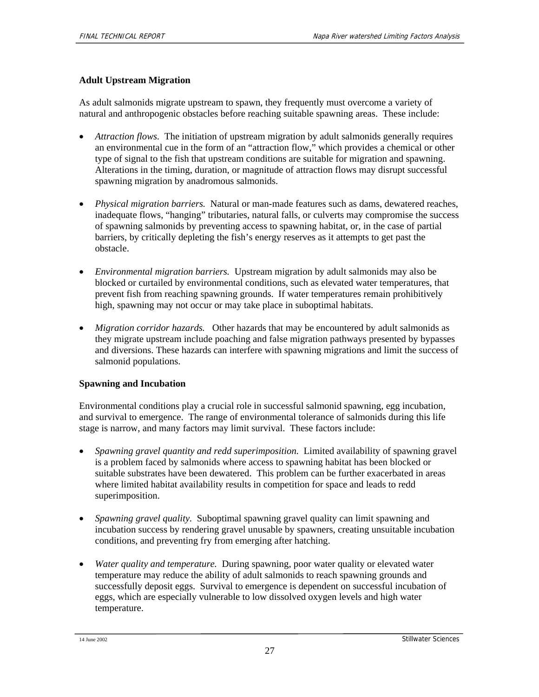### **Adult Upstream Migration**

As adult salmonids migrate upstream to spawn, they frequently must overcome a variety of natural and anthropogenic obstacles before reaching suitable spawning areas. These include:

- *Attraction flows.* The initiation of upstream migration by adult salmonids generally requires an environmental cue in the form of an "attraction flow," which provides a chemical or other type of signal to the fish that upstream conditions are suitable for migration and spawning. Alterations in the timing, duration, or magnitude of attraction flows may disrupt successful spawning migration by anadromous salmonids.
- *Physical migration barriers.* Natural or man-made features such as dams, dewatered reaches, inadequate flows, "hanging" tributaries, natural falls, or culverts may compromise the success of spawning salmonids by preventing access to spawning habitat, or, in the case of partial barriers, by critically depleting the fish's energy reserves as it attempts to get past the obstacle.
- *Environmental migration barriers.* Upstream migration by adult salmonids may also be blocked or curtailed by environmental conditions, such as elevated water temperatures, that prevent fish from reaching spawning grounds. If water temperatures remain prohibitively high, spawning may not occur or may take place in suboptimal habitats.
- *Migration corridor hazards.* Other hazards that may be encountered by adult salmonids as they migrate upstream include poaching and false migration pathways presented by bypasses and diversions. These hazards can interfere with spawning migrations and limit the success of salmonid populations.

#### **Spawning and Incubation**

Environmental conditions play a crucial role in successful salmonid spawning, egg incubation, and survival to emergence. The range of environmental tolerance of salmonids during this life stage is narrow, and many factors may limit survival. These factors include:

- *Spawning gravel quantity and redd superimposition.* Limited availability of spawning gravel is a problem faced by salmonids where access to spawning habitat has been blocked or suitable substrates have been dewatered. This problem can be further exacerbated in areas where limited habitat availability results in competition for space and leads to redd superimposition.
- *Spawning gravel quality.* Suboptimal spawning gravel quality can limit spawning and incubation success by rendering gravel unusable by spawners, creating unsuitable incubation conditions, and preventing fry from emerging after hatching.
- *Water quality and temperature.* During spawning, poor water quality or elevated water temperature may reduce the ability of adult salmonids to reach spawning grounds and successfully deposit eggs. Survival to emergence is dependent on successful incubation of eggs, which are especially vulnerable to low dissolved oxygen levels and high water temperature.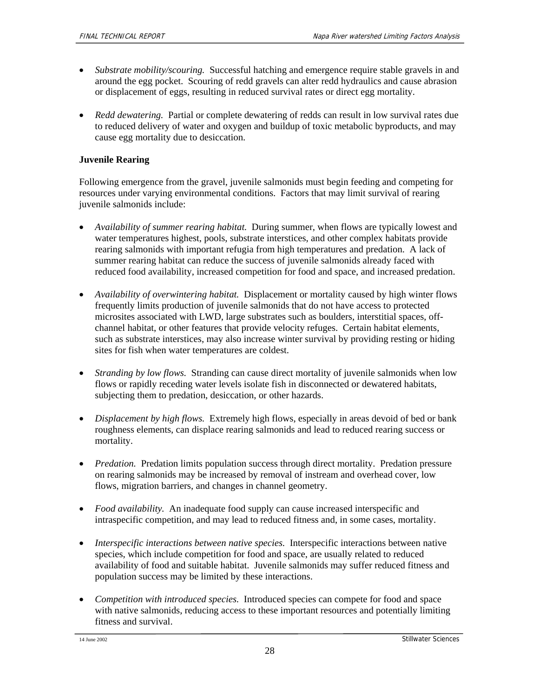- *Substrate mobility/scouring.* Successful hatching and emergence require stable gravels in and around the egg pocket. Scouring of redd gravels can alter redd hydraulics and cause abrasion or displacement of eggs, resulting in reduced survival rates or direct egg mortality.
- *Redd dewatering.* Partial or complete dewatering of redds can result in low survival rates due to reduced delivery of water and oxygen and buildup of toxic metabolic byproducts, and may cause egg mortality due to desiccation.

### **Juvenile Rearing**

Following emergence from the gravel, juvenile salmonids must begin feeding and competing for resources under varying environmental conditions. Factors that may limit survival of rearing juvenile salmonids include:

- *Availability of summer rearing habitat.* During summer, when flows are typically lowest and water temperatures highest, pools, substrate interstices, and other complex habitats provide rearing salmonids with important refugia from high temperatures and predation. A lack of summer rearing habitat can reduce the success of juvenile salmonids already faced with reduced food availability, increased competition for food and space, and increased predation.
- *Availability of overwintering habitat.* Displacement or mortality caused by high winter flows frequently limits production of juvenile salmonids that do not have access to protected microsites associated with LWD, large substrates such as boulders, interstitial spaces, offchannel habitat, or other features that provide velocity refuges. Certain habitat elements, such as substrate interstices, may also increase winter survival by providing resting or hiding sites for fish when water temperatures are coldest.
- *Stranding by low flows.* Stranding can cause direct mortality of juvenile salmonids when low flows or rapidly receding water levels isolate fish in disconnected or dewatered habitats, subjecting them to predation, desiccation, or other hazards.
- *Displacement by high flows.* Extremely high flows, especially in areas devoid of bed or bank roughness elements, can displace rearing salmonids and lead to reduced rearing success or mortality.
- *Predation.* Predation limits population success through direct mortality. Predation pressure on rearing salmonids may be increased by removal of instream and overhead cover, low flows, migration barriers, and changes in channel geometry.
- *Food availability.* An inadequate food supply can cause increased interspecific and intraspecific competition, and may lead to reduced fitness and, in some cases, mortality.
- *Interspecific interactions between native species.* Interspecific interactions between native species, which include competition for food and space, are usually related to reduced availability of food and suitable habitat. Juvenile salmonids may suffer reduced fitness and population success may be limited by these interactions.
- *Competition with introduced species.* Introduced species can compete for food and space with native salmonids, reducing access to these important resources and potentially limiting fitness and survival.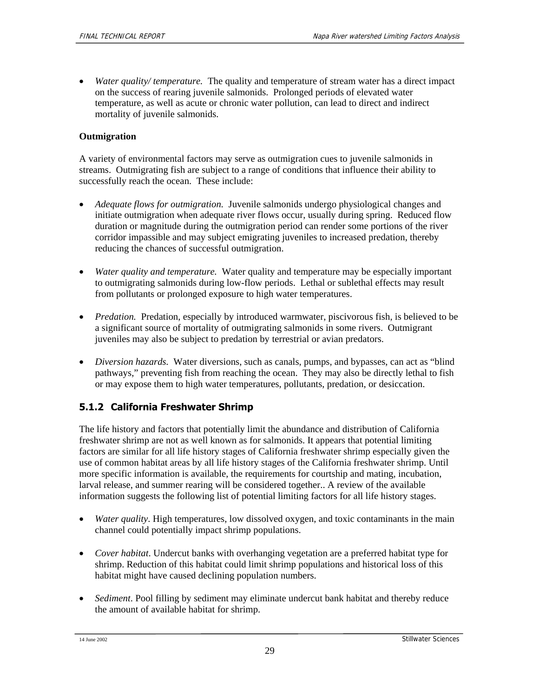• *Water quality/ temperature.* The quality and temperature of stream water has a direct impact on the success of rearing juvenile salmonids. Prolonged periods of elevated water temperature, as well as acute or chronic water pollution, can lead to direct and indirect mortality of juvenile salmonids.

#### **Outmigration**

A variety of environmental factors may serve as outmigration cues to juvenile salmonids in streams. Outmigrating fish are subject to a range of conditions that influence their ability to successfully reach the ocean. These include:

- *Adequate flows for outmigration.* Juvenile salmonids undergo physiological changes and initiate outmigration when adequate river flows occur, usually during spring. Reduced flow duration or magnitude during the outmigration period can render some portions of the river corridor impassible and may subject emigrating juveniles to increased predation, thereby reducing the chances of successful outmigration.
- *Water quality and temperature.* Water quality and temperature may be especially important to outmigrating salmonids during low-flow periods. Lethal or sublethal effects may result from pollutants or prolonged exposure to high water temperatures.
- *Predation.* Predation, especially by introduced warmwater, piscivorous fish, is believed to be a significant source of mortality of outmigrating salmonids in some rivers. Outmigrant juveniles may also be subject to predation by terrestrial or avian predators.
- *Diversion hazards.* Water diversions, such as canals, pumps, and bypasses, can act as "blind pathways," preventing fish from reaching the ocean. They may also be directly lethal to fish or may expose them to high water temperatures, pollutants, predation, or desiccation.

#### **5.1.2 California Freshwater Shrimp**

The life history and factors that potentially limit the abundance and distribution of California freshwater shrimp are not as well known as for salmonids. It appears that potential limiting factors are similar for all life history stages of California freshwater shrimp especially given the use of common habitat areas by all life history stages of the California freshwater shrimp. Until more specific information is available, the requirements for courtship and mating, incubation, larval release, and summer rearing will be considered together.. A review of the available information suggests the following list of potential limiting factors for all life history stages.

- *Water quality*. High temperatures, low dissolved oxygen, and toxic contaminants in the main channel could potentially impact shrimp populations.
- *Cover habitat*. Undercut banks with overhanging vegetation are a preferred habitat type for shrimp. Reduction of this habitat could limit shrimp populations and historical loss of this habitat might have caused declining population numbers.
- *Sediment*. Pool filling by sediment may eliminate undercut bank habitat and thereby reduce the amount of available habitat for shrimp.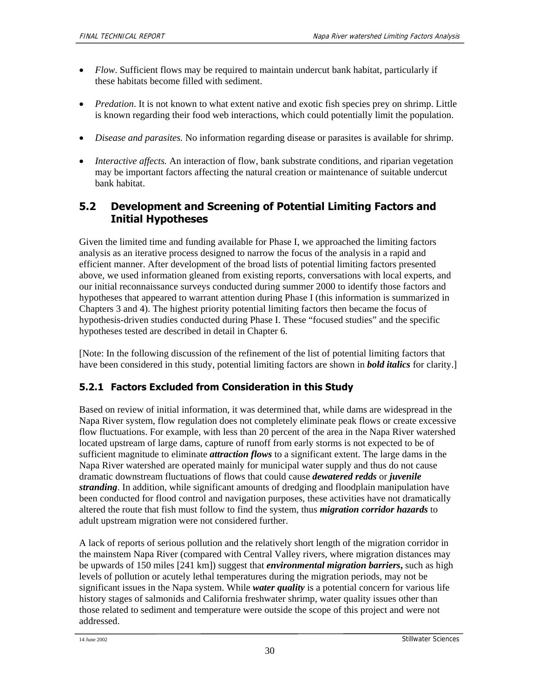- *Flow*. Sufficient flows may be required to maintain undercut bank habitat, particularly if these habitats become filled with sediment.
- *Predation*. It is not known to what extent native and exotic fish species prey on shrimp. Little is known regarding their food web interactions, which could potentially limit the population.
- *Disease and parasites.* No information regarding disease or parasites is available for shrimp.
- *Interactive affects*. An interaction of flow, bank substrate conditions, and riparian vegetation may be important factors affecting the natural creation or maintenance of suitable undercut bank habitat.

## **5.2 Development and Screening of Potential Limiting Factors and Initial Hypotheses**

Given the limited time and funding available for Phase I, we approached the limiting factors analysis as an iterative process designed to narrow the focus of the analysis in a rapid and efficient manner. After development of the broad lists of potential limiting factors presented above, we used information gleaned from existing reports, conversations with local experts, and our initial reconnaissance surveys conducted during summer 2000 to identify those factors and hypotheses that appeared to warrant attention during Phase I (this information is summarized in Chapters 3 and 4). The highest priority potential limiting factors then became the focus of hypothesis-driven studies conducted during Phase I. These "focused studies" and the specific hypotheses tested are described in detail in Chapter 6.

[Note: In the following discussion of the refinement of the list of potential limiting factors that have been considered in this study, potential limiting factors are shown in *bold italics* for clarity.]

## **5.2.1 Factors Excluded from Consideration in this Study**

Based on review of initial information, it was determined that, while dams are widespread in the Napa River system, flow regulation does not completely eliminate peak flows or create excessive flow fluctuations. For example, with less than 20 percent of the area in the Napa River watershed located upstream of large dams, capture of runoff from early storms is not expected to be of sufficient magnitude to eliminate *attraction flows* to a significant extent. The large dams in the Napa River watershed are operated mainly for municipal water supply and thus do not cause dramatic downstream fluctuations of flows that could cause *dewatered redds* or *juvenile stranding*. In addition, while significant amounts of dredging and floodplain manipulation have been conducted for flood control and navigation purposes, these activities have not dramatically altered the route that fish must follow to find the system, thus *migration corridor hazards* to adult upstream migration were not considered further.

A lack of reports of serious pollution and the relatively short length of the migration corridor in the mainstem Napa River (compared with Central Valley rivers, where migration distances may be upwards of 150 miles [241 km]) suggest that *environmental migration barriers***,** such as high levels of pollution or acutely lethal temperatures during the migration periods, may not be significant issues in the Napa system. While *water quality* is a potential concern for various life history stages of salmonids and California freshwater shrimp, water quality issues other than those related to sediment and temperature were outside the scope of this project and were not addressed.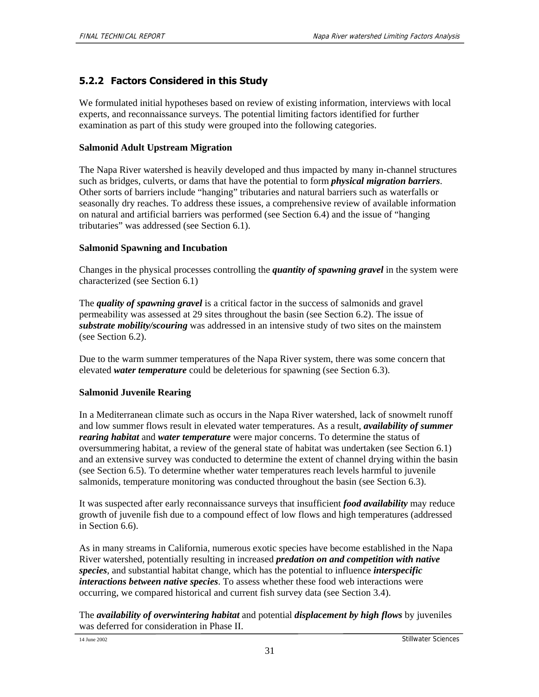### **5.2.2 Factors Considered in this Study**

We formulated initial hypotheses based on review of existing information, interviews with local experts, and reconnaissance surveys. The potential limiting factors identified for further examination as part of this study were grouped into the following categories.

#### **Salmonid Adult Upstream Migration**

The Napa River watershed is heavily developed and thus impacted by many in-channel structures such as bridges, culverts, or dams that have the potential to form *physical migration barriers*. Other sorts of barriers include "hanging" tributaries and natural barriers such as waterfalls or seasonally dry reaches. To address these issues, a comprehensive review of available information on natural and artificial barriers was performed (see Section 6.4) and the issue of "hanging tributaries" was addressed (see Section 6.1).

#### **Salmonid Spawning and Incubation**

Changes in the physical processes controlling the *quantity of spawning gravel* in the system were characterized (see Section 6.1)

The *quality of spawning gravel* is a critical factor in the success of salmonids and gravel permeability was assessed at 29 sites throughout the basin (see Section 6.2). The issue of *substrate mobility/scouring* was addressed in an intensive study of two sites on the mainstem (see Section 6.2).

Due to the warm summer temperatures of the Napa River system, there was some concern that elevated *water temperature* could be deleterious for spawning (see Section 6.3).

#### **Salmonid Juvenile Rearing**

In a Mediterranean climate such as occurs in the Napa River watershed, lack of snowmelt runoff and low summer flows result in elevated water temperatures. As a result, *availability of summer rearing habitat* and *water temperature* were major concerns. To determine the status of oversummering habitat, a review of the general state of habitat was undertaken (see Section 6.1) and an extensive survey was conducted to determine the extent of channel drying within the basin (see Section 6.5). To determine whether water temperatures reach levels harmful to juvenile salmonids, temperature monitoring was conducted throughout the basin (see Section 6.3).

It was suspected after early reconnaissance surveys that insufficient *food availability* may reduce growth of juvenile fish due to a compound effect of low flows and high temperatures (addressed in Section 6.6).

As in many streams in California, numerous exotic species have become established in the Napa River watershed, potentially resulting in increased *predation on and competition with native species*, and substantial habitat change, which has the potential to influence *interspecific interactions between native species*. To assess whether these food web interactions were occurring, we compared historical and current fish survey data (see Section 3.4).

The *availability of overwintering habitat* and potential *displacement by high flows* by juveniles was deferred for consideration in Phase II.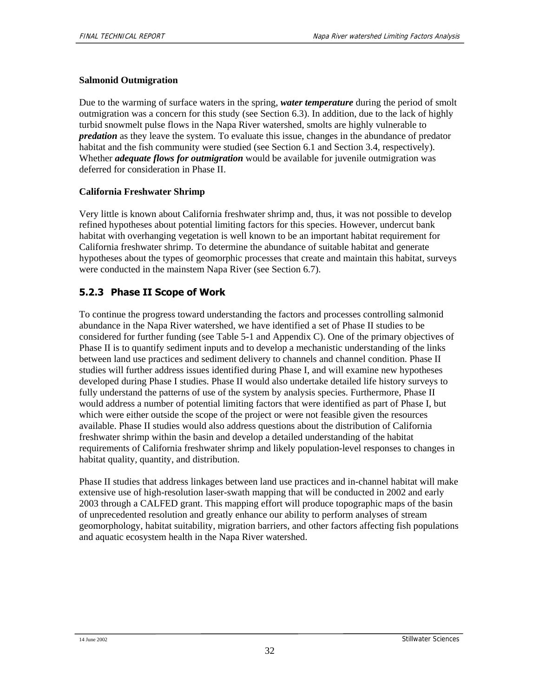### **Salmonid Outmigration**

Due to the warming of surface waters in the spring, *water temperature* during the period of smolt outmigration was a concern for this study (see Section 6.3). In addition, due to the lack of highly turbid snowmelt pulse flows in the Napa River watershed, smolts are highly vulnerable to *predation* as they leave the system. To evaluate this issue, changes in the abundance of predator habitat and the fish community were studied (see Section 6.1 and Section 3.4, respectively). Whether *adequate flows for outmigration* would be available for juvenile outmigration was deferred for consideration in Phase II.

### **California Freshwater Shrimp**

Very little is known about California freshwater shrimp and, thus, it was not possible to develop refined hypotheses about potential limiting factors for this species. However, undercut bank habitat with overhanging vegetation is well known to be an important habitat requirement for California freshwater shrimp. To determine the abundance of suitable habitat and generate hypotheses about the types of geomorphic processes that create and maintain this habitat, surveys were conducted in the mainstem Napa River (see Section 6.7).

### **5.2.3 Phase II Scope of Work**

To continue the progress toward understanding the factors and processes controlling salmonid abundance in the Napa River watershed, we have identified a set of Phase II studies to be considered for further funding (see Table 5-1 and Appendix C). One of the primary objectives of Phase II is to quantify sediment inputs and to develop a mechanistic understanding of the links between land use practices and sediment delivery to channels and channel condition. Phase II studies will further address issues identified during Phase I, and will examine new hypotheses developed during Phase I studies. Phase II would also undertake detailed life history surveys to fully understand the patterns of use of the system by analysis species. Furthermore, Phase II would address a number of potential limiting factors that were identified as part of Phase I, but which were either outside the scope of the project or were not feasible given the resources available. Phase II studies would also address questions about the distribution of California freshwater shrimp within the basin and develop a detailed understanding of the habitat requirements of California freshwater shrimp and likely population-level responses to changes in habitat quality, quantity, and distribution.

Phase II studies that address linkages between land use practices and in-channel habitat will make extensive use of high-resolution laser-swath mapping that will be conducted in 2002 and early 2003 through a CALFED grant. This mapping effort will produce topographic maps of the basin of unprecedented resolution and greatly enhance our ability to perform analyses of stream geomorphology, habitat suitability, migration barriers, and other factors affecting fish populations and aquatic ecosystem health in the Napa River watershed.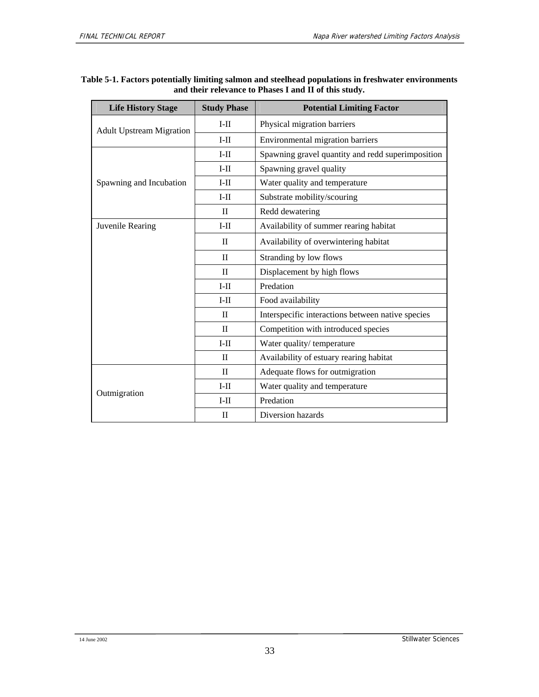| <b>Life History Stage</b>       | <b>Study Phase</b> | <b>Potential Limiting Factor</b>                  |  |
|---------------------------------|--------------------|---------------------------------------------------|--|
| <b>Adult Upstream Migration</b> | $I-II$             | Physical migration barriers                       |  |
|                                 | $I-II$             | Environmental migration barriers                  |  |
|                                 | $I-II$             | Spawning gravel quantity and redd superimposition |  |
|                                 | $I-II$             | Spawning gravel quality                           |  |
| Spawning and Incubation         | $I-II$             | Water quality and temperature                     |  |
|                                 | $I-II$             | Substrate mobility/scouring                       |  |
|                                 | $\mathbf{I}$       | Redd dewatering                                   |  |
| Juvenile Rearing                | $I-II$             | Availability of summer rearing habitat            |  |
|                                 | $\mathbf{I}$       | Availability of overwintering habitat             |  |
|                                 | $\mathbf{I}$       | Stranding by low flows                            |  |
|                                 | $\mathbf{I}$       | Displacement by high flows                        |  |
|                                 | $I-II$             | Predation                                         |  |
|                                 | $I-II$             | Food availability                                 |  |
|                                 | $\mathbf{I}$       | Interspecific interactions between native species |  |
|                                 | $\mathbf{I}$       | Competition with introduced species               |  |
|                                 | $I-II$             | Water quality/temperature                         |  |
|                                 | $\mathbf{I}$       | Availability of estuary rearing habitat           |  |
|                                 | $\mathbf{I}$       | Adequate flows for outmigration                   |  |
|                                 | $I-II$             | Water quality and temperature                     |  |
| Outmigration                    | $I-II$             | Predation                                         |  |
|                                 | $\mathbf{I}$       | Diversion hazards                                 |  |

#### **Table 5-1. Factors potentially limiting salmon and steelhead populations in freshwater environments and their relevance to Phases I and II of this study.**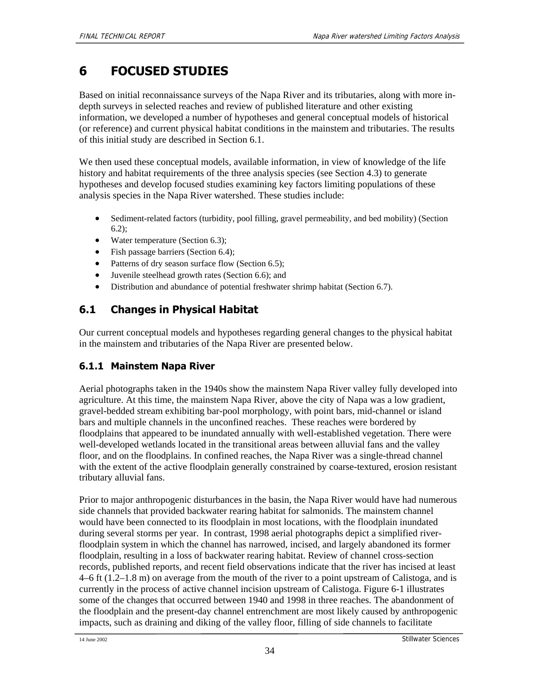# **6 FOCUSED STUDIES**

Based on initial reconnaissance surveys of the Napa River and its tributaries, along with more indepth surveys in selected reaches and review of published literature and other existing information, we developed a number of hypotheses and general conceptual models of historical (or reference) and current physical habitat conditions in the mainstem and tributaries. The results of this initial study are described in Section 6.1.

We then used these conceptual models, available information, in view of knowledge of the life history and habitat requirements of the three analysis species (see Section 4.3) to generate hypotheses and develop focused studies examining key factors limiting populations of these analysis species in the Napa River watershed. These studies include:

- Sediment-related factors (turbidity, pool filling, gravel permeability, and bed mobility) (Section 6.2);
- Water temperature (Section 6.3);
- Fish passage barriers (Section 6.4);
- Patterns of dry season surface flow (Section 6.5);
- Juvenile steelhead growth rates (Section 6.6); and
- Distribution and abundance of potential freshwater shrimp habitat (Section 6.7).

## **6.1 Changes in Physical Habitat**

Our current conceptual models and hypotheses regarding general changes to the physical habitat in the mainstem and tributaries of the Napa River are presented below.

### **6.1.1 Mainstem Napa River**

Aerial photographs taken in the 1940s show the mainstem Napa River valley fully developed into agriculture. At this time, the mainstem Napa River, above the city of Napa was a low gradient, gravel-bedded stream exhibiting bar-pool morphology, with point bars, mid-channel or island bars and multiple channels in the unconfined reaches. These reaches were bordered by floodplains that appeared to be inundated annually with well-established vegetation. There were well-developed wetlands located in the transitional areas between alluvial fans and the valley floor, and on the floodplains. In confined reaches, the Napa River was a single-thread channel with the extent of the active floodplain generally constrained by coarse-textured, erosion resistant tributary alluvial fans.

Prior to major anthropogenic disturbances in the basin, the Napa River would have had numerous side channels that provided backwater rearing habitat for salmonids. The mainstem channel would have been connected to its floodplain in most locations, with the floodplain inundated during several storms per year. In contrast, 1998 aerial photographs depict a simplified riverfloodplain system in which the channel has narrowed, incised, and largely abandoned its former floodplain, resulting in a loss of backwater rearing habitat. Review of channel cross-section records, published reports, and recent field observations indicate that the river has incised at least 4–6 ft (1.2–1.8 m) on average from the mouth of the river to a point upstream of Calistoga, and is currently in the process of active channel incision upstream of Calistoga. Figure 6-1 illustrates some of the changes that occurred between 1940 and 1998 in three reaches. The abandonment of the floodplain and the present-day channel entrenchment are most likely caused by anthropogenic impacts, such as draining and diking of the valley floor, filling of side channels to facilitate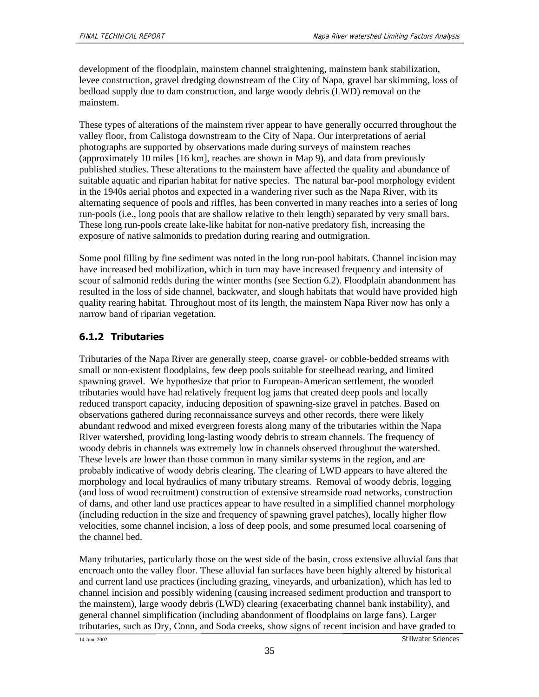development of the floodplain, mainstem channel straightening, mainstem bank stabilization, levee construction, gravel dredging downstream of the City of Napa, gravel bar skimming, loss of bedload supply due to dam construction, and large woody debris (LWD) removal on the mainstem.

These types of alterations of the mainstem river appear to have generally occurred throughout the valley floor, from Calistoga downstream to the City of Napa. Our interpretations of aerial photographs are supported by observations made during surveys of mainstem reaches (approximately 10 miles [16 km], reaches are shown in Map 9), and data from previously published studies. These alterations to the mainstem have affected the quality and abundance of suitable aquatic and riparian habitat for native species. The natural bar-pool morphology evident in the 1940s aerial photos and expected in a wandering river such as the Napa River, with its alternating sequence of pools and riffles, has been converted in many reaches into a series of long run-pools (i.e., long pools that are shallow relative to their length) separated by very small bars. These long run-pools create lake-like habitat for non-native predatory fish, increasing the exposure of native salmonids to predation during rearing and outmigration.

Some pool filling by fine sediment was noted in the long run-pool habitats. Channel incision may have increased bed mobilization, which in turn may have increased frequency and intensity of scour of salmonid redds during the winter months (see Section 6.2). Floodplain abandonment has resulted in the loss of side channel, backwater, and slough habitats that would have provided high quality rearing habitat. Throughout most of its length, the mainstem Napa River now has only a narrow band of riparian vegetation.

## **6.1.2 Tributaries**

Tributaries of the Napa River are generally steep, coarse gravel- or cobble-bedded streams with small or non-existent floodplains, few deep pools suitable for steelhead rearing, and limited spawning gravel. We hypothesize that prior to European-American settlement, the wooded tributaries would have had relatively frequent log jams that created deep pools and locally reduced transport capacity, inducing deposition of spawning-size gravel in patches. Based on observations gathered during reconnaissance surveys and other records, there were likely abundant redwood and mixed evergreen forests along many of the tributaries within the Napa River watershed, providing long-lasting woody debris to stream channels. The frequency of woody debris in channels was extremely low in channels observed throughout the watershed. These levels are lower than those common in many similar systems in the region, and are probably indicative of woody debris clearing. The clearing of LWD appears to have altered the morphology and local hydraulics of many tributary streams. Removal of woody debris, logging (and loss of wood recruitment) construction of extensive streamside road networks, construction of dams, and other land use practices appear to have resulted in a simplified channel morphology (including reduction in the size and frequency of spawning gravel patches), locally higher flow velocities, some channel incision, a loss of deep pools, and some presumed local coarsening of the channel bed.

Many tributaries, particularly those on the west side of the basin, cross extensive alluvial fans that encroach onto the valley floor. These alluvial fan surfaces have been highly altered by historical and current land use practices (including grazing, vineyards, and urbanization), which has led to channel incision and possibly widening (causing increased sediment production and transport to the mainstem), large woody debris (LWD) clearing (exacerbating channel bank instability), and general channel simplification (including abandonment of floodplains on large fans). Larger tributaries, such as Dry, Conn, and Soda creeks, show signs of recent incision and have graded to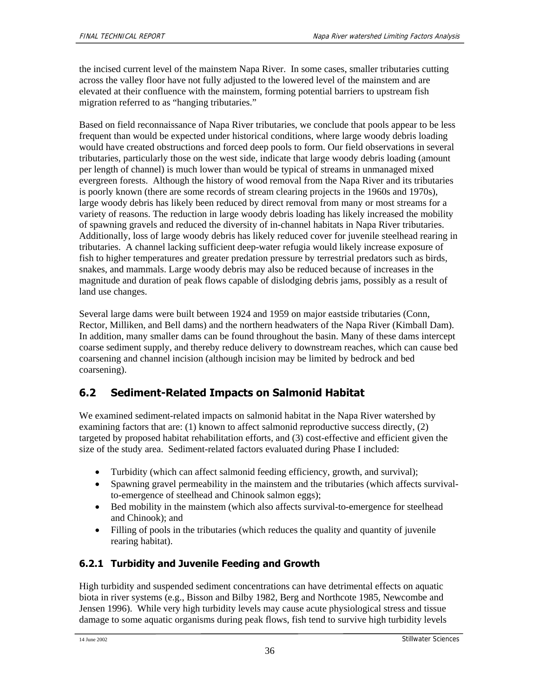the incised current level of the mainstem Napa River. In some cases, smaller tributaries cutting across the valley floor have not fully adjusted to the lowered level of the mainstem and are elevated at their confluence with the mainstem, forming potential barriers to upstream fish migration referred to as "hanging tributaries."

Based on field reconnaissance of Napa River tributaries, we conclude that pools appear to be less frequent than would be expected under historical conditions, where large woody debris loading would have created obstructions and forced deep pools to form. Our field observations in several tributaries, particularly those on the west side, indicate that large woody debris loading (amount per length of channel) is much lower than would be typical of streams in unmanaged mixed evergreen forests. Although the history of wood removal from the Napa River and its tributaries is poorly known (there are some records of stream clearing projects in the 1960s and 1970s), large woody debris has likely been reduced by direct removal from many or most streams for a variety of reasons. The reduction in large woody debris loading has likely increased the mobility of spawning gravels and reduced the diversity of in-channel habitats in Napa River tributaries. Additionally, loss of large woody debris has likely reduced cover for juvenile steelhead rearing in tributaries. A channel lacking sufficient deep-water refugia would likely increase exposure of fish to higher temperatures and greater predation pressure by terrestrial predators such as birds, snakes, and mammals. Large woody debris may also be reduced because of increases in the magnitude and duration of peak flows capable of dislodging debris jams, possibly as a result of land use changes.

Several large dams were built between 1924 and 1959 on major eastside tributaries (Conn, Rector, Milliken, and Bell dams) and the northern headwaters of the Napa River (Kimball Dam). In addition, many smaller dams can be found throughout the basin. Many of these dams intercept coarse sediment supply, and thereby reduce delivery to downstream reaches, which can cause bed coarsening and channel incision (although incision may be limited by bedrock and bed coarsening).

## **6.2 Sediment-Related Impacts on Salmonid Habitat**

We examined sediment-related impacts on salmonid habitat in the Napa River watershed by examining factors that are: (1) known to affect salmonid reproductive success directly, (2) targeted by proposed habitat rehabilitation efforts, and (3) cost-effective and efficient given the size of the study area. Sediment-related factors evaluated during Phase I included:

- Turbidity (which can affect salmonid feeding efficiency, growth, and survival);
- Spawning gravel permeability in the mainstem and the tributaries (which affects survivalto-emergence of steelhead and Chinook salmon eggs);
- Bed mobility in the mainstem (which also affects survival-to-emergence for steelhead and Chinook); and
- Filling of pools in the tributaries (which reduces the quality and quantity of juvenile rearing habitat).

## **6.2.1 Turbidity and Juvenile Feeding and Growth**

High turbidity and suspended sediment concentrations can have detrimental effects on aquatic biota in river systems (e.g., Bisson and Bilby 1982, Berg and Northcote 1985, Newcombe and Jensen 1996). While very high turbidity levels may cause acute physiological stress and tissue damage to some aquatic organisms during peak flows, fish tend to survive high turbidity levels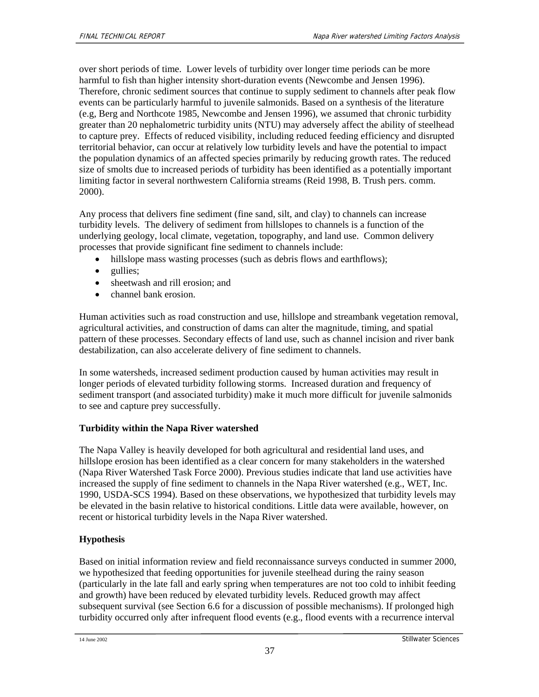over short periods of time. Lower levels of turbidity over longer time periods can be more harmful to fish than higher intensity short-duration events (Newcombe and Jensen 1996). Therefore, chronic sediment sources that continue to supply sediment to channels after peak flow events can be particularly harmful to juvenile salmonids. Based on a synthesis of the literature (e.g, Berg and Northcote 1985, Newcombe and Jensen 1996), we assumed that chronic turbidity greater than 20 nephalometric turbidity units (NTU) may adversely affect the ability of steelhead to capture prey. Effects of reduced visibility, including reduced feeding efficiency and disrupted territorial behavior, can occur at relatively low turbidity levels and have the potential to impact the population dynamics of an affected species primarily by reducing growth rates. The reduced size of smolts due to increased periods of turbidity has been identified as a potentially important limiting factor in several northwestern California streams (Reid 1998, B. Trush pers. comm. 2000).

Any process that delivers fine sediment (fine sand, silt, and clay) to channels can increase turbidity levels. The delivery of sediment from hillslopes to channels is a function of the underlying geology, local climate, vegetation, topography, and land use. Common delivery processes that provide significant fine sediment to channels include:

- hillslope mass wasting processes (such as debris flows and earthflows);
- gullies;
- sheetwash and rill erosion; and
- channel bank erosion.

Human activities such as road construction and use, hillslope and streambank vegetation removal, agricultural activities, and construction of dams can alter the magnitude, timing, and spatial pattern of these processes. Secondary effects of land use, such as channel incision and river bank destabilization, can also accelerate delivery of fine sediment to channels.

In some watersheds, increased sediment production caused by human activities may result in longer periods of elevated turbidity following storms. Increased duration and frequency of sediment transport (and associated turbidity) make it much more difficult for juvenile salmonids to see and capture prey successfully.

#### **Turbidity within the Napa River watershed**

The Napa Valley is heavily developed for both agricultural and residential land uses, and hillslope erosion has been identified as a clear concern for many stakeholders in the watershed (Napa River Watershed Task Force 2000). Previous studies indicate that land use activities have increased the supply of fine sediment to channels in the Napa River watershed (e.g., WET, Inc. 1990, USDA-SCS 1994). Based on these observations, we hypothesized that turbidity levels may be elevated in the basin relative to historical conditions. Little data were available, however, on recent or historical turbidity levels in the Napa River watershed.

#### **Hypothesis**

Based on initial information review and field reconnaissance surveys conducted in summer 2000, we hypothesized that feeding opportunities for juvenile steelhead during the rainy season (particularly in the late fall and early spring when temperatures are not too cold to inhibit feeding and growth) have been reduced by elevated turbidity levels. Reduced growth may affect subsequent survival (see Section 6.6 for a discussion of possible mechanisms). If prolonged high turbidity occurred only after infrequent flood events (e.g., flood events with a recurrence interval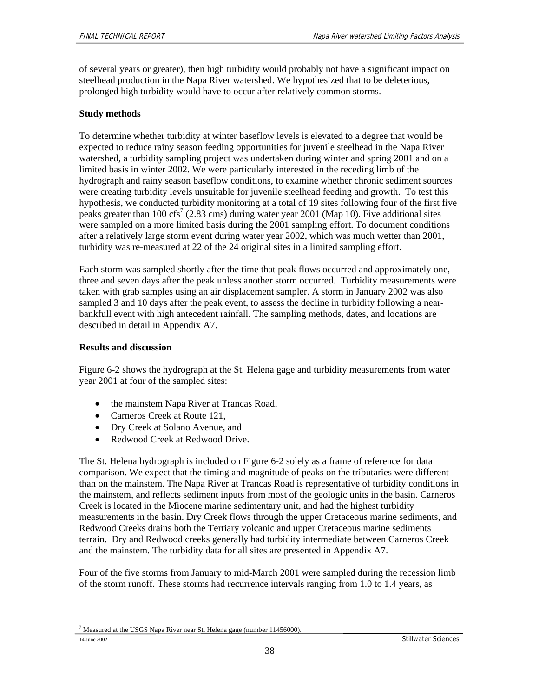of several years or greater), then high turbidity would probably not have a significant impact on steelhead production in the Napa River watershed. We hypothesized that to be deleterious, prolonged high turbidity would have to occur after relatively common storms.

#### **Study methods**

To determine whether turbidity at winter baseflow levels is elevated to a degree that would be expected to reduce rainy season feeding opportunities for juvenile steelhead in the Napa River watershed, a turbidity sampling project was undertaken during winter and spring 2001 and on a limited basis in winter 2002. We were particularly interested in the receding limb of the hydrograph and rainy season baseflow conditions, to examine whether chronic sediment sources were creating turbidity levels unsuitable for juvenile steelhead feeding and growth. To test this hypothesis, we conducted turbidity monitoring at a total of 19 sites following four of the first five peaks greater than 100 cfs<sup>7</sup> (2.83 cms) during water year 2001 (Map 10). Five additional sites were sampled on a more limited basis during the 2001 sampling effort. To document conditions after a relatively large storm event during water year 2002, which was much wetter than 2001, turbidity was re-measured at 22 of the 24 original sites in a limited sampling effort.

Each storm was sampled shortly after the time that peak flows occurred and approximately one, three and seven days after the peak unless another storm occurred. Turbidity measurements were taken with grab samples using an air displacement sampler. A storm in January 2002 was also sampled 3 and 10 days after the peak event, to assess the decline in turbidity following a nearbankfull event with high antecedent rainfall. The sampling methods, dates, and locations are described in detail in Appendix A7.

#### **Results and discussion**

Figure 6-2 shows the hydrograph at the St. Helena gage and turbidity measurements from water year 2001 at four of the sampled sites:

- the mainstem Napa River at Trancas Road,
- Carneros Creek at Route 121,
- Dry Creek at Solano Avenue, and
- Redwood Creek at Redwood Drive.

The St. Helena hydrograph is included on Figure 6-2 solely as a frame of reference for data comparison. We expect that the timing and magnitude of peaks on the tributaries were different than on the mainstem. The Napa River at Trancas Road is representative of turbidity conditions in the mainstem, and reflects sediment inputs from most of the geologic units in the basin. Carneros Creek is located in the Miocene marine sedimentary unit, and had the highest turbidity measurements in the basin. Dry Creek flows through the upper Cretaceous marine sediments, and Redwood Creeks drains both the Tertiary volcanic and upper Cretaceous marine sediments terrain. Dry and Redwood creeks generally had turbidity intermediate between Carneros Creek and the mainstem. The turbidity data for all sites are presented in Appendix A7.

Four of the five storms from January to mid-March 2001 were sampled during the recession limb of the storm runoff. These storms had recurrence intervals ranging from 1.0 to 1.4 years, as

<sup>1</sup>  $7$  Measured at the USGS Napa River near St. Helena gage (number 11456000).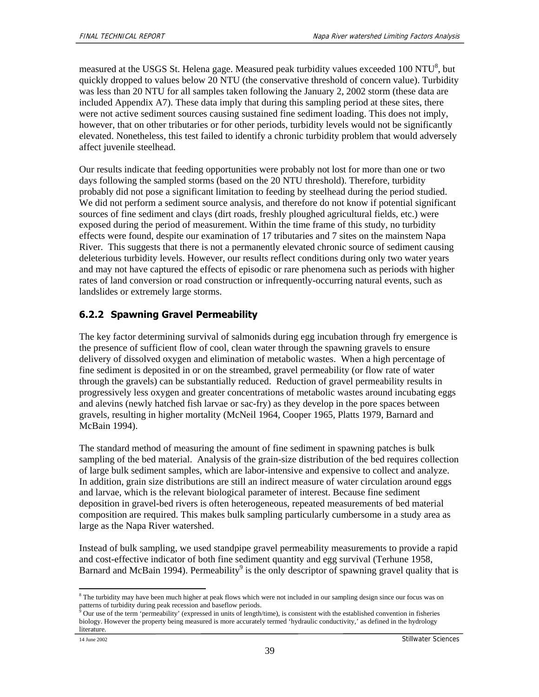measured at the USGS St. Helena gage. Measured peak turbidity values exceeded 100 NTU<sup>8</sup>, but quickly dropped to values below 20 NTU (the conservative threshold of concern value). Turbidity was less than 20 NTU for all samples taken following the January 2, 2002 storm (these data are included Appendix A7). These data imply that during this sampling period at these sites, there were not active sediment sources causing sustained fine sediment loading. This does not imply, however, that on other tributaries or for other periods, turbidity levels would not be significantly elevated. Nonetheless, this test failed to identify a chronic turbidity problem that would adversely affect juvenile steelhead.

Our results indicate that feeding opportunities were probably not lost for more than one or two days following the sampled storms (based on the 20 NTU threshold). Therefore, turbidity probably did not pose a significant limitation to feeding by steelhead during the period studied. We did not perform a sediment source analysis, and therefore do not know if potential significant sources of fine sediment and clays (dirt roads, freshly ploughed agricultural fields, etc.) were exposed during the period of measurement. Within the time frame of this study, no turbidity effects were found, despite our examination of 17 tributaries and 7 sites on the mainstem Napa River. This suggests that there is not a permanently elevated chronic source of sediment causing deleterious turbidity levels. However, our results reflect conditions during only two water years and may not have captured the effects of episodic or rare phenomena such as periods with higher rates of land conversion or road construction or infrequently-occurring natural events, such as landslides or extremely large storms.

## **6.2.2 Spawning Gravel Permeability**

The key factor determining survival of salmonids during egg incubation through fry emergence is the presence of sufficient flow of cool, clean water through the spawning gravels to ensure delivery of dissolved oxygen and elimination of metabolic wastes. When a high percentage of fine sediment is deposited in or on the streambed, gravel permeability (or flow rate of water through the gravels) can be substantially reduced. Reduction of gravel permeability results in progressively less oxygen and greater concentrations of metabolic wastes around incubating eggs and alevins (newly hatched fish larvae or sac-fry) as they develop in the pore spaces between gravels, resulting in higher mortality (McNeil 1964, Cooper 1965, Platts 1979, Barnard and McBain 1994).

The standard method of measuring the amount of fine sediment in spawning patches is bulk sampling of the bed material. Analysis of the grain-size distribution of the bed requires collection of large bulk sediment samples, which are labor-intensive and expensive to collect and analyze. In addition, grain size distributions are still an indirect measure of water circulation around eggs and larvae, which is the relevant biological parameter of interest. Because fine sediment deposition in gravel-bed rivers is often heterogeneous, repeated measurements of bed material composition are required. This makes bulk sampling particularly cumbersome in a study area as large as the Napa River watershed.

Instead of bulk sampling, we used standpipe gravel permeability measurements to provide a rapid and cost-effective indicator of both fine sediment quantity and egg survival (Terhune 1958, Barnard and McBain 1994). Permeability<sup>9</sup> is the only descriptor of spawning gravel quality that is

l

<sup>&</sup>lt;sup>8</sup> The turbidity may have been much higher at peak flows which were not included in our sampling design since our focus was on patterns of turbidity during peak recession and baseflow periods. 9

Our use of the term 'permeability' (expressed in units of length/time), is consistent with the established convention in fisheries biology. However the property being measured is more accurately termed 'hydraulic conductivity,' as defined in the hydrology literature.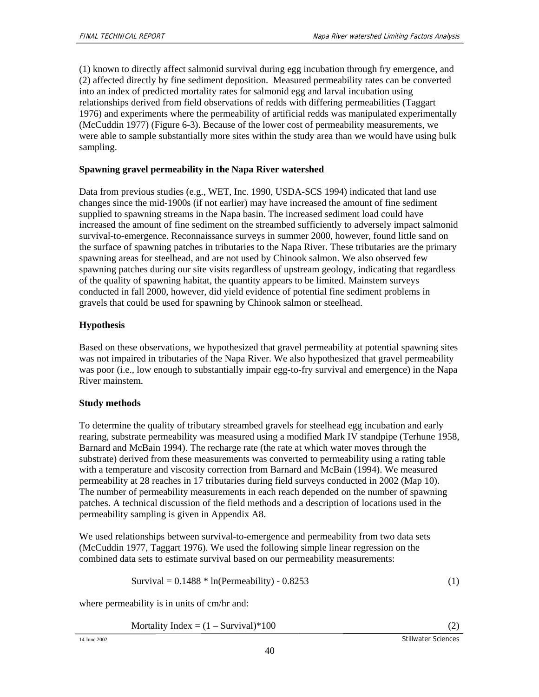(1) known to directly affect salmonid survival during egg incubation through fry emergence, and (2) affected directly by fine sediment deposition. Measured permeability rates can be converted into an index of predicted mortality rates for salmonid egg and larval incubation using relationships derived from field observations of redds with differing permeabilities (Taggart 1976) and experiments where the permeability of artificial redds was manipulated experimentally (McCuddin 1977) (Figure 6-3). Because of the lower cost of permeability measurements, we were able to sample substantially more sites within the study area than we would have using bulk sampling.

### **Spawning gravel permeability in the Napa River watershed**

Data from previous studies (e.g., WET, Inc. 1990, USDA-SCS 1994) indicated that land use changes since the mid-1900s (if not earlier) may have increased the amount of fine sediment supplied to spawning streams in the Napa basin. The increased sediment load could have increased the amount of fine sediment on the streambed sufficiently to adversely impact salmonid survival-to-emergence. Reconnaissance surveys in summer 2000, however, found little sand on the surface of spawning patches in tributaries to the Napa River. These tributaries are the primary spawning areas for steelhead, and are not used by Chinook salmon. We also observed few spawning patches during our site visits regardless of upstream geology, indicating that regardless of the quality of spawning habitat, the quantity appears to be limited. Mainstem surveys conducted in fall 2000, however, did yield evidence of potential fine sediment problems in gravels that could be used for spawning by Chinook salmon or steelhead.

### **Hypothesis**

Based on these observations, we hypothesized that gravel permeability at potential spawning sites was not impaired in tributaries of the Napa River. We also hypothesized that gravel permeability was poor (i.e., low enough to substantially impair egg-to-fry survival and emergence) in the Napa River mainstem.

### **Study methods**

To determine the quality of tributary streambed gravels for steelhead egg incubation and early rearing, substrate permeability was measured using a modified Mark IV standpipe (Terhune 1958, Barnard and McBain 1994). The recharge rate (the rate at which water moves through the substrate) derived from these measurements was converted to permeability using a rating table with a temperature and viscosity correction from Barnard and McBain (1994). We measured permeability at 28 reaches in 17 tributaries during field surveys conducted in 2002 (Map 10). The number of permeability measurements in each reach depended on the number of spawning patches. A technical discussion of the field methods and a description of locations used in the permeability sampling is given in Appendix A8.

We used relationships between survival-to-emergence and permeability from two data sets (McCuddin 1977, Taggart 1976). We used the following simple linear regression on the combined data sets to estimate survival based on our permeability measurements:

$$
Survival = 0.1488 * ln(Permeability) - 0.8253
$$
 (1)

where permeability is in units of cm/hr and:

Mortality Index  $= (1 - \text{Survival})^*100$  (2)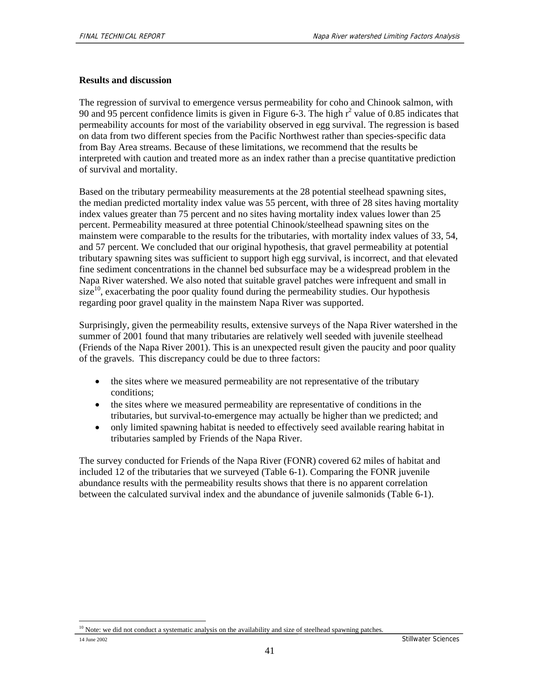#### **Results and discussion**

The regression of survival to emergence versus permeability for coho and Chinook salmon, with 90 and 95 percent confidence limits is given in Figure 6-3. The high  $r^2$  value of 0.85 indicates that permeability accounts for most of the variability observed in egg survival. The regression is based on data from two different species from the Pacific Northwest rather than species-specific data from Bay Area streams. Because of these limitations, we recommend that the results be interpreted with caution and treated more as an index rather than a precise quantitative prediction of survival and mortality.

Based on the tributary permeability measurements at the 28 potential steelhead spawning sites, the median predicted mortality index value was 55 percent, with three of 28 sites having mortality index values greater than 75 percent and no sites having mortality index values lower than 25 percent. Permeability measured at three potential Chinook/steelhead spawning sites on the mainstem were comparable to the results for the tributaries, with mortality index values of 33, 54, and 57 percent. We concluded that our original hypothesis, that gravel permeability at potential tributary spawning sites was sufficient to support high egg survival, is incorrect, and that elevated fine sediment concentrations in the channel bed subsurface may be a widespread problem in the Napa River watershed. We also noted that suitable gravel patches were infrequent and small in  $size<sup>10</sup>$ , exacerbating the poor quality found during the permeability studies. Our hypothesis regarding poor gravel quality in the mainstem Napa River was supported.

Surprisingly, given the permeability results, extensive surveys of the Napa River watershed in the summer of 2001 found that many tributaries are relatively well seeded with juvenile steelhead (Friends of the Napa River 2001). This is an unexpected result given the paucity and poor quality of the gravels. This discrepancy could be due to three factors:

- the sites where we measured permeability are not representative of the tributary conditions;
- the sites where we measured permeability are representative of conditions in the tributaries, but survival-to-emergence may actually be higher than we predicted; and
- only limited spawning habitat is needed to effectively seed available rearing habitat in tributaries sampled by Friends of the Napa River.

The survey conducted for Friends of the Napa River (FONR) covered 62 miles of habitat and included 12 of the tributaries that we surveyed (Table 6-1). Comparing the FONR juvenile abundance results with the permeability results shows that there is no apparent correlation between the calculated survival index and the abundance of juvenile salmonids (Table 6-1).

<sup>1</sup> <sup>10</sup> Note: we did not conduct a systematic analysis on the availability and size of steelhead spawning patches.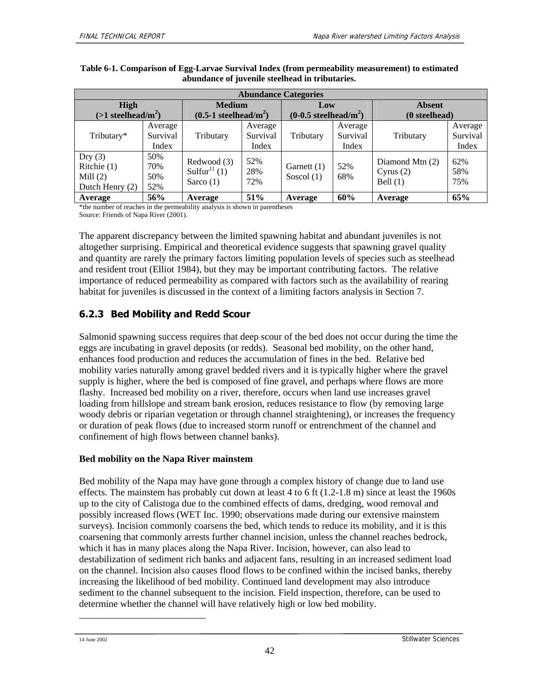| <b>Abundance Categories</b>                                             |          |                                     |          |                  |          |                 |          |
|-------------------------------------------------------------------------|----------|-------------------------------------|----------|------------------|----------|-----------------|----------|
| <b>High</b>                                                             |          | <b>Medium</b>                       |          | Low              |          | <b>Absent</b>   |          |
| $(>1$ steelhead/m <sup>2</sup> )<br>$(0.5-1$ steelhead/m <sup>2</sup> ) |          | $(0-0.5$ steelhead/m <sup>2</sup> ) |          | (0<br>steelhead) |          |                 |          |
|                                                                         | Average  |                                     | Average  |                  | Average  |                 | Average  |
| Tributary*                                                              | Survival | Tributary                           | Survival | Tributary        | Survival | Tributary       | Survival |
|                                                                         | Index    |                                     | Index    |                  | Index    |                 | Index    |
| Dry(3)                                                                  | 50%      | Redwood (3)                         | 52%      |                  |          | Diamond Mtn (2) | 62%      |
| Ritchie $(1)$                                                           | 70%      | Sulfur <sup>11</sup> $(1)$          | 28%      | Garnett (1)      | 52%      |                 | 58%      |
| Mill $(2)$                                                              | 50%      |                                     | 72%      | Soscol $(1)$     | 68%      | Cyrus $(2)$     |          |
| Dutch Henry (2)                                                         | 52%      | Sarco $(1)$                         |          |                  |          | Bell $(1)$      | 75%      |
| Average                                                                 | 56%      | Average                             | 51%      | Average          | 60%      | Average         | 65%      |

#### **Table 6-1. Comparison of Egg-Larvae Survival Index (from permeability measurement) to estimated abundance of juvenile steelhead in tributaries.**

\*the number of reaches in the permeability analysis is shown in parentheses Source: Friends of Napa River (2001).

The apparent discrepancy between the limited spawning habitat and abundant juveniles is not altogether surprising. Empirical and theoretical evidence suggests that spawning gravel quality and quantity are rarely the primary factors limiting population levels of species such as steelhead and resident trout (Elliot 1984), but they may be important contributing factors. The relative importance of reduced permeability as compared with factors such as the availability of rearing habitat for juveniles is discussed in the context of a limiting factors analysis in Section 7.

## **6.2.3 Bed Mobility and Redd Scour**

Salmonid spawning success requires that deep scour of the bed does not occur during the time the eggs are incubating in gravel deposits (or redds). Seasonal bed mobility, on the other hand, enhances food production and reduces the accumulation of fines in the bed. Relative bed mobility varies naturally among gravel bedded rivers and it is typically higher where the gravel supply is higher, where the bed is composed of fine gravel, and perhaps where flows are more flashy. Increased bed mobility on a river, therefore, occurs when land use increases gravel loading from hillslope and stream bank erosion, reduces resistance to flow (by removing large woody debris or riparian vegetation or through channel straightening), or increases the frequency or duration of peak flows (due to increased storm runoff or entrenchment of the channel and confinement of high flows between channel banks).

### **Bed mobility on the Napa River mainstem**

Bed mobility of the Napa may have gone through a complex history of change due to land use effects. The mainstem has probably cut down at least 4 to 6 ft  $(1.2-1.8 \text{ m})$  since at least the 1960s up to the city of Calistoga due to the combined effects of dams, dredging, wood removal and possibly increased flows (WET Inc. 1990; observations made during our extensive mainstem surveys). Incision commonly coarsens the bed, which tends to reduce its mobility, and it is this coarsening that commonly arrests further channel incision, unless the channel reaches bedrock, which it has in many places along the Napa River. Incision, however, can also lead to destabilization of sediment rich banks and adjacent fans, resulting in an increased sediment load on the channel. Incision also causes flood flows to be confined within the incised banks, thereby increasing the likelihood of bed mobility. Continued land development may also introduce sediment to the channel subsequent to the incision. Field inspection, therefore, can be used to determine whether the channel will have relatively high or low bed mobility.

-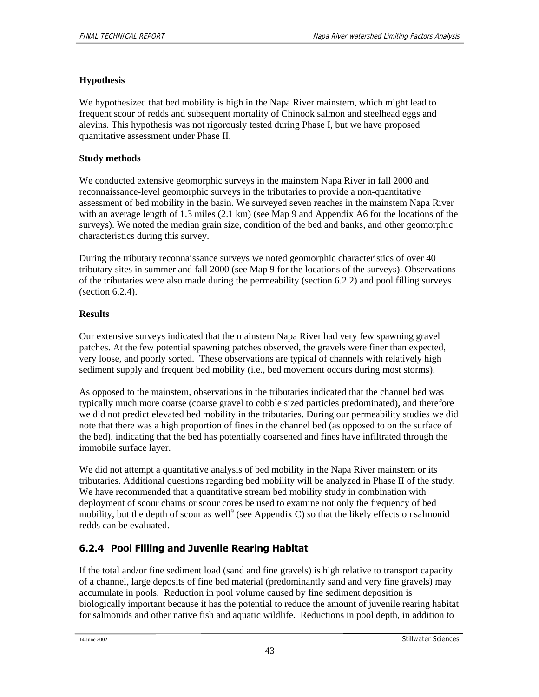### **Hypothesis**

We hypothesized that bed mobility is high in the Napa River mainstem, which might lead to frequent scour of redds and subsequent mortality of Chinook salmon and steelhead eggs and alevins. This hypothesis was not rigorously tested during Phase I, but we have proposed quantitative assessment under Phase II.

#### **Study methods**

We conducted extensive geomorphic surveys in the mainstem Napa River in fall 2000 and reconnaissance-level geomorphic surveys in the tributaries to provide a non-quantitative assessment of bed mobility in the basin. We surveyed seven reaches in the mainstem Napa River with an average length of 1.3 miles (2.1 km) (see Map 9 and Appendix A6 for the locations of the surveys). We noted the median grain size, condition of the bed and banks, and other geomorphic characteristics during this survey.

During the tributary reconnaissance surveys we noted geomorphic characteristics of over 40 tributary sites in summer and fall 2000 (see Map 9 for the locations of the surveys). Observations of the tributaries were also made during the permeability (section 6.2.2) and pool filling surveys (section 6.2.4).

#### **Results**

Our extensive surveys indicated that the mainstem Napa River had very few spawning gravel patches. At the few potential spawning patches observed, the gravels were finer than expected, very loose, and poorly sorted. These observations are typical of channels with relatively high sediment supply and frequent bed mobility (i.e., bed movement occurs during most storms).

As opposed to the mainstem, observations in the tributaries indicated that the channel bed was typically much more coarse (coarse gravel to cobble sized particles predominated), and therefore we did not predict elevated bed mobility in the tributaries. During our permeability studies we did note that there was a high proportion of fines in the channel bed (as opposed to on the surface of the bed), indicating that the bed has potentially coarsened and fines have infiltrated through the immobile surface layer.

We did not attempt a quantitative analysis of bed mobility in the Napa River mainstem or its tributaries. Additional questions regarding bed mobility will be analyzed in Phase II of the study. We have recommended that a quantitative stream bed mobility study in combination with deployment of scour chains or scour cores be used to examine not only the frequency of bed mobility, but the depth of scour as well<sup>9</sup> (see Appendix C) so that the likely effects on salmonid redds can be evaluated.

## **6.2.4 Pool Filling and Juvenile Rearing Habitat**

If the total and/or fine sediment load (sand and fine gravels) is high relative to transport capacity of a channel, large deposits of fine bed material (predominantly sand and very fine gravels) may accumulate in pools. Reduction in pool volume caused by fine sediment deposition is biologically important because it has the potential to reduce the amount of juvenile rearing habitat for salmonids and other native fish and aquatic wildlife. Reductions in pool depth, in addition to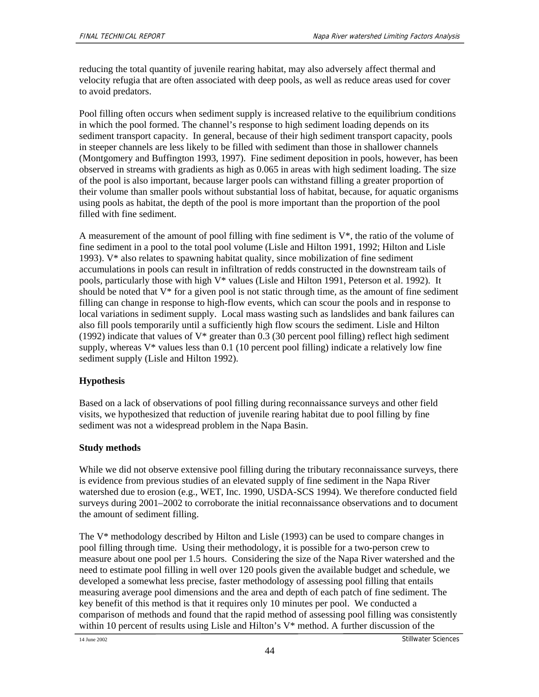reducing the total quantity of juvenile rearing habitat, may also adversely affect thermal and velocity refugia that are often associated with deep pools, as well as reduce areas used for cover to avoid predators.

Pool filling often occurs when sediment supply is increased relative to the equilibrium conditions in which the pool formed. The channel's response to high sediment loading depends on its sediment transport capacity. In general, because of their high sediment transport capacity, pools in steeper channels are less likely to be filled with sediment than those in shallower channels (Montgomery and Buffington 1993, 1997). Fine sediment deposition in pools, however, has been observed in streams with gradients as high as 0.065 in areas with high sediment loading. The size of the pool is also important, because larger pools can withstand filling a greater proportion of their volume than smaller pools without substantial loss of habitat, because, for aquatic organisms using pools as habitat, the depth of the pool is more important than the proportion of the pool filled with fine sediment.

A measurement of the amount of pool filling with fine sediment is  $V^*$ , the ratio of the volume of fine sediment in a pool to the total pool volume (Lisle and Hilton 1991, 1992; Hilton and Lisle 1993). V\* also relates to spawning habitat quality, since mobilization of fine sediment accumulations in pools can result in infiltration of redds constructed in the downstream tails of pools, particularly those with high V\* values (Lisle and Hilton 1991, Peterson et al. 1992). It should be noted that  $V^*$  for a given pool is not static through time, as the amount of fine sediment filling can change in response to high-flow events, which can scour the pools and in response to local variations in sediment supply. Local mass wasting such as landslides and bank failures can also fill pools temporarily until a sufficiently high flow scours the sediment. Lisle and Hilton (1992) indicate that values of  $V^*$  greater than 0.3 (30 percent pool filling) reflect high sediment supply, whereas  $V^*$  values less than 0.1 (10 percent pool filling) indicate a relatively low fine sediment supply (Lisle and Hilton 1992).

### **Hypothesis**

Based on a lack of observations of pool filling during reconnaissance surveys and other field visits, we hypothesized that reduction of juvenile rearing habitat due to pool filling by fine sediment was not a widespread problem in the Napa Basin.

### **Study methods**

While we did not observe extensive pool filling during the tributary reconnaissance surveys, there is evidence from previous studies of an elevated supply of fine sediment in the Napa River watershed due to erosion (e.g., WET, Inc. 1990, USDA-SCS 1994). We therefore conducted field surveys during 2001–2002 to corroborate the initial reconnaissance observations and to document the amount of sediment filling.

The V\* methodology described by Hilton and Lisle (1993) can be used to compare changes in pool filling through time. Using their methodology, it is possible for a two-person crew to measure about one pool per 1.5 hours. Considering the size of the Napa River watershed and the need to estimate pool filling in well over 120 pools given the available budget and schedule, we developed a somewhat less precise, faster methodology of assessing pool filling that entails measuring average pool dimensions and the area and depth of each patch of fine sediment. The key benefit of this method is that it requires only 10 minutes per pool. We conducted a comparison of methods and found that the rapid method of assessing pool filling was consistently within 10 percent of results using Lisle and Hilton's V\* method. A further discussion of the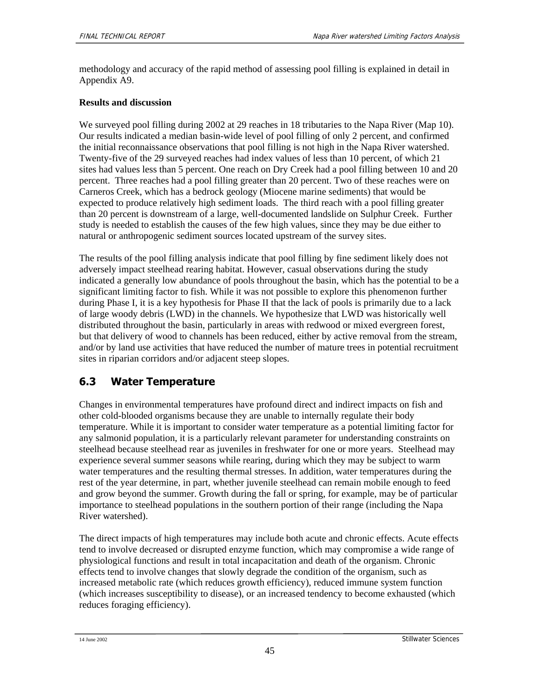methodology and accuracy of the rapid method of assessing pool filling is explained in detail in Appendix A9.

#### **Results and discussion**

We surveyed pool filling during 2002 at 29 reaches in 18 tributaries to the Napa River (Map 10). Our results indicated a median basin-wide level of pool filling of only 2 percent, and confirmed the initial reconnaissance observations that pool filling is not high in the Napa River watershed. Twenty-five of the 29 surveyed reaches had index values of less than 10 percent, of which 21 sites had values less than 5 percent. One reach on Dry Creek had a pool filling between 10 and 20 percent. Three reaches had a pool filling greater than 20 percent. Two of these reaches were on Carneros Creek, which has a bedrock geology (Miocene marine sediments) that would be expected to produce relatively high sediment loads. The third reach with a pool filling greater than 20 percent is downstream of a large, well-documented landslide on Sulphur Creek. Further study is needed to establish the causes of the few high values, since they may be due either to natural or anthropogenic sediment sources located upstream of the survey sites.

The results of the pool filling analysis indicate that pool filling by fine sediment likely does not adversely impact steelhead rearing habitat. However, casual observations during the study indicated a generally low abundance of pools throughout the basin, which has the potential to be a significant limiting factor to fish. While it was not possible to explore this phenomenon further during Phase I, it is a key hypothesis for Phase II that the lack of pools is primarily due to a lack of large woody debris (LWD) in the channels. We hypothesize that LWD was historically well distributed throughout the basin, particularly in areas with redwood or mixed evergreen forest, but that delivery of wood to channels has been reduced, either by active removal from the stream, and/or by land use activities that have reduced the number of mature trees in potential recruitment sites in riparian corridors and/or adjacent steep slopes.

## **6.3 Water Temperature**

Changes in environmental temperatures have profound direct and indirect impacts on fish and other cold-blooded organisms because they are unable to internally regulate their body temperature. While it is important to consider water temperature as a potential limiting factor for any salmonid population, it is a particularly relevant parameter for understanding constraints on steelhead because steelhead rear as juveniles in freshwater for one or more years. Steelhead may experience several summer seasons while rearing, during which they may be subject to warm water temperatures and the resulting thermal stresses. In addition, water temperatures during the rest of the year determine, in part, whether juvenile steelhead can remain mobile enough to feed and grow beyond the summer. Growth during the fall or spring, for example, may be of particular importance to steelhead populations in the southern portion of their range (including the Napa River watershed).

The direct impacts of high temperatures may include both acute and chronic effects. Acute effects tend to involve decreased or disrupted enzyme function, which may compromise a wide range of physiological functions and result in total incapacitation and death of the organism. Chronic effects tend to involve changes that slowly degrade the condition of the organism, such as increased metabolic rate (which reduces growth efficiency), reduced immune system function (which increases susceptibility to disease), or an increased tendency to become exhausted (which reduces foraging efficiency).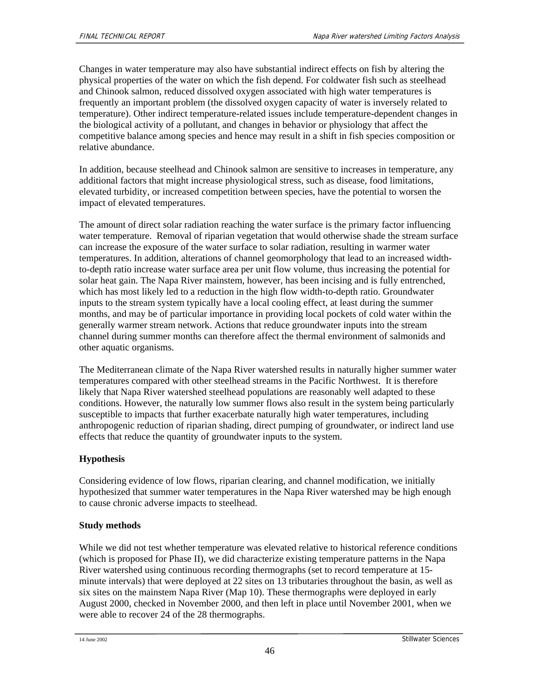Changes in water temperature may also have substantial indirect effects on fish by altering the physical properties of the water on which the fish depend. For coldwater fish such as steelhead and Chinook salmon, reduced dissolved oxygen associated with high water temperatures is frequently an important problem (the dissolved oxygen capacity of water is inversely related to temperature). Other indirect temperature-related issues include temperature-dependent changes in the biological activity of a pollutant, and changes in behavior or physiology that affect the competitive balance among species and hence may result in a shift in fish species composition or relative abundance.

In addition, because steelhead and Chinook salmon are sensitive to increases in temperature, any additional factors that might increase physiological stress, such as disease, food limitations, elevated turbidity, or increased competition between species, have the potential to worsen the impact of elevated temperatures.

The amount of direct solar radiation reaching the water surface is the primary factor influencing water temperature. Removal of riparian vegetation that would otherwise shade the stream surface can increase the exposure of the water surface to solar radiation, resulting in warmer water temperatures. In addition, alterations of channel geomorphology that lead to an increased widthto-depth ratio increase water surface area per unit flow volume, thus increasing the potential for solar heat gain. The Napa River mainstem, however, has been incising and is fully entrenched, which has most likely led to a reduction in the high flow width-to-depth ratio. Groundwater inputs to the stream system typically have a local cooling effect, at least during the summer months, and may be of particular importance in providing local pockets of cold water within the generally warmer stream network. Actions that reduce groundwater inputs into the stream channel during summer months can therefore affect the thermal environment of salmonids and other aquatic organisms.

The Mediterranean climate of the Napa River watershed results in naturally higher summer water temperatures compared with other steelhead streams in the Pacific Northwest. It is therefore likely that Napa River watershed steelhead populations are reasonably well adapted to these conditions. However, the naturally low summer flows also result in the system being particularly susceptible to impacts that further exacerbate naturally high water temperatures, including anthropogenic reduction of riparian shading, direct pumping of groundwater, or indirect land use effects that reduce the quantity of groundwater inputs to the system.

### **Hypothesis**

Considering evidence of low flows, riparian clearing, and channel modification, we initially hypothesized that summer water temperatures in the Napa River watershed may be high enough to cause chronic adverse impacts to steelhead.

#### **Study methods**

While we did not test whether temperature was elevated relative to historical reference conditions (which is proposed for Phase II), we did characterize existing temperature patterns in the Napa River watershed using continuous recording thermographs (set to record temperature at 15 minute intervals) that were deployed at 22 sites on 13 tributaries throughout the basin, as well as six sites on the mainstem Napa River (Map 10). These thermographs were deployed in early August 2000, checked in November 2000, and then left in place until November 2001, when we were able to recover 24 of the 28 thermographs.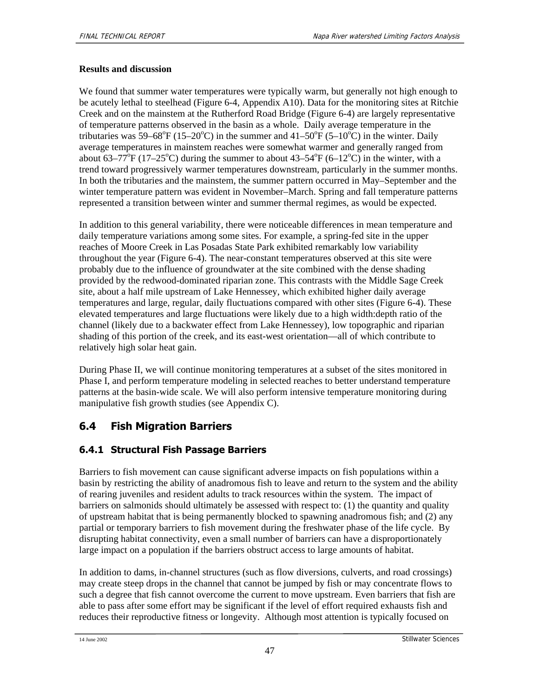#### **Results and discussion**

We found that summer water temperatures were typically warm, but generally not high enough to be acutely lethal to steelhead (Figure 6-4, Appendix A10). Data for the monitoring sites at Ritchie Creek and on the mainstem at the Rutherford Road Bridge (Figure 6-4) are largely representative of temperature patterns observed in the basin as a whole. Daily average temperature in the tributaries was 59–68°F (15–20°C) in the summer and 41–50°F (5–10°C) in the winter. Daily average temperatures in mainstem reaches were somewhat warmer and generally ranged from about  $63-77^{\circ}F(17-25^{\circ}C)$  during the summer to about  $43-54^{\circ}F(6-12^{\circ}C)$  in the winter, with a trend toward progressively warmer temperatures downstream, particularly in the summer months. In both the tributaries and the mainstem, the summer pattern occurred in May–September and the winter temperature pattern was evident in November–March. Spring and fall temperature patterns represented a transition between winter and summer thermal regimes, as would be expected.

In addition to this general variability, there were noticeable differences in mean temperature and daily temperature variations among some sites. For example, a spring-fed site in the upper reaches of Moore Creek in Las Posadas State Park exhibited remarkably low variability throughout the year (Figure 6-4). The near-constant temperatures observed at this site were probably due to the influence of groundwater at the site combined with the dense shading provided by the redwood-dominated riparian zone. This contrasts with the Middle Sage Creek site, about a half mile upstream of Lake Hennessey, which exhibited higher daily average temperatures and large, regular, daily fluctuations compared with other sites (Figure 6-4). These elevated temperatures and large fluctuations were likely due to a high width:depth ratio of the channel (likely due to a backwater effect from Lake Hennessey), low topographic and riparian shading of this portion of the creek, and its east-west orientation—all of which contribute to relatively high solar heat gain.

During Phase II, we will continue monitoring temperatures at a subset of the sites monitored in Phase I, and perform temperature modeling in selected reaches to better understand temperature patterns at the basin-wide scale. We will also perform intensive temperature monitoring during manipulative fish growth studies (see Appendix C).

## **6.4 Fish Migration Barriers**

## **6.4.1 Structural Fish Passage Barriers**

Barriers to fish movement can cause significant adverse impacts on fish populations within a basin by restricting the ability of anadromous fish to leave and return to the system and the ability of rearing juveniles and resident adults to track resources within the system. The impact of barriers on salmonids should ultimately be assessed with respect to: (1) the quantity and quality of upstream habitat that is being permanently blocked to spawning anadromous fish; and (2) any partial or temporary barriers to fish movement during the freshwater phase of the life cycle. By disrupting habitat connectivity, even a small number of barriers can have a disproportionately large impact on a population if the barriers obstruct access to large amounts of habitat.

In addition to dams, in-channel structures (such as flow diversions, culverts, and road crossings) may create steep drops in the channel that cannot be jumped by fish or may concentrate flows to such a degree that fish cannot overcome the current to move upstream. Even barriers that fish are able to pass after some effort may be significant if the level of effort required exhausts fish and reduces their reproductive fitness or longevity. Although most attention is typically focused on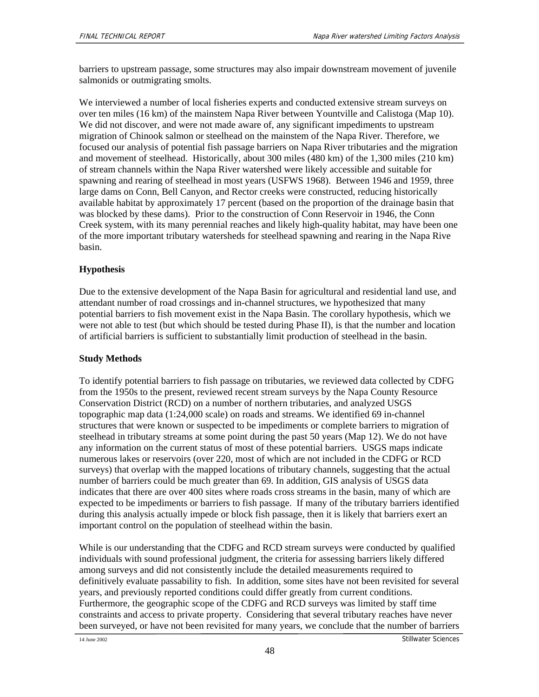barriers to upstream passage, some structures may also impair downstream movement of juvenile salmonids or outmigrating smolts.

We interviewed a number of local fisheries experts and conducted extensive stream surveys on over ten miles (16 km) of the mainstem Napa River between Yountville and Calistoga (Map 10). We did not discover, and were not made aware of, any significant impediments to upstream migration of Chinook salmon or steelhead on the mainstem of the Napa River. Therefore, we focused our analysis of potential fish passage barriers on Napa River tributaries and the migration and movement of steelhead. Historically, about 300 miles (480 km) of the 1,300 miles (210 km) of stream channels within the Napa River watershed were likely accessible and suitable for spawning and rearing of steelhead in most years (USFWS 1968). Between 1946 and 1959, three large dams on Conn, Bell Canyon, and Rector creeks were constructed, reducing historically available habitat by approximately 17 percent (based on the proportion of the drainage basin that was blocked by these dams). Prior to the construction of Conn Reservoir in 1946, the Conn Creek system, with its many perennial reaches and likely high-quality habitat, may have been one of the more important tributary watersheds for steelhead spawning and rearing in the Napa Rive basin.

### **Hypothesis**

Due to the extensive development of the Napa Basin for agricultural and residential land use, and attendant number of road crossings and in-channel structures, we hypothesized that many potential barriers to fish movement exist in the Napa Basin. The corollary hypothesis, which we were not able to test (but which should be tested during Phase II), is that the number and location of artificial barriers is sufficient to substantially limit production of steelhead in the basin.

### **Study Methods**

To identify potential barriers to fish passage on tributaries, we reviewed data collected by CDFG from the 1950s to the present, reviewed recent stream surveys by the Napa County Resource Conservation District (RCD) on a number of northern tributaries, and analyzed USGS topographic map data (1:24,000 scale) on roads and streams. We identified 69 in-channel structures that were known or suspected to be impediments or complete barriers to migration of steelhead in tributary streams at some point during the past 50 years (Map 12). We do not have any information on the current status of most of these potential barriers. USGS maps indicate numerous lakes or reservoirs (over 220, most of which are not included in the CDFG or RCD surveys) that overlap with the mapped locations of tributary channels, suggesting that the actual number of barriers could be much greater than 69. In addition, GIS analysis of USGS data indicates that there are over 400 sites where roads cross streams in the basin, many of which are expected to be impediments or barriers to fish passage. If many of the tributary barriers identified during this analysis actually impede or block fish passage, then it is likely that barriers exert an important control on the population of steelhead within the basin.

While is our understanding that the CDFG and RCD stream surveys were conducted by qualified individuals with sound professional judgment, the criteria for assessing barriers likely differed among surveys and did not consistently include the detailed measurements required to definitively evaluate passability to fish. In addition, some sites have not been revisited for several years, and previously reported conditions could differ greatly from current conditions. Furthermore, the geographic scope of the CDFG and RCD surveys was limited by staff time constraints and access to private property. Considering that several tributary reaches have never been surveyed, or have not been revisited for many years, we conclude that the number of barriers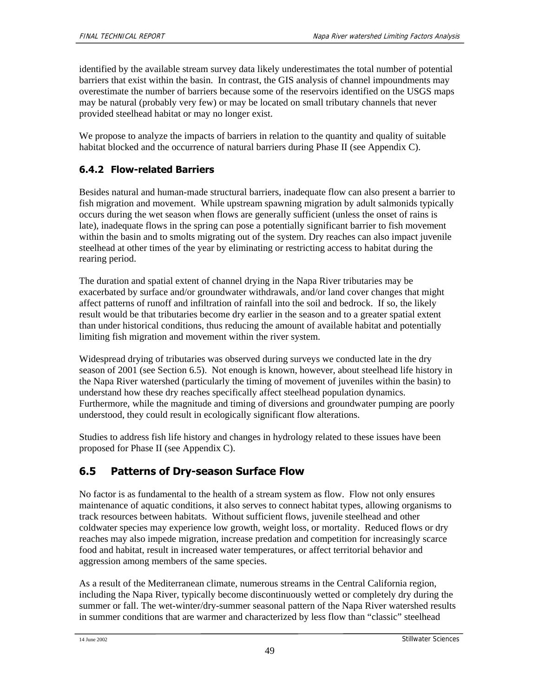identified by the available stream survey data likely underestimates the total number of potential barriers that exist within the basin. In contrast, the GIS analysis of channel impoundments may overestimate the number of barriers because some of the reservoirs identified on the USGS maps may be natural (probably very few) or may be located on small tributary channels that never provided steelhead habitat or may no longer exist.

We propose to analyze the impacts of barriers in relation to the quantity and quality of suitable habitat blocked and the occurrence of natural barriers during Phase II (see Appendix C).

## **6.4.2 Flow-related Barriers**

Besides natural and human-made structural barriers, inadequate flow can also present a barrier to fish migration and movement. While upstream spawning migration by adult salmonids typically occurs during the wet season when flows are generally sufficient (unless the onset of rains is late), inadequate flows in the spring can pose a potentially significant barrier to fish movement within the basin and to smolts migrating out of the system. Dry reaches can also impact juvenile steelhead at other times of the year by eliminating or restricting access to habitat during the rearing period.

The duration and spatial extent of channel drying in the Napa River tributaries may be exacerbated by surface and/or groundwater withdrawals, and/or land cover changes that might affect patterns of runoff and infiltration of rainfall into the soil and bedrock. If so, the likely result would be that tributaries become dry earlier in the season and to a greater spatial extent than under historical conditions, thus reducing the amount of available habitat and potentially limiting fish migration and movement within the river system.

Widespread drying of tributaries was observed during surveys we conducted late in the dry season of 2001 (see Section 6.5). Not enough is known, however, about steelhead life history in the Napa River watershed (particularly the timing of movement of juveniles within the basin) to understand how these dry reaches specifically affect steelhead population dynamics. Furthermore, while the magnitude and timing of diversions and groundwater pumping are poorly understood, they could result in ecologically significant flow alterations.

Studies to address fish life history and changes in hydrology related to these issues have been proposed for Phase II (see Appendix C).

## **6.5 Patterns of Dry-season Surface Flow**

No factor is as fundamental to the health of a stream system as flow. Flow not only ensures maintenance of aquatic conditions, it also serves to connect habitat types, allowing organisms to track resources between habitats. Without sufficient flows, juvenile steelhead and other coldwater species may experience low growth, weight loss, or mortality. Reduced flows or dry reaches may also impede migration, increase predation and competition for increasingly scarce food and habitat, result in increased water temperatures, or affect territorial behavior and aggression among members of the same species.

As a result of the Mediterranean climate, numerous streams in the Central California region, including the Napa River, typically become discontinuously wetted or completely dry during the summer or fall. The wet-winter/dry-summer seasonal pattern of the Napa River watershed results in summer conditions that are warmer and characterized by less flow than "classic" steelhead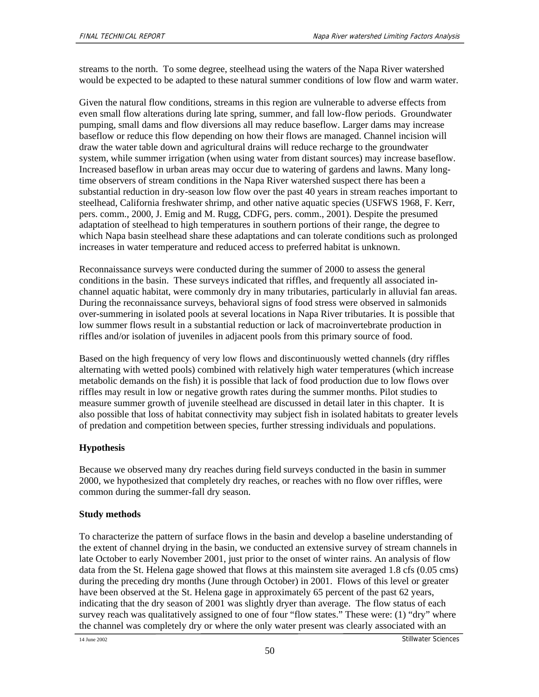streams to the north. To some degree, steelhead using the waters of the Napa River watershed would be expected to be adapted to these natural summer conditions of low flow and warm water.

Given the natural flow conditions, streams in this region are vulnerable to adverse effects from even small flow alterations during late spring, summer, and fall low-flow periods. Groundwater pumping, small dams and flow diversions all may reduce baseflow. Larger dams may increase baseflow or reduce this flow depending on how their flows are managed. Channel incision will draw the water table down and agricultural drains will reduce recharge to the groundwater system, while summer irrigation (when using water from distant sources) may increase baseflow. Increased baseflow in urban areas may occur due to watering of gardens and lawns. Many longtime observers of stream conditions in the Napa River watershed suspect there has been a substantial reduction in dry-season low flow over the past 40 years in stream reaches important to steelhead, California freshwater shrimp, and other native aquatic species (USFWS 1968, F. Kerr, pers. comm., 2000, J. Emig and M. Rugg, CDFG, pers. comm., 2001). Despite the presumed adaptation of steelhead to high temperatures in southern portions of their range, the degree to which Napa basin steelhead share these adaptations and can tolerate conditions such as prolonged increases in water temperature and reduced access to preferred habitat is unknown.

Reconnaissance surveys were conducted during the summer of 2000 to assess the general conditions in the basin. These surveys indicated that riffles, and frequently all associated inchannel aquatic habitat, were commonly dry in many tributaries, particularly in alluvial fan areas. During the reconnaissance surveys, behavioral signs of food stress were observed in salmonids over-summering in isolated pools at several locations in Napa River tributaries. It is possible that low summer flows result in a substantial reduction or lack of macroinvertebrate production in riffles and/or isolation of juveniles in adjacent pools from this primary source of food.

Based on the high frequency of very low flows and discontinuously wetted channels (dry riffles alternating with wetted pools) combined with relatively high water temperatures (which increase metabolic demands on the fish) it is possible that lack of food production due to low flows over riffles may result in low or negative growth rates during the summer months. Pilot studies to measure summer growth of juvenile steelhead are discussed in detail later in this chapter. It is also possible that loss of habitat connectivity may subject fish in isolated habitats to greater levels of predation and competition between species, further stressing individuals and populations.

### **Hypothesis**

Because we observed many dry reaches during field surveys conducted in the basin in summer 2000, we hypothesized that completely dry reaches, or reaches with no flow over riffles, were common during the summer-fall dry season.

### **Study methods**

To characterize the pattern of surface flows in the basin and develop a baseline understanding of the extent of channel drying in the basin, we conducted an extensive survey of stream channels in late October to early November 2001, just prior to the onset of winter rains. An analysis of flow data from the St. Helena gage showed that flows at this mainstem site averaged 1.8 cfs (0.05 cms) during the preceding dry months (June through October) in 2001. Flows of this level or greater have been observed at the St. Helena gage in approximately 65 percent of the past 62 years, indicating that the dry season of 2001 was slightly dryer than average. The flow status of each survey reach was qualitatively assigned to one of four "flow states." These were: (1) "dry" where the channel was completely dry or where the only water present was clearly associated with an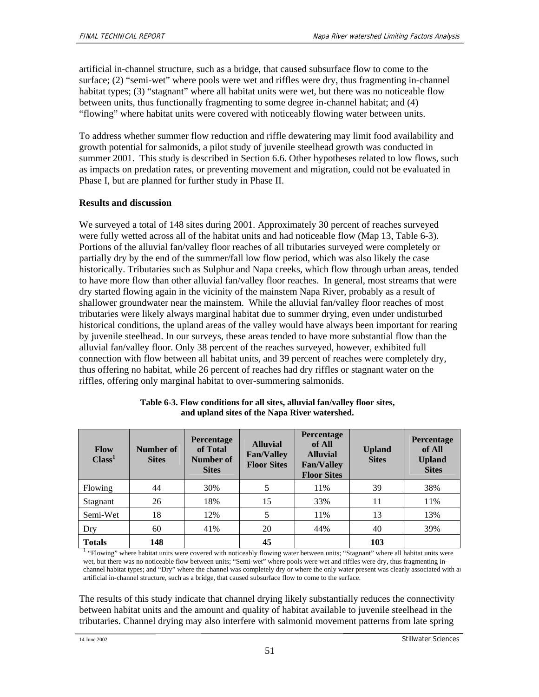artificial in-channel structure, such as a bridge, that caused subsurface flow to come to the surface; (2) "semi-wet" where pools were wet and riffles were dry, thus fragmenting in-channel habitat types; (3) "stagnant" where all habitat units were wet, but there was no noticeable flow between units, thus functionally fragmenting to some degree in-channel habitat; and (4) "flowing" where habitat units were covered with noticeably flowing water between units.

To address whether summer flow reduction and riffle dewatering may limit food availability and growth potential for salmonids, a pilot study of juvenile steelhead growth was conducted in summer 2001. This study is described in Section 6.6. Other hypotheses related to low flows, such as impacts on predation rates, or preventing movement and migration, could not be evaluated in Phase I, but are planned for further study in Phase II.

#### **Results and discussion**

We surveyed a total of 148 sites during 2001. Approximately 30 percent of reaches surveyed were fully wetted across all of the habitat units and had noticeable flow (Map 13, Table 6-3). Portions of the alluvial fan/valley floor reaches of all tributaries surveyed were completely or partially dry by the end of the summer/fall low flow period, which was also likely the case historically. Tributaries such as Sulphur and Napa creeks, which flow through urban areas, tended to have more flow than other alluvial fan/valley floor reaches. In general, most streams that were dry started flowing again in the vicinity of the mainstem Napa River, probably as a result of shallower groundwater near the mainstem. While the alluvial fan/valley floor reaches of most tributaries were likely always marginal habitat due to summer drying, even under undisturbed historical conditions, the upland areas of the valley would have always been important for rearing by juvenile steelhead. In our surveys, these areas tended to have more substantial flow than the alluvial fan/valley floor. Only 38 percent of the reaches surveyed, however, exhibited full connection with flow between all habitat units, and 39 percent of reaches were completely dry, thus offering no habitat, while 26 percent of reaches had dry riffles or stagnant water on the riffles, offering only marginal habitat to over-summering salmonids.

| <b>Flow</b><br>Class <sup>1</sup> | Number of<br><b>Sites</b> | <b>Percentage</b><br>of Total<br>Number of<br><b>Sites</b> | <b>Alluvial</b><br><b>Fan/Valley</b><br><b>Floor Sites</b> | Percentage<br>of All<br><b>Alluvial</b><br><b>Fan/Valley</b><br><b>Floor Sites</b> | <b>Upland</b><br><b>Sites</b> | Percentage<br>of All<br><b>Upland</b><br><b>Sites</b> |
|-----------------------------------|---------------------------|------------------------------------------------------------|------------------------------------------------------------|------------------------------------------------------------------------------------|-------------------------------|-------------------------------------------------------|
| Flowing                           | 44                        | 30%                                                        | 5                                                          | 11%                                                                                | 39                            | 38%                                                   |
| Stagnant                          | 26                        | 18%                                                        | 15                                                         | 33%                                                                                | 11                            | 11%                                                   |
| Semi-Wet                          | 18                        | 12%                                                        | 5                                                          | 11%                                                                                | 13                            | 13%                                                   |
| Dry                               | 60                        | 41%                                                        | 20                                                         | 44%                                                                                | 40                            | 39%                                                   |
| <b>Totals</b>                     | 148                       |                                                            | 45                                                         |                                                                                    | 103                           |                                                       |

| Table 6-3. Flow conditions for all sites, alluvial fan/valley floor sites, |  |
|----------------------------------------------------------------------------|--|
| and upland sites of the Napa River watershed.                              |  |

<sup>1</sup> "Flowing" where habitat units were covered with noticeably flowing water between units; "Stagnant" where all habitat units were wet, but there was no noticeable flow between units; "Semi-wet" where pools were wet and riffles were dry, thus fragmenting inchannel habitat types; and "Dry" where the channel was completely dry or where the only water present was clearly associated with an artificial in-channel structure, such as a bridge, that caused subsurface flow to come to the surface.

The results of this study indicate that channel drying likely substantially reduces the connectivity between habitat units and the amount and quality of habitat available to juvenile steelhead in the tributaries. Channel drying may also interfere with salmonid movement patterns from late spring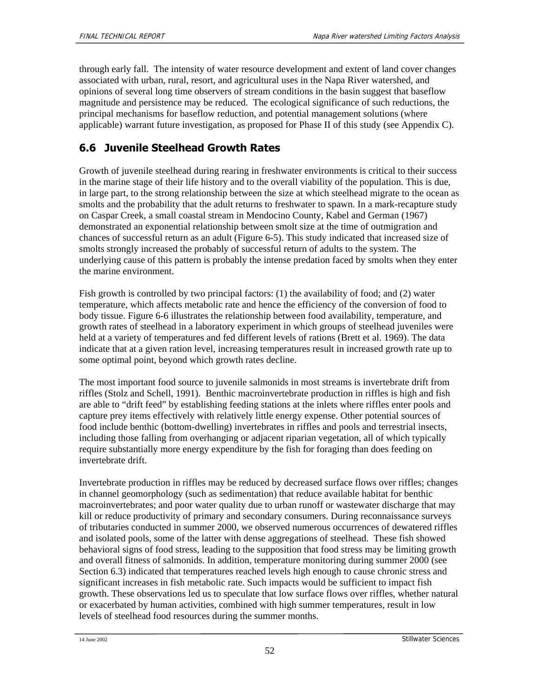through early fall. The intensity of water resource development and extent of land cover changes associated with urban, rural, resort, and agricultural uses in the Napa River watershed, and opinions of several long time observers of stream conditions in the basin suggest that baseflow magnitude and persistence may be reduced. The ecological significance of such reductions, the principal mechanisms for baseflow reduction, and potential management solutions (where applicable) warrant future investigation, as proposed for Phase II of this study (see Appendix C).

## **6.6 Juvenile Steelhead Growth Rates**

Growth of juvenile steelhead during rearing in freshwater environments is critical to their success in the marine stage of their life history and to the overall viability of the population. This is due, in large part, to the strong relationship between the size at which steelhead migrate to the ocean as smolts and the probability that the adult returns to freshwater to spawn. In a mark-recapture study on Caspar Creek, a small coastal stream in Mendocino County, Kabel and German (1967) demonstrated an exponential relationship between smolt size at the time of outmigration and chances of successful return as an adult (Figure 6-5). This study indicated that increased size of smolts strongly increased the probably of successful return of adults to the system. The underlying cause of this pattern is probably the intense predation faced by smolts when they enter the marine environment.

Fish growth is controlled by two principal factors: (1) the availability of food; and (2) water temperature, which affects metabolic rate and hence the efficiency of the conversion of food to body tissue. Figure 6-6 illustrates the relationship between food availability, temperature, and growth rates of steelhead in a laboratory experiment in which groups of steelhead juveniles were held at a variety of temperatures and fed different levels of rations (Brett et al. 1969). The data indicate that at a given ration level, increasing temperatures result in increased growth rate up to some optimal point, beyond which growth rates decline.

The most important food source to juvenile salmonids in most streams is invertebrate drift from riffles (Stolz and Schell, 1991). Benthic macroinvertebrate production in riffles is high and fish are able to "drift feed" by establishing feeding stations at the inlets where riffles enter pools and capture prey items effectively with relatively little energy expense. Other potential sources of food include benthic (bottom-dwelling) invertebrates in riffles and pools and terrestrial insects, including those falling from overhanging or adjacent riparian vegetation, all of which typically require substantially more energy expenditure by the fish for foraging than does feeding on invertebrate drift.

Invertebrate production in riffles may be reduced by decreased surface flows over riffles; changes in channel geomorphology (such as sedimentation) that reduce available habitat for benthic macroinvertebrates; and poor water quality due to urban runoff or wastewater discharge that may kill or reduce productivity of primary and secondary consumers. During reconnaissance surveys of tributaries conducted in summer 2000, we observed numerous occurrences of dewatered riffles and isolated pools, some of the latter with dense aggregations of steelhead. These fish showed behavioral signs of food stress, leading to the supposition that food stress may be limiting growth and overall fitness of salmonids. In addition, temperature monitoring during summer 2000 (see Section 6.3) indicated that temperatures reached levels high enough to cause chronic stress and significant increases in fish metabolic rate. Such impacts would be sufficient to impact fish growth. These observations led us to speculate that low surface flows over riffles, whether natural or exacerbated by human activities, combined with high summer temperatures, result in low levels of steelhead food resources during the summer months.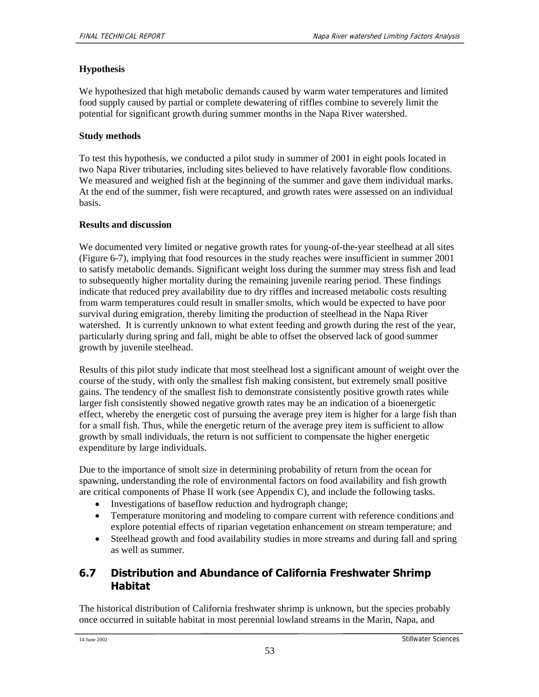#### **Hypothesis**

We hypothesized that high metabolic demands caused by warm water temperatures and limited food supply caused by partial or complete dewatering of riffles combine to severely limit the potential for significant growth during summer months in the Napa River watershed.

### **Study methods**

To test this hypothesis, we conducted a pilot study in summer of 2001 in eight pools located in two Napa River tributaries, including sites believed to have relatively favorable flow conditions. We measured and weighed fish at the beginning of the summer and gave them individual marks. At the end of the summer, fish were recaptured, and growth rates were assessed on an individual basis.

### **Results and discussion**

We documented very limited or negative growth rates for young-of-the-year steelhead at all sites (Figure 6-7), implying that food resources in the study reaches were insufficient in summer 2001 to satisfy metabolic demands. Significant weight loss during the summer may stress fish and lead to subsequently higher mortality during the remaining juvenile rearing period. These findings indicate that reduced prey availability due to dry riffles and increased metabolic costs resulting from warm temperatures could result in smaller smolts, which would be expected to have poor survival during emigration, thereby limiting the production of steelhead in the Napa River watershed. It is currently unknown to what extent feeding and growth during the rest of the year, particularly during spring and fall, might be able to offset the observed lack of good summer growth by juvenile steelhead.

Results of this pilot study indicate that most steelhead lost a significant amount of weight over the course of the study, with only the smallest fish making consistent, but extremely small positive gains. The tendency of the smallest fish to demonstrate consistently positive growth rates while larger fish consistently showed negative growth rates may be an indication of a bioenergetic effect, whereby the energetic cost of pursuing the average prey item is higher for a large fish than for a small fish. Thus, while the energetic return of the average prey item is sufficient to allow growth by small individuals, the return is not sufficient to compensate the higher energetic expenditure by large individuals.

Due to the importance of smolt size in determining probability of return from the ocean for spawning, understanding the role of environmental factors on food availability and fish growth are critical components of Phase II work (see Appendix C), and include the following tasks.

- Investigations of baseflow reduction and hydrograph change;
- Temperature monitoring and modeling to compare current with reference conditions and explore potential effects of riparian vegetation enhancement on stream temperature; and
- Steelhead growth and food availability studies in more streams and during fall and spring as well as summer.

## **6.7 Distribution and Abundance of California Freshwater Shrimp Habitat**

The historical distribution of California freshwater shrimp is unknown, but the species probably once occurred in suitable habitat in most perennial lowland streams in the Marin, Napa, and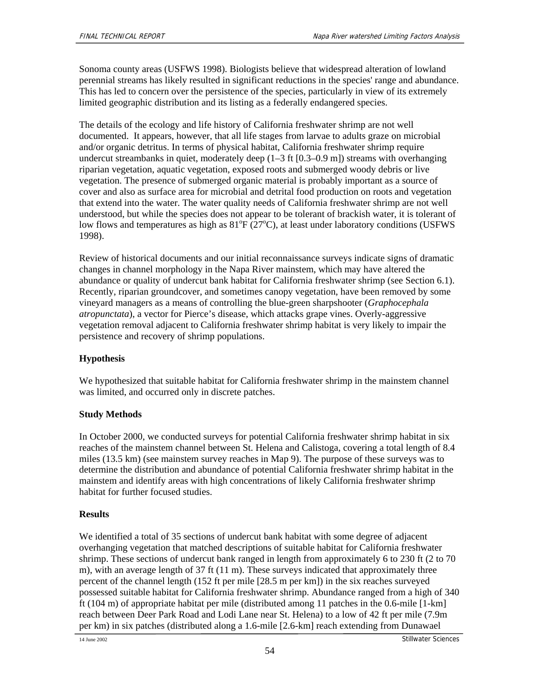Sonoma county areas (USFWS 1998). Biologists believe that widespread alteration of lowland perennial streams has likely resulted in significant reductions in the species' range and abundance. This has led to concern over the persistence of the species, particularly in view of its extremely limited geographic distribution and its listing as a federally endangered species.

The details of the ecology and life history of California freshwater shrimp are not well documented. It appears, however, that all life stages from larvae to adults graze on microbial and/or organic detritus. In terms of physical habitat, California freshwater shrimp require undercut streambanks in quiet, moderately deep  $(1-3 \text{ ft } [0.3-0.9 \text{ m}])$  streams with overhanging riparian vegetation, aquatic vegetation, exposed roots and submerged woody debris or live vegetation. The presence of submerged organic material is probably important as a source of cover and also as surface area for microbial and detrital food production on roots and vegetation that extend into the water. The water quality needs of California freshwater shrimp are not well understood, but while the species does not appear to be tolerant of brackish water, it is tolerant of low flows and temperatures as high as  $81^{\circ}F(27^{\circ}C)$ , at least under laboratory conditions (USFWS 1998).

Review of historical documents and our initial reconnaissance surveys indicate signs of dramatic changes in channel morphology in the Napa River mainstem, which may have altered the abundance or quality of undercut bank habitat for California freshwater shrimp (see Section 6.1). Recently, riparian groundcover, and sometimes canopy vegetation, have been removed by some vineyard managers as a means of controlling the blue-green sharpshooter (*Graphocephala atropunctata*), a vector for Pierce's disease, which attacks grape vines. Overly-aggressive vegetation removal adjacent to California freshwater shrimp habitat is very likely to impair the persistence and recovery of shrimp populations.

### **Hypothesis**

We hypothesized that suitable habitat for California freshwater shrimp in the mainstem channel was limited, and occurred only in discrete patches.

### **Study Methods**

In October 2000, we conducted surveys for potential California freshwater shrimp habitat in six reaches of the mainstem channel between St. Helena and Calistoga, covering a total length of 8.4 miles (13.5 km) (see mainstem survey reaches in Map 9). The purpose of these surveys was to determine the distribution and abundance of potential California freshwater shrimp habitat in the mainstem and identify areas with high concentrations of likely California freshwater shrimp habitat for further focused studies.

#### **Results**

We identified a total of 35 sections of undercut bank habitat with some degree of adjacent overhanging vegetation that matched descriptions of suitable habitat for California freshwater shrimp. These sections of undercut bank ranged in length from approximately 6 to 230 ft (2 to 70 m), with an average length of 37 ft (11 m). These surveys indicated that approximately three percent of the channel length (152 ft per mile [28.5 m per km]) in the six reaches surveyed possessed suitable habitat for California freshwater shrimp. Abundance ranged from a high of 340 ft (104 m) of appropriate habitat per mile (distributed among 11 patches in the 0.6-mile [1-km] reach between Deer Park Road and Lodi Lane near St. Helena) to a low of 42 ft per mile (7.9m per km) in six patches (distributed along a 1.6-mile [2.6-km] reach extending from Dunawael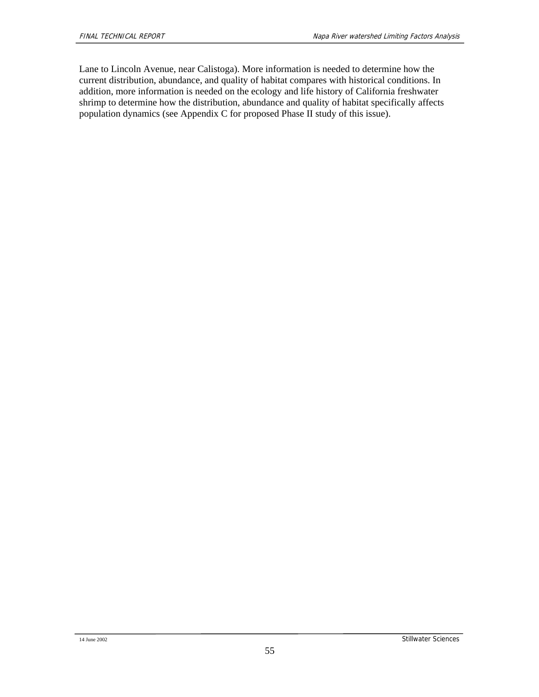Lane to Lincoln Avenue, near Calistoga). More information is needed to determine how the current distribution, abundance, and quality of habitat compares with historical conditions. In addition, more information is needed on the ecology and life history of California freshwater shrimp to determine how the distribution, abundance and quality of habitat specifically affects population dynamics (see Appendix C for proposed Phase II study of this issue).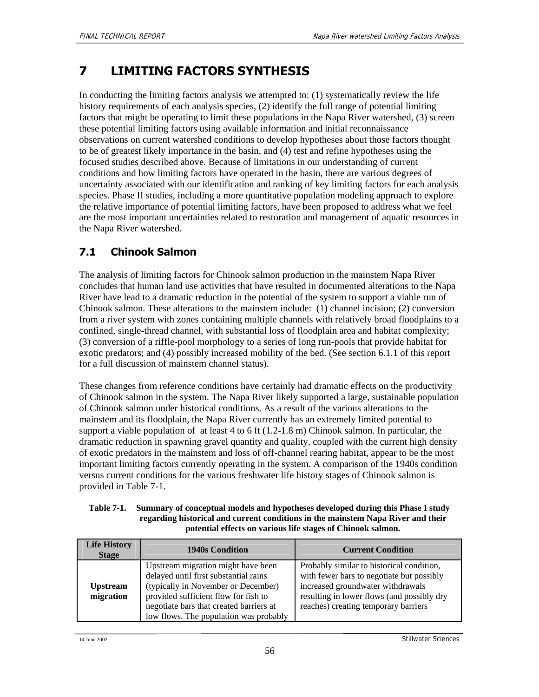# **7 LIMITING FACTORS SYNTHESIS**

In conducting the limiting factors analysis we attempted to: (1) systematically review the life history requirements of each analysis species, (2) identify the full range of potential limiting factors that might be operating to limit these populations in the Napa River watershed, (3) screen these potential limiting factors using available information and initial reconnaissance observations on current watershed conditions to develop hypotheses about those factors thought to be of greatest likely importance in the basin, and (4) test and refine hypotheses using the focused studies described above. Because of limitations in our understanding of current conditions and how limiting factors have operated in the basin, there are various degrees of uncertainty associated with our identification and ranking of key limiting factors for each analysis species. Phase II studies, including a more quantitative population modeling approach to explore the relative importance of potential limiting factors, have been proposed to address what we feel are the most important uncertainties related to restoration and management of aquatic resources in the Napa River watershed.

## **7.1 Chinook Salmon**

The analysis of limiting factors for Chinook salmon production in the mainstem Napa River concludes that human land use activities that have resulted in documented alterations to the Napa River have lead to a dramatic reduction in the potential of the system to support a viable run of Chinook salmon. These alterations to the mainstem include: (1) channel incision; (2) conversion from a river system with zones containing multiple channels with relatively broad floodplains to a confined, single-thread channel, with substantial loss of floodplain area and habitat complexity; (3) conversion of a riffle-pool morphology to a series of long run-pools that provide habitat for exotic predators; and (4) possibly increased mobility of the bed. (See section 6.1.1 of this report for a full discussion of mainstem channel status).

These changes from reference conditions have certainly had dramatic effects on the productivity of Chinook salmon in the system. The Napa River likely supported a large, sustainable population of Chinook salmon under historical conditions. As a result of the various alterations to the mainstem and its floodplain, the Napa River currently has an extremely limited potential to support a viable population of at least 4 to 6 ft (1.2-1.8 m) Chinook salmon. In particular, the dramatic reduction in spawning gravel quantity and quality, coupled with the current high density of exotic predators in the mainstem and loss of off-channel rearing habitat, appear to be the most important limiting factors currently operating in the system. A comparison of the 1940s condition versus current conditions for the various freshwater life history stages of Chinook salmon is provided in Table 7-1.

#### **Table 7-1. Summary of conceptual models and hypotheses developed during this Phase I study regarding historical and current conditions in the mainstem Napa River and their potential effects on various life stages of Chinook salmon.**

| <b>Life History</b><br><b>Stage</b> | <b>1940s Condition</b>                                                                                                                                                                                                                          | <b>Current Condition</b>                                                                                                                                                                                          |
|-------------------------------------|-------------------------------------------------------------------------------------------------------------------------------------------------------------------------------------------------------------------------------------------------|-------------------------------------------------------------------------------------------------------------------------------------------------------------------------------------------------------------------|
| <b>Upstream</b><br>migration        | Upstream migration might have been<br>delayed until first substantial rains<br>(typically in November or December)<br>provided sufficient flow for fish to<br>negotiate bars that created barriers at<br>low flows. The population was probably | Probably similar to historical condition,<br>with fewer bars to negotiate but possibly<br>increased groundwater withdrawals<br>resulting in lower flows (and possibly dry<br>reaches) creating temporary barriers |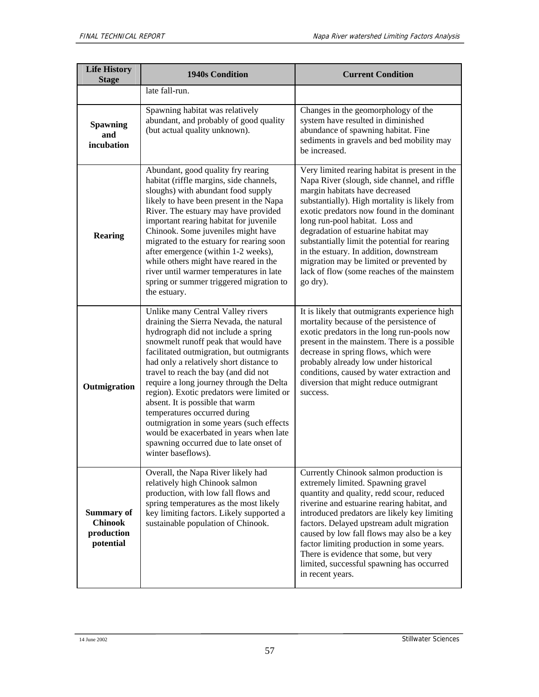| <b>Life History</b><br><b>Stage</b>                            | <b>1940s Condition</b>                                                                                                                                                                                                                                                                                                                                                                                                                                                                                                                                                                                          | <b>Current Condition</b>                                                                                                                                                                                                                                                                                                                                                                                                                                                                                     |
|----------------------------------------------------------------|-----------------------------------------------------------------------------------------------------------------------------------------------------------------------------------------------------------------------------------------------------------------------------------------------------------------------------------------------------------------------------------------------------------------------------------------------------------------------------------------------------------------------------------------------------------------------------------------------------------------|--------------------------------------------------------------------------------------------------------------------------------------------------------------------------------------------------------------------------------------------------------------------------------------------------------------------------------------------------------------------------------------------------------------------------------------------------------------------------------------------------------------|
|                                                                | late fall-run.                                                                                                                                                                                                                                                                                                                                                                                                                                                                                                                                                                                                  |                                                                                                                                                                                                                                                                                                                                                                                                                                                                                                              |
| <b>Spawning</b><br>and<br>incubation                           | Spawning habitat was relatively<br>abundant, and probably of good quality<br>(but actual quality unknown).                                                                                                                                                                                                                                                                                                                                                                                                                                                                                                      | Changes in the geomorphology of the<br>system have resulted in diminished<br>abundance of spawning habitat. Fine<br>sediments in gravels and bed mobility may<br>be increased.                                                                                                                                                                                                                                                                                                                               |
| <b>Rearing</b>                                                 | Abundant, good quality fry rearing<br>habitat (riffle margins, side channels,<br>sloughs) with abundant food supply<br>likely to have been present in the Napa<br>River. The estuary may have provided<br>important rearing habitat for juvenile<br>Chinook. Some juveniles might have<br>migrated to the estuary for rearing soon<br>after emergence (within 1-2 weeks),<br>while others might have reared in the<br>river until warmer temperatures in late<br>spring or summer triggered migration to<br>the estuary.                                                                                        | Very limited rearing habitat is present in the<br>Napa River (slough, side channel, and riffle<br>margin habitats have decreased<br>substantially). High mortality is likely from<br>exotic predators now found in the dominant<br>long run-pool habitat. Loss and<br>degradation of estuarine habitat may<br>substantially limit the potential for rearing<br>in the estuary. In addition, downstream<br>migration may be limited or prevented by<br>lack of flow (some reaches of the mainstem<br>go dry). |
| Outmigration                                                   | Unlike many Central Valley rivers<br>draining the Sierra Nevada, the natural<br>hydrograph did not include a spring<br>snowmelt runoff peak that would have<br>facilitated outmigration, but outmigrants<br>had only a relatively short distance to<br>travel to reach the bay (and did not<br>require a long journey through the Delta<br>region). Exotic predators were limited or<br>absent. It is possible that warm<br>temperatures occurred during<br>outmigration in some years (such effects<br>would be exacerbated in years when late<br>spawning occurred due to late onset of<br>winter baseflows). | It is likely that outmigrants experience high<br>mortality because of the persistence of<br>exotic predators in the long run-pools now<br>present in the mainstem. There is a possible<br>decrease in spring flows, which were<br>probably already low under historical<br>conditions, caused by water extraction and<br>diversion that might reduce outmigrant<br>success.                                                                                                                                  |
| <b>Summary of</b><br><b>Chinook</b><br>production<br>potential | Overall, the Napa River likely had<br>relatively high Chinook salmon<br>production, with low fall flows and<br>spring temperatures as the most likely<br>key limiting factors. Likely supported a<br>sustainable population of Chinook.                                                                                                                                                                                                                                                                                                                                                                         | Currently Chinook salmon production is<br>extremely limited. Spawning gravel<br>quantity and quality, redd scour, reduced<br>riverine and estuarine rearing habitat, and<br>introduced predators are likely key limiting<br>factors. Delayed upstream adult migration<br>caused by low fall flows may also be a key<br>factor limiting production in some years.<br>There is evidence that some, but very<br>limited, successful spawning has occurred<br>in recent years.                                   |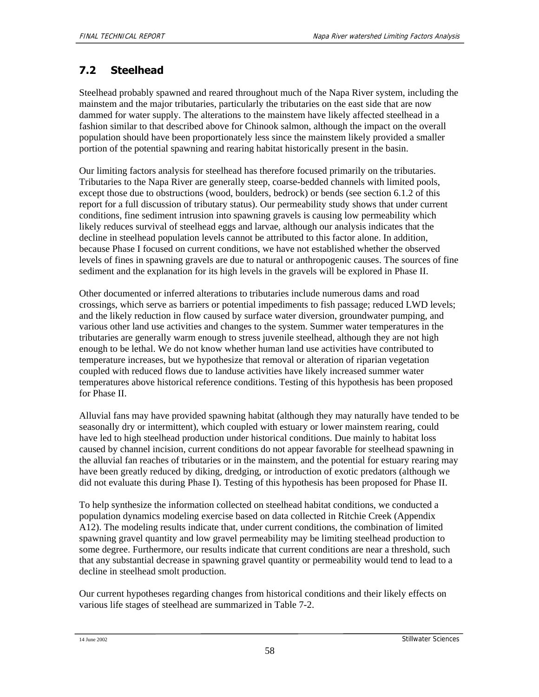## **7.2 Steelhead**

Steelhead probably spawned and reared throughout much of the Napa River system, including the mainstem and the major tributaries, particularly the tributaries on the east side that are now dammed for water supply. The alterations to the mainstem have likely affected steelhead in a fashion similar to that described above for Chinook salmon, although the impact on the overall population should have been proportionately less since the mainstem likely provided a smaller portion of the potential spawning and rearing habitat historically present in the basin.

Our limiting factors analysis for steelhead has therefore focused primarily on the tributaries. Tributaries to the Napa River are generally steep, coarse-bedded channels with limited pools, except those due to obstructions (wood, boulders, bedrock) or bends (see section 6.1.2 of this report for a full discussion of tributary status). Our permeability study shows that under current conditions, fine sediment intrusion into spawning gravels is causing low permeability which likely reduces survival of steelhead eggs and larvae, although our analysis indicates that the decline in steelhead population levels cannot be attributed to this factor alone. In addition, because Phase I focused on current conditions, we have not established whether the observed levels of fines in spawning gravels are due to natural or anthropogenic causes. The sources of fine sediment and the explanation for its high levels in the gravels will be explored in Phase II.

Other documented or inferred alterations to tributaries include numerous dams and road crossings, which serve as barriers or potential impediments to fish passage; reduced LWD levels; and the likely reduction in flow caused by surface water diversion, groundwater pumping, and various other land use activities and changes to the system. Summer water temperatures in the tributaries are generally warm enough to stress juvenile steelhead, although they are not high enough to be lethal. We do not know whether human land use activities have contributed to temperature increases, but we hypothesize that removal or alteration of riparian vegetation coupled with reduced flows due to landuse activities have likely increased summer water temperatures above historical reference conditions. Testing of this hypothesis has been proposed for Phase II.

Alluvial fans may have provided spawning habitat (although they may naturally have tended to be seasonally dry or intermittent), which coupled with estuary or lower mainstem rearing, could have led to high steelhead production under historical conditions. Due mainly to habitat loss caused by channel incision, current conditions do not appear favorable for steelhead spawning in the alluvial fan reaches of tributaries or in the mainstem, and the potential for estuary rearing may have been greatly reduced by diking, dredging, or introduction of exotic predators (although we did not evaluate this during Phase I). Testing of this hypothesis has been proposed for Phase II.

To help synthesize the information collected on steelhead habitat conditions, we conducted a population dynamics modeling exercise based on data collected in Ritchie Creek (Appendix A12). The modeling results indicate that, under current conditions, the combination of limited spawning gravel quantity and low gravel permeability may be limiting steelhead production to some degree. Furthermore, our results indicate that current conditions are near a threshold, such that any substantial decrease in spawning gravel quantity or permeability would tend to lead to a decline in steelhead smolt production.

Our current hypotheses regarding changes from historical conditions and their likely effects on various life stages of steelhead are summarized in Table 7-2.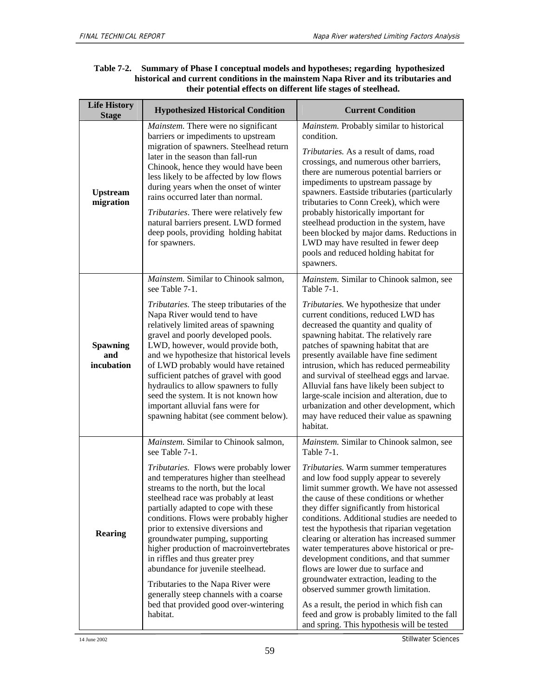| <b>Life History</b><br><b>Stage</b>  | <b>Hypothesized Historical Condition</b>                                                                                                                                                                                                                                                                                                                                                                                                                                                                                                                                           | <b>Current Condition</b>                                                                                                                                                                                                                                                                                                                                                                                                                                                                                                                                                                                                                                                                                                         |  |
|--------------------------------------|------------------------------------------------------------------------------------------------------------------------------------------------------------------------------------------------------------------------------------------------------------------------------------------------------------------------------------------------------------------------------------------------------------------------------------------------------------------------------------------------------------------------------------------------------------------------------------|----------------------------------------------------------------------------------------------------------------------------------------------------------------------------------------------------------------------------------------------------------------------------------------------------------------------------------------------------------------------------------------------------------------------------------------------------------------------------------------------------------------------------------------------------------------------------------------------------------------------------------------------------------------------------------------------------------------------------------|--|
| <b>Upstream</b><br>migration         | <i>Mainstem.</i> There were no significant<br>barriers or impediments to upstream<br>migration of spawners. Steelhead return<br>later in the season than fall-run<br>Chinook, hence they would have been<br>less likely to be affected by low flows<br>during years when the onset of winter<br>rains occurred later than normal.<br>Tributaries. There were relatively few<br>natural barriers present. LWD formed<br>deep pools, providing holding habitat<br>for spawners.                                                                                                      | Mainstem. Probably similar to historical<br>condition.<br>Tributaries. As a result of dams, road<br>crossings, and numerous other barriers,<br>there are numerous potential barriers or<br>impediments to upstream passage by<br>spawners. Eastside tributaries (particularly<br>tributaries to Conn Creek), which were<br>probably historically important for<br>steelhead production in the system, have<br>been blocked by major dams. Reductions in<br>LWD may have resulted in fewer deep<br>pools and reduced holding habitat for<br>spawners.                                                                                                                                                                             |  |
|                                      | Mainstem. Similar to Chinook salmon,<br>see Table 7-1.                                                                                                                                                                                                                                                                                                                                                                                                                                                                                                                             | Mainstem. Similar to Chinook salmon, see<br>Table $7-1$ .                                                                                                                                                                                                                                                                                                                                                                                                                                                                                                                                                                                                                                                                        |  |
| <b>Spawning</b><br>and<br>incubation | Tributaries. The steep tributaries of the<br>Napa River would tend to have<br>relatively limited areas of spawning<br>gravel and poorly developed pools.<br>LWD, however, would provide both,<br>and we hypothesize that historical levels<br>of LWD probably would have retained<br>sufficient patches of gravel with good<br>hydraulics to allow spawners to fully<br>seed the system. It is not known how<br>important alluvial fans were for<br>spawning habitat (see comment below).                                                                                          | Tributaries. We hypothesize that under<br>current conditions, reduced LWD has<br>decreased the quantity and quality of<br>spawning habitat. The relatively rare<br>patches of spawning habitat that are<br>presently available have fine sediment<br>intrusion, which has reduced permeability<br>and survival of steelhead eggs and larvae.<br>Alluvial fans have likely been subject to<br>large-scale incision and alteration, due to<br>urbanization and other development, which<br>may have reduced their value as spawning<br>habitat.                                                                                                                                                                                    |  |
|                                      | Mainstem. Similar to Chinook salmon,<br>see Table 7-1.                                                                                                                                                                                                                                                                                                                                                                                                                                                                                                                             | Mainstem. Similar to Chinook salmon, see<br>Table 7-1.                                                                                                                                                                                                                                                                                                                                                                                                                                                                                                                                                                                                                                                                           |  |
| <b>Rearing</b>                       | Tributaries. Flows were probably lower<br>and temperatures higher than steelhead<br>streams to the north, but the local<br>steelhead race was probably at least<br>partially adapted to cope with these<br>conditions. Flows were probably higher<br>prior to extensive diversions and<br>groundwater pumping, supporting<br>higher production of macroinvertebrates<br>in riffles and thus greater prey<br>abundance for juvenile steelhead.<br>Tributaries to the Napa River were<br>generally steep channels with a coarse<br>bed that provided good over-wintering<br>habitat. | Tributaries. Warm summer temperatures<br>and low food supply appear to severely<br>limit summer growth. We have not assessed<br>the cause of these conditions or whether<br>they differ significantly from historical<br>conditions. Additional studies are needed to<br>test the hypothesis that riparian vegetation<br>clearing or alteration has increased summer<br>water temperatures above historical or pre-<br>development conditions, and that summer<br>flows are lower due to surface and<br>groundwater extraction, leading to the<br>observed summer growth limitation.<br>As a result, the period in which fish can<br>feed and grow is probably limited to the fall<br>and spring. This hypothesis will be tested |  |

#### **Table 7-2. Summary of Phase I conceptual models and hypotheses; regarding hypothesized historical and current conditions in the mainstem Napa River and its tributaries and their potential effects on different life stages of steelhead.**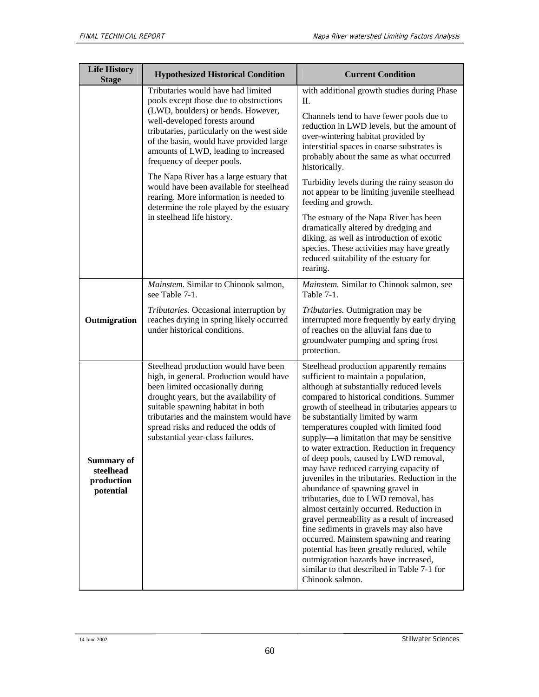| <b>Life History</b><br><b>Stage</b>                       | <b>Hypothesized Historical Condition</b>                                                                                                                                                                                                                                                                                                                                                                                                                                                                                     | <b>Current Condition</b>                                                                                                                                                                                                                                                                                                                                                                                                                                                                                                                                                                                                                                                                                                                                                                                                                                                                                                                                  |
|-----------------------------------------------------------|------------------------------------------------------------------------------------------------------------------------------------------------------------------------------------------------------------------------------------------------------------------------------------------------------------------------------------------------------------------------------------------------------------------------------------------------------------------------------------------------------------------------------|-----------------------------------------------------------------------------------------------------------------------------------------------------------------------------------------------------------------------------------------------------------------------------------------------------------------------------------------------------------------------------------------------------------------------------------------------------------------------------------------------------------------------------------------------------------------------------------------------------------------------------------------------------------------------------------------------------------------------------------------------------------------------------------------------------------------------------------------------------------------------------------------------------------------------------------------------------------|
|                                                           | Tributaries would have had limited<br>pools except those due to obstructions<br>(LWD, boulders) or bends. However,<br>well-developed forests around<br>tributaries, particularly on the west side<br>of the basin, would have provided large<br>amounts of LWD, leading to increased<br>frequency of deeper pools.<br>The Napa River has a large estuary that<br>would have been available for steelhead<br>rearing. More information is needed to<br>determine the role played by the estuary<br>in steelhead life history. | with additional growth studies during Phase<br>П.<br>Channels tend to have fewer pools due to<br>reduction in LWD levels, but the amount of<br>over-wintering habitat provided by<br>interstitial spaces in coarse substrates is<br>probably about the same as what occurred<br>historically.<br>Turbidity levels during the rainy season do<br>not appear to be limiting juvenile steelhead<br>feeding and growth.<br>The estuary of the Napa River has been<br>dramatically altered by dredging and                                                                                                                                                                                                                                                                                                                                                                                                                                                     |
|                                                           |                                                                                                                                                                                                                                                                                                                                                                                                                                                                                                                              | diking, as well as introduction of exotic<br>species. These activities may have greatly<br>reduced suitability of the estuary for<br>rearing.                                                                                                                                                                                                                                                                                                                                                                                                                                                                                                                                                                                                                                                                                                                                                                                                             |
|                                                           | Mainstem. Similar to Chinook salmon,<br>see Table 7-1.                                                                                                                                                                                                                                                                                                                                                                                                                                                                       | Mainstem. Similar to Chinook salmon, see<br><b>Table 7-1.</b>                                                                                                                                                                                                                                                                                                                                                                                                                                                                                                                                                                                                                                                                                                                                                                                                                                                                                             |
| Outmigration                                              | Tributaries. Occasional interruption by<br>reaches drying in spring likely occurred<br>under historical conditions.                                                                                                                                                                                                                                                                                                                                                                                                          | Tributaries. Outmigration may be<br>interrupted more frequently by early drying<br>of reaches on the alluvial fans due to<br>groundwater pumping and spring frost<br>protection.                                                                                                                                                                                                                                                                                                                                                                                                                                                                                                                                                                                                                                                                                                                                                                          |
| <b>Summary of</b><br>steelhead<br>production<br>potential | Steelhead production would have been<br>high, in general. Production would have<br>been limited occasionally during<br>drought years, but the availability of<br>suitable spawning habitat in both<br>tributaries and the mainstem would have<br>spread risks and reduced the odds of<br>substantial year-class failures.                                                                                                                                                                                                    | Steelhead production apparently remains<br>sufficient to maintain a population,<br>although at substantially reduced levels<br>compared to historical conditions. Summer<br>growth of steelhead in tributaries appears to<br>be substantially limited by warm<br>temperatures coupled with limited food<br>supply—a limitation that may be sensitive<br>to water extraction. Reduction in frequency<br>of deep pools, caused by LWD removal,<br>may have reduced carrying capacity of<br>juveniles in the tributaries. Reduction in the<br>abundance of spawning gravel in<br>tributaries, due to LWD removal, has<br>almost certainly occurred. Reduction in<br>gravel permeability as a result of increased<br>fine sediments in gravels may also have<br>occurred. Mainstem spawning and rearing<br>potential has been greatly reduced, while<br>outmigration hazards have increased,<br>similar to that described in Table 7-1 for<br>Chinook salmon. |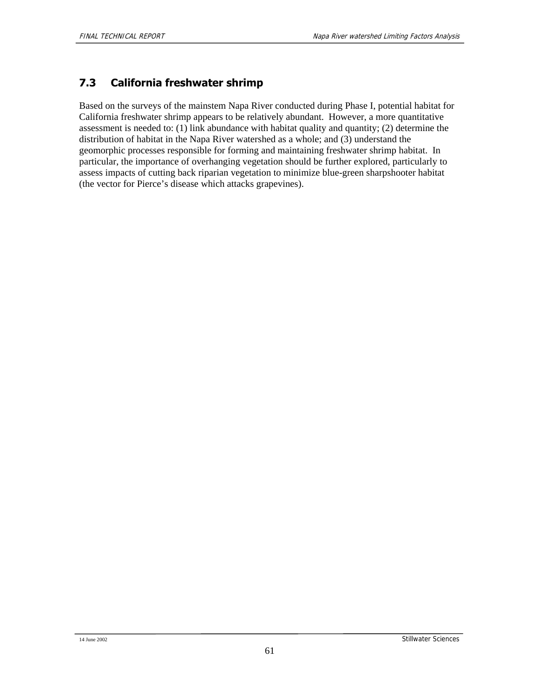#### **7.3 California freshwater shrimp**

Based on the surveys of the mainstem Napa River conducted during Phase I, potential habitat for California freshwater shrimp appears to be relatively abundant. However, a more quantitative assessment is needed to: (1) link abundance with habitat quality and quantity; (2) determine the distribution of habitat in the Napa River watershed as a whole; and (3) understand the geomorphic processes responsible for forming and maintaining freshwater shrimp habitat. In particular, the importance of overhanging vegetation should be further explored, particularly to assess impacts of cutting back riparian vegetation to minimize blue-green sharpshooter habitat (the vector for Pierce's disease which attacks grapevines).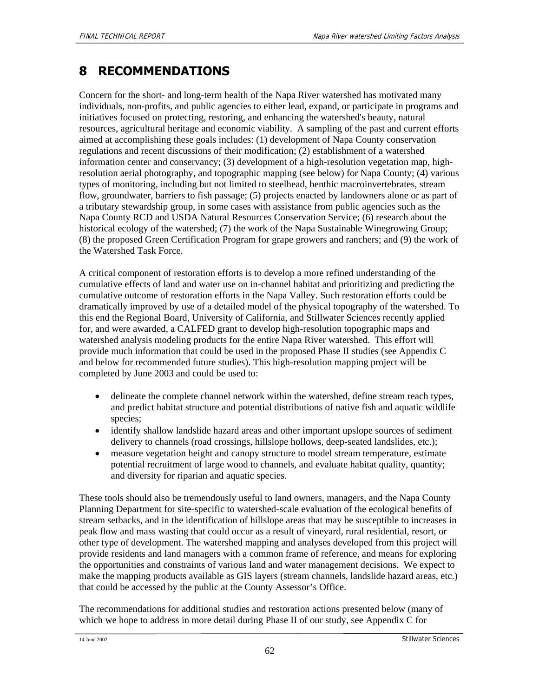# **8 RECOMMENDATIONS**

Concern for the short- and long-term health of the Napa River watershed has motivated many individuals, non-profits, and public agencies to either lead, expand, or participate in programs and initiatives focused on protecting, restoring, and enhancing the watershed's beauty, natural resources, agricultural heritage and economic viability. A sampling of the past and current efforts aimed at accomplishing these goals includes: (1) development of Napa County conservation regulations and recent discussions of their modification; (2) establishment of a watershed information center and conservancy; (3) development of a high-resolution vegetation map, highresolution aerial photography, and topographic mapping (see below) for Napa County; (4) various types of monitoring, including but not limited to steelhead, benthic macroinvertebrates, stream flow, groundwater, barriers to fish passage; (5) projects enacted by landowners alone or as part of a tributary stewardship group, in some cases with assistance from public agencies such as the Napa County RCD and USDA Natural Resources Conservation Service; (6) research about the historical ecology of the watershed; (7) the work of the Napa Sustainable Winegrowing Group; (8) the proposed Green Certification Program for grape growers and ranchers; and (9) the work of the Watershed Task Force.

A critical component of restoration efforts is to develop a more refined understanding of the cumulative effects of land and water use on in-channel habitat and prioritizing and predicting the cumulative outcome of restoration efforts in the Napa Valley. Such restoration efforts could be dramatically improved by use of a detailed model of the physical topography of the watershed. To this end the Regional Board, University of California, and Stillwater Sciences recently applied for, and were awarded, a CALFED grant to develop high-resolution topographic maps and watershed analysis modeling products for the entire Napa River watershed. This effort will provide much information that could be used in the proposed Phase II studies (see Appendix C and below for recommended future studies). This high-resolution mapping project will be completed by June 2003 and could be used to:

- delineate the complete channel network within the watershed, define stream reach types, and predict habitat structure and potential distributions of native fish and aquatic wildlife species;
- identify shallow landslide hazard areas and other important upslope sources of sediment delivery to channels (road crossings, hillslope hollows, deep-seated landslides, etc.);
- measure vegetation height and canopy structure to model stream temperature, estimate potential recruitment of large wood to channels, and evaluate habitat quality, quantity; and diversity for riparian and aquatic species.

These tools should also be tremendously useful to land owners, managers, and the Napa County Planning Department for site-specific to watershed-scale evaluation of the ecological benefits of stream setbacks, and in the identification of hillslope areas that may be susceptible to increases in peak flow and mass wasting that could occur as a result of vineyard, rural residential, resort, or other type of development. The watershed mapping and analyses developed from this project will provide residents and land managers with a common frame of reference, and means for exploring the opportunities and constraints of various land and water management decisions. We expect to make the mapping products available as GIS layers (stream channels, landslide hazard areas, etc.) that could be accessed by the public at the County Assessor's Office.

The recommendations for additional studies and restoration actions presented below (many of which we hope to address in more detail during Phase II of our study, see Appendix C for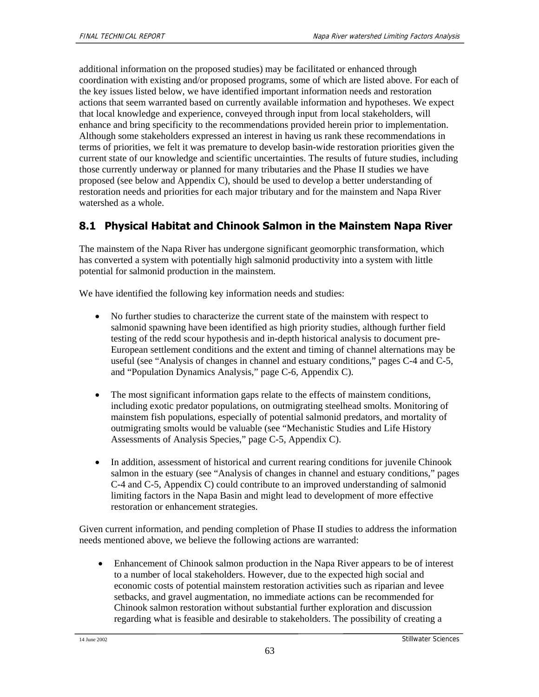additional information on the proposed studies) may be facilitated or enhanced through coordination with existing and/or proposed programs, some of which are listed above. For each of the key issues listed below, we have identified important information needs and restoration actions that seem warranted based on currently available information and hypotheses. We expect that local knowledge and experience, conveyed through input from local stakeholders, will enhance and bring specificity to the recommendations provided herein prior to implementation. Although some stakeholders expressed an interest in having us rank these recommendations in terms of priorities, we felt it was premature to develop basin-wide restoration priorities given the current state of our knowledge and scientific uncertainties. The results of future studies, including those currently underway or planned for many tributaries and the Phase II studies we have proposed (see below and Appendix C), should be used to develop a better understanding of restoration needs and priorities for each major tributary and for the mainstem and Napa River watershed as a whole.

#### **8.1 Physical Habitat and Chinook Salmon in the Mainstem Napa River**

The mainstem of the Napa River has undergone significant geomorphic transformation, which has converted a system with potentially high salmonid productivity into a system with little potential for salmonid production in the mainstem.

We have identified the following key information needs and studies:

- No further studies to characterize the current state of the mainstem with respect to salmonid spawning have been identified as high priority studies, although further field testing of the redd scour hypothesis and in-depth historical analysis to document pre-European settlement conditions and the extent and timing of channel alternations may be useful (see "Analysis of changes in channel and estuary conditions," pages C-4 and C-5, and "Population Dynamics Analysis," page C-6, Appendix C).
- The most significant information gaps relate to the effects of mainstem conditions, including exotic predator populations, on outmigrating steelhead smolts. Monitoring of mainstem fish populations, especially of potential salmonid predators, and mortality of outmigrating smolts would be valuable (see "Mechanistic Studies and Life History Assessments of Analysis Species," page C-5, Appendix C).
- In addition, assessment of historical and current rearing conditions for juvenile Chinook salmon in the estuary (see "Analysis of changes in channel and estuary conditions," pages C-4 and C-5, Appendix C) could contribute to an improved understanding of salmonid limiting factors in the Napa Basin and might lead to development of more effective restoration or enhancement strategies.

Given current information, and pending completion of Phase II studies to address the information needs mentioned above, we believe the following actions are warranted:

• Enhancement of Chinook salmon production in the Napa River appears to be of interest to a number of local stakeholders. However, due to the expected high social and economic costs of potential mainstem restoration activities such as riparian and levee setbacks, and gravel augmentation, no immediate actions can be recommended for Chinook salmon restoration without substantial further exploration and discussion regarding what is feasible and desirable to stakeholders. The possibility of creating a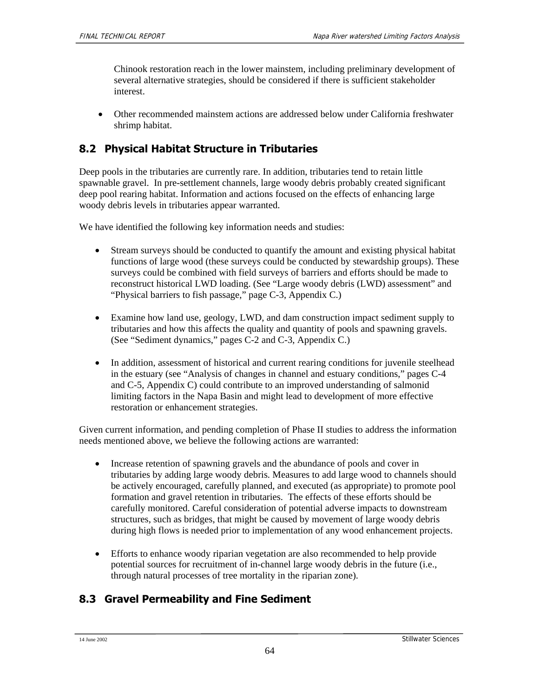Chinook restoration reach in the lower mainstem, including preliminary development of several alternative strategies, should be considered if there is sufficient stakeholder interest.

• Other recommended mainstem actions are addressed below under California freshwater shrimp habitat.

### **8.2 Physical Habitat Structure in Tributaries**

Deep pools in the tributaries are currently rare. In addition, tributaries tend to retain little spawnable gravel. In pre-settlement channels, large woody debris probably created significant deep pool rearing habitat. Information and actions focused on the effects of enhancing large woody debris levels in tributaries appear warranted.

We have identified the following key information needs and studies:

- Stream surveys should be conducted to quantify the amount and existing physical habitat functions of large wood (these surveys could be conducted by stewardship groups). These surveys could be combined with field surveys of barriers and efforts should be made to reconstruct historical LWD loading. (See "Large woody debris (LWD) assessment" and "Physical barriers to fish passage," page C-3, Appendix C.)
- Examine how land use, geology, LWD, and dam construction impact sediment supply to tributaries and how this affects the quality and quantity of pools and spawning gravels. (See "Sediment dynamics," pages C-2 and C-3, Appendix C.)
- In addition, assessment of historical and current rearing conditions for juvenile steelhead in the estuary (see "Analysis of changes in channel and estuary conditions," pages C-4 and C-5, Appendix C) could contribute to an improved understanding of salmonid limiting factors in the Napa Basin and might lead to development of more effective restoration or enhancement strategies.

Given current information, and pending completion of Phase II studies to address the information needs mentioned above, we believe the following actions are warranted:

- Increase retention of spawning gravels and the abundance of pools and cover in tributaries by adding large woody debris. Measures to add large wood to channels should be actively encouraged, carefully planned, and executed (as appropriate) to promote pool formation and gravel retention in tributaries. The effects of these efforts should be carefully monitored. Careful consideration of potential adverse impacts to downstream structures, such as bridges, that might be caused by movement of large woody debris during high flows is needed prior to implementation of any wood enhancement projects.
- Efforts to enhance woody riparian vegetation are also recommended to help provide potential sources for recruitment of in-channel large woody debris in the future (i.e., through natural processes of tree mortality in the riparian zone).

## **8.3 Gravel Permeability and Fine Sediment**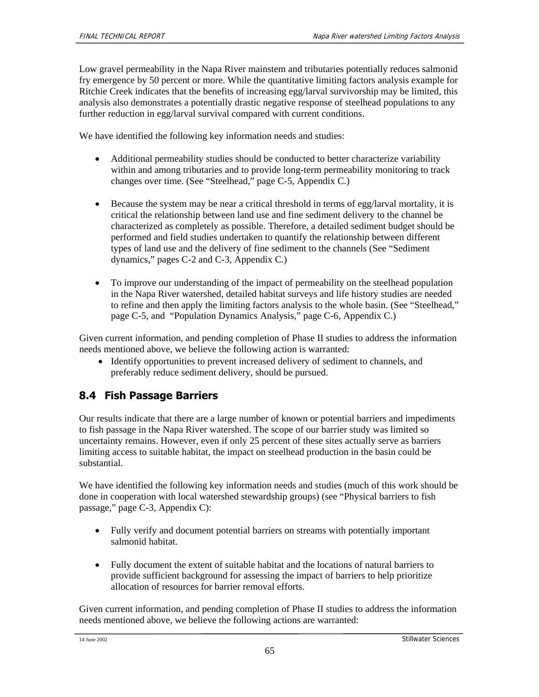Low gravel permeability in the Napa River mainstem and tributaries potentially reduces salmonid fry emergence by 50 percent or more. While the quantitative limiting factors analysis example for Ritchie Creek indicates that the benefits of increasing egg/larval survivorship may be limited, this analysis also demonstrates a potentially drastic negative response of steelhead populations to any further reduction in egg/larval survival compared with current conditions.

We have identified the following key information needs and studies:

- Additional permeability studies should be conducted to better characterize variability within and among tributaries and to provide long-term permeability monitoring to track changes over time. (See "Steelhead," page C-5, Appendix C.)
- Because the system may be near a critical threshold in terms of egg/larval mortality, it is critical the relationship between land use and fine sediment delivery to the channel be characterized as completely as possible. Therefore, a detailed sediment budget should be performed and field studies undertaken to quantify the relationship between different types of land use and the delivery of fine sediment to the channels (See "Sediment dynamics," pages C-2 and C-3, Appendix C.)
- To improve our understanding of the impact of permeability on the steelhead population in the Napa River watershed, detailed habitat surveys and life history studies are needed to refine and then apply the limiting factors analysis to the whole basin. (See "Steelhead," page C-5, and "Population Dynamics Analysis," page C-6, Appendix C.)

Given current information, and pending completion of Phase II studies to address the information needs mentioned above, we believe the following action is warranted:

• Identify opportunities to prevent increased delivery of sediment to channels, and preferably reduce sediment delivery, should be pursued.

## **8.4 Fish Passage Barriers**

Our results indicate that there are a large number of known or potential barriers and impediments to fish passage in the Napa River watershed. The scope of our barrier study was limited so uncertainty remains. However, even if only 25 percent of these sites actually serve as barriers limiting access to suitable habitat, the impact on steelhead production in the basin could be substantial.

We have identified the following key information needs and studies (much of this work should be done in cooperation with local watershed stewardship groups) (see "Physical barriers to fish passage," page C-3, Appendix C):

- Fully verify and document potential barriers on streams with potentially important salmonid habitat.
- Fully document the extent of suitable habitat and the locations of natural barriers to provide sufficient background for assessing the impact of barriers to help prioritize allocation of resources for barrier removal efforts.

Given current information, and pending completion of Phase II studies to address the information needs mentioned above, we believe the following actions are warranted: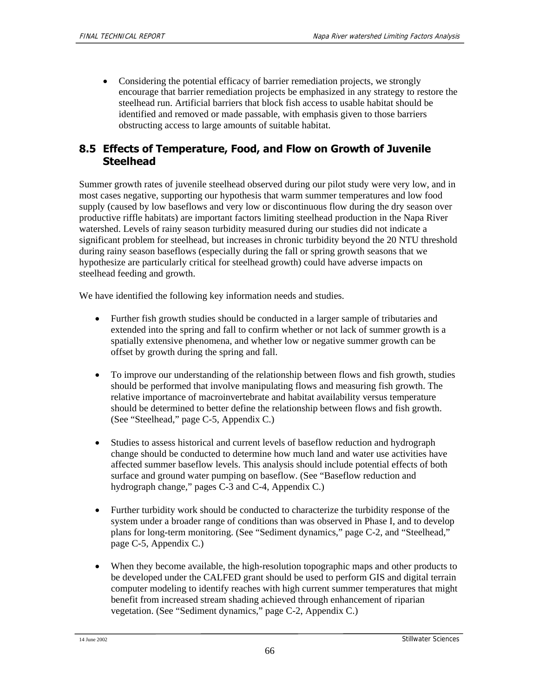• Considering the potential efficacy of barrier remediation projects, we strongly encourage that barrier remediation projects be emphasized in any strategy to restore the steelhead run. Artificial barriers that block fish access to usable habitat should be identified and removed or made passable, with emphasis given to those barriers obstructing access to large amounts of suitable habitat.

#### **8.5 Effects of Temperature, Food, and Flow on Growth of Juvenile Steelhead**

Summer growth rates of juvenile steelhead observed during our pilot study were very low, and in most cases negative, supporting our hypothesis that warm summer temperatures and low food supply (caused by low baseflows and very low or discontinuous flow during the dry season over productive riffle habitats) are important factors limiting steelhead production in the Napa River watershed. Levels of rainy season turbidity measured during our studies did not indicate a significant problem for steelhead, but increases in chronic turbidity beyond the 20 NTU threshold during rainy season baseflows (especially during the fall or spring growth seasons that we hypothesize are particularly critical for steelhead growth) could have adverse impacts on steelhead feeding and growth.

We have identified the following key information needs and studies.

- Further fish growth studies should be conducted in a larger sample of tributaries and extended into the spring and fall to confirm whether or not lack of summer growth is a spatially extensive phenomena, and whether low or negative summer growth can be offset by growth during the spring and fall.
- To improve our understanding of the relationship between flows and fish growth, studies should be performed that involve manipulating flows and measuring fish growth. The relative importance of macroinvertebrate and habitat availability versus temperature should be determined to better define the relationship between flows and fish growth. (See "Steelhead," page C-5, Appendix C.)
- Studies to assess historical and current levels of baseflow reduction and hydrograph change should be conducted to determine how much land and water use activities have affected summer baseflow levels. This analysis should include potential effects of both surface and ground water pumping on baseflow. (See "Baseflow reduction and hydrograph change," pages C-3 and C-4, Appendix C.)
- Further turbidity work should be conducted to characterize the turbidity response of the system under a broader range of conditions than was observed in Phase I, and to develop plans for long-term monitoring. (See "Sediment dynamics," page C-2, and "Steelhead," page C-5, Appendix C.)
- When they become available, the high-resolution topographic maps and other products to be developed under the CALFED grant should be used to perform GIS and digital terrain computer modeling to identify reaches with high current summer temperatures that might benefit from increased stream shading achieved through enhancement of riparian vegetation. (See "Sediment dynamics," page C-2, Appendix C.)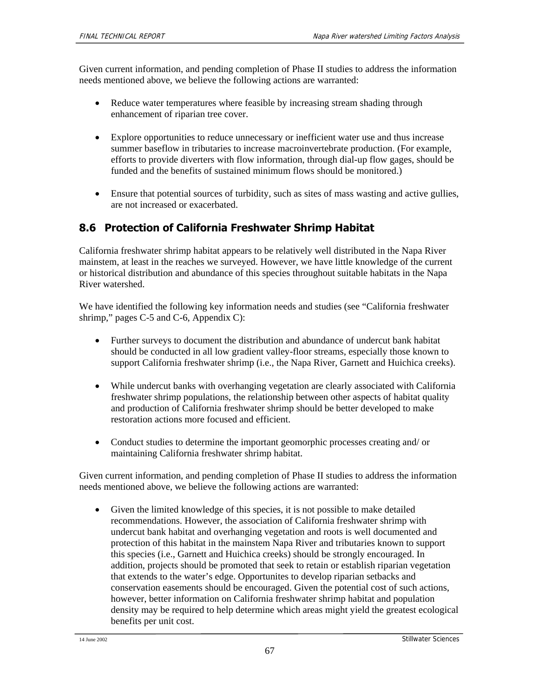Given current information, and pending completion of Phase II studies to address the information needs mentioned above, we believe the following actions are warranted:

- Reduce water temperatures where feasible by increasing stream shading through enhancement of riparian tree cover.
- Explore opportunities to reduce unnecessary or inefficient water use and thus increase summer baseflow in tributaries to increase macroinvertebrate production. (For example, efforts to provide diverters with flow information, through dial-up flow gages, should be funded and the benefits of sustained minimum flows should be monitored.)
- Ensure that potential sources of turbidity, such as sites of mass wasting and active gullies, are not increased or exacerbated.

## **8.6 Protection of California Freshwater Shrimp Habitat**

California freshwater shrimp habitat appears to be relatively well distributed in the Napa River mainstem, at least in the reaches we surveyed. However, we have little knowledge of the current or historical distribution and abundance of this species throughout suitable habitats in the Napa River watershed.

We have identified the following key information needs and studies (see "California freshwater shrimp," pages C-5 and C-6, Appendix C):

- Further surveys to document the distribution and abundance of undercut bank habitat should be conducted in all low gradient valley-floor streams, especially those known to support California freshwater shrimp (i.e., the Napa River, Garnett and Huichica creeks).
- While undercut banks with overhanging vegetation are clearly associated with California freshwater shrimp populations, the relationship between other aspects of habitat quality and production of California freshwater shrimp should be better developed to make restoration actions more focused and efficient.
- Conduct studies to determine the important geomorphic processes creating and/ or maintaining California freshwater shrimp habitat.

Given current information, and pending completion of Phase II studies to address the information needs mentioned above, we believe the following actions are warranted:

• Given the limited knowledge of this species, it is not possible to make detailed recommendations. However, the association of California freshwater shrimp with undercut bank habitat and overhanging vegetation and roots is well documented and protection of this habitat in the mainstem Napa River and tributaries known to support this species (i.e., Garnett and Huichica creeks) should be strongly encouraged. In addition, projects should be promoted that seek to retain or establish riparian vegetation that extends to the water's edge. Opportunites to develop riparian setbacks and conservation easements should be encouraged. Given the potential cost of such actions, however, better information on California freshwater shrimp habitat and population density may be required to help determine which areas might yield the greatest ecological benefits per unit cost.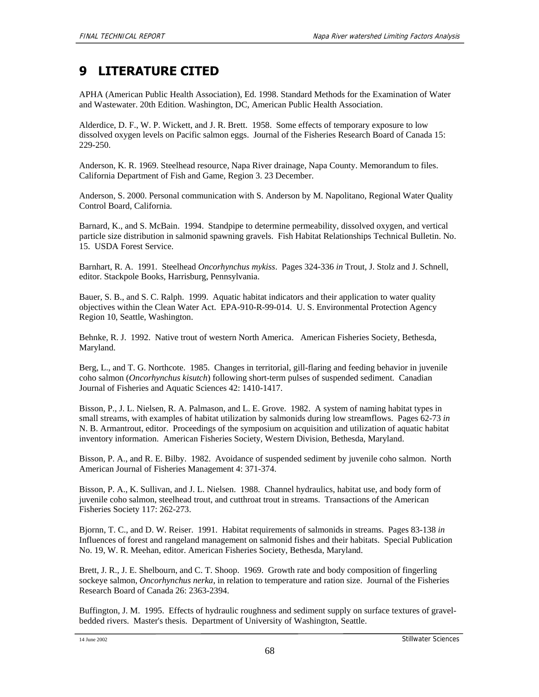# **9 LITERATURE CITED**

APHA (American Public Health Association), Ed. 1998. Standard Methods for the Examination of Water and Wastewater. 20th Edition. Washington, DC, American Public Health Association.

Alderdice, D. F., W. P. Wickett, and J. R. Brett. 1958. Some effects of temporary exposure to low dissolved oxygen levels on Pacific salmon eggs. Journal of the Fisheries Research Board of Canada 15: 229-250.

Anderson, K. R. 1969. Steelhead resource, Napa River drainage, Napa County. Memorandum to files. California Department of Fish and Game, Region 3. 23 December.

Anderson, S. 2000. Personal communication with S. Anderson by M. Napolitano, Regional Water Quality Control Board, California.

Barnard, K., and S. McBain. 1994. Standpipe to determine permeability, dissolved oxygen, and vertical particle size distribution in salmonid spawning gravels. Fish Habitat Relationships Technical Bulletin. No. 15. USDA Forest Service.

Barnhart, R. A. 1991. Steelhead *Oncorhynchus mykiss*. Pages 324-336 *in* Trout*,* J. Stolz and J. Schnell, editor. Stackpole Books, Harrisburg, Pennsylvania.

Bauer, S. B., and S. C. Ralph. 1999. Aquatic habitat indicators and their application to water quality objectives within the Clean Water Act. EPA-910-R-99-014. U. S. Environmental Protection Agency Region 10, Seattle, Washington.

Behnke, R. J. 1992. Native trout of western North America. American Fisheries Society, Bethesda, Maryland.

Berg, L., and T. G. Northcote. 1985. Changes in territorial, gill-flaring and feeding behavior in juvenile coho salmon (*Oncorhynchus kisutch*) following short-term pulses of suspended sediment. Canadian Journal of Fisheries and Aquatic Sciences 42: 1410-1417.

Bisson, P., J. L. Nielsen, R. A. Palmason, and L. E. Grove. 1982. A system of naming habitat types in small streams, with examples of habitat utilization by salmonids during low streamflows. Pages 62-73 *in*  N. B. Armantrout, editor. Proceedings of the symposium on acquisition and utilization of aquatic habitat inventory information. American Fisheries Society, Western Division, Bethesda, Maryland.

Bisson, P. A., and R. E. Bilby. 1982. Avoidance of suspended sediment by juvenile coho salmon. North American Journal of Fisheries Management 4: 371-374.

Bisson, P. A., K. Sullivan, and J. L. Nielsen. 1988. Channel hydraulics, habitat use, and body form of juvenile coho salmon, steelhead trout, and cutthroat trout in streams. Transactions of the American Fisheries Society 117: 262-273.

Bjornn, T. C., and D. W. Reiser. 1991. Habitat requirements of salmonids in streams. Pages 83-138 *in*  Influences of forest and rangeland management on salmonid fishes and their habitats. Special Publication No. 19*,* W. R. Meehan, editor. American Fisheries Society, Bethesda, Maryland.

Brett, J. R., J. E. Shelbourn, and C. T. Shoop. 1969. Growth rate and body composition of fingerling sockeye salmon, *Oncorhynchus nerka*, in relation to temperature and ration size. Journal of the Fisheries Research Board of Canada 26: 2363-2394.

Buffington, J. M. 1995. Effects of hydraulic roughness and sediment supply on surface textures of gravelbedded rivers. Master's thesis. Department of University of Washington, Seattle.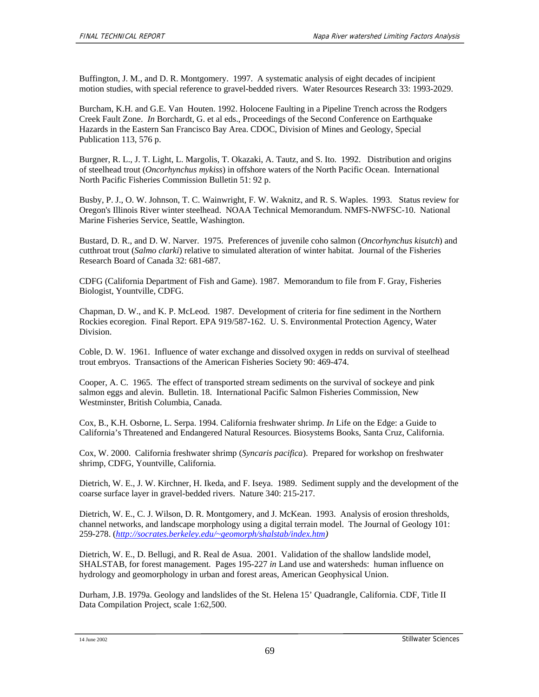Buffington, J. M., and D. R. Montgomery. 1997. A systematic analysis of eight decades of incipient motion studies, with special reference to gravel-bedded rivers. Water Resources Research 33: 1993-2029.

Burcham, K.H. and G.E. Van Houten. 1992. Holocene Faulting in a Pipeline Trench across the Rodgers Creek Fault Zone. *In* Borchardt, G. et al eds., Proceedings of the Second Conference on Earthquake Hazards in the Eastern San Francisco Bay Area. CDOC, Division of Mines and Geology, Special Publication 113, 576 p.

Burgner, R. L., J. T. Light, L. Margolis, T. Okazaki, A. Tautz, and S. Ito. 1992. Distribution and origins of steelhead trout (*Oncorhynchus mykiss*) in offshore waters of the North Pacific Ocean. International North Pacific Fisheries Commission Bulletin 51: 92 p.

Busby, P. J., O. W. Johnson, T. C. Wainwright, F. W. Waknitz, and R. S. Waples. 1993. Status review for Oregon's Illinois River winter steelhead. NOAA Technical Memorandum. NMFS-NWFSC-10. National Marine Fisheries Service, Seattle, Washington.

Bustard, D. R., and D. W. Narver. 1975. Preferences of juvenile coho salmon (*Oncorhynchus kisutch*) and cutthroat trout (*Salmo clarki*) relative to simulated alteration of winter habitat. Journal of the Fisheries Research Board of Canada 32: 681-687.

CDFG (California Department of Fish and Game). 1987. Memorandum to file from F. Gray, Fisheries Biologist, Yountville, CDFG.

Chapman, D. W., and K. P. McLeod. 1987. Development of criteria for fine sediment in the Northern Rockies ecoregion. Final Report. EPA 919/587-162. U. S. Environmental Protection Agency, Water Division.

Coble, D. W. 1961. Influence of water exchange and dissolved oxygen in redds on survival of steelhead trout embryos. Transactions of the American Fisheries Society 90: 469-474.

Cooper, A. C. 1965. The effect of transported stream sediments on the survival of sockeye and pink salmon eggs and alevin. Bulletin. 18. International Pacific Salmon Fisheries Commission, New Westminster, British Columbia, Canada.

Cox, B., K.H. Osborne, L. Serpa. 1994. California freshwater shrimp. *In* Life on the Edge: a Guide to California's Threatened and Endangered Natural Resources. Biosystems Books, Santa Cruz, California.

Cox, W. 2000. California freshwater shrimp (*Syncaris pacifica*). Prepared for workshop on freshwater shrimp, CDFG, Yountville, California.

Dietrich, W. E., J. W. Kirchner, H. Ikeda, and F. Iseya. 1989. Sediment supply and the development of the coarse surface layer in gravel-bedded rivers. Nature 340: 215-217.

Dietrich, W. E., C. J. Wilson, D. R. Montgomery, and J. McKean. 1993. Analysis of erosion thresholds, channel networks, and landscape morphology using a digital terrain model. The Journal of Geology 101: 259-278. (*http://socrates.berkeley.edu/~geomorph/shalstab/index.htm)* 

Dietrich, W. E., D. Bellugi, and R. Real de Asua. 2001. Validation of the shallow landslide model, SHALSTAB, for forest management. Pages 195-227 *in* Land use and watersheds: human influence on hydrology and geomorphology in urban and forest areas*,* American Geophysical Union.

Durham, J.B. 1979a. Geology and landslides of the St. Helena 15' Quadrangle, California. CDF, Title II Data Compilation Project, scale 1:62,500.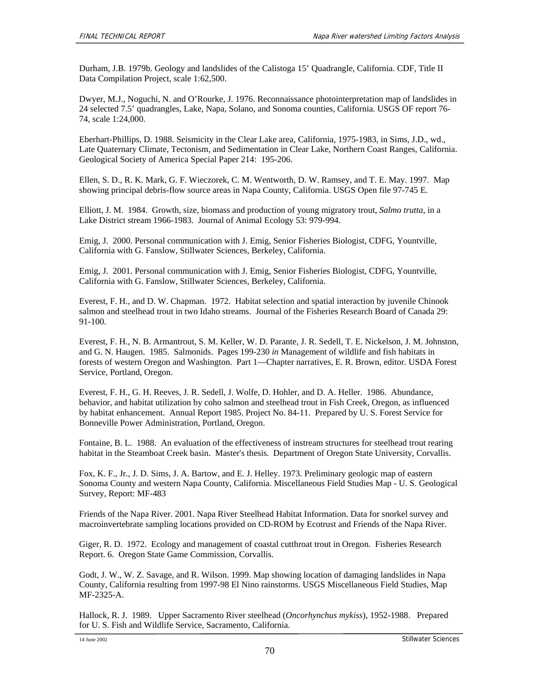Durham, J.B. 1979b. Geology and landslides of the Calistoga 15' Quadrangle, California. CDF, Title II Data Compilation Project, scale 1:62,500.

Dwyer, M.J., Noguchi, N. and O'Rourke, J. 1976. Reconnaissance photointerpretation map of landslides in 24 selected 7.5' quadrangles, Lake, Napa, Solano, and Sonoma counties, California. USGS OF report 76- 74, scale 1:24,000.

Eberhart-Phillips, D. 1988. Seismicity in the Clear Lake area, California, 1975-1983, in Sims, J.D., wd., Late Quaternary Climate, Tectonism, and Sedimentation in Clear Lake, Northern Coast Ranges, California. Geological Society of America Special Paper 214: 195-206.

Ellen, S. D., R. K. Mark, G. F. Wieczorek, C. M. Wentworth, D. W. Ramsey, and T. E. May. 1997. Map showing principal debris-flow source areas in Napa County, California. USGS Open file 97-745 E.

Elliott, J. M. 1984. Growth, size, biomass and production of young migratory trout, *Salmo trutta*, in a Lake District stream 1966-1983. Journal of Animal Ecology 53: 979-994.

Emig, J. 2000. Personal communication with J. Emig, Senior Fisheries Biologist, CDFG, Yountville, California with G. Fanslow, Stillwater Sciences, Berkeley, California.

Emig, J. 2001. Personal communication with J. Emig, Senior Fisheries Biologist, CDFG, Yountville, California with G. Fanslow, Stillwater Sciences, Berkeley, California.

Everest, F. H., and D. W. Chapman. 1972. Habitat selection and spatial interaction by juvenile Chinook salmon and steelhead trout in two Idaho streams. Journal of the Fisheries Research Board of Canada 29: 91-100.

Everest, F. H., N. B. Armantrout, S. M. Keller, W. D. Parante, J. R. Sedell, T. E. Nickelson, J. M. Johnston, and G. N. Haugen. 1985. Salmonids. Pages 199-230 *in* Management of wildlife and fish habitats in forests of western Oregon and Washington. Part 1—Chapter narratives*,* E. R. Brown, editor. USDA Forest Service, Portland, Oregon.

Everest, F. H., G. H. Reeves, J. R. Sedell, J. Wolfe, D. Hohler, and D. A. Heller. 1986. Abundance, behavior, and habitat utilization by coho salmon and steelhead trout in Fish Creek, Oregon, as influenced by habitat enhancement. Annual Report 1985. Project No. 84-11. Prepared by U. S. Forest Service for Bonneville Power Administration, Portland, Oregon.

Fontaine, B. L. 1988. An evaluation of the effectiveness of instream structures for steelhead trout rearing habitat in the Steamboat Creek basin. Master's thesis. Department of Oregon State University, Corvallis.

Fox, K. F., Jr., J. D. Sims, J. A. Bartow, and E. J. Helley. 1973. Preliminary geologic map of eastern Sonoma County and western Napa County, California. Miscellaneous Field Studies Map - U. S. Geological Survey, Report: MF-483

Friends of the Napa River. 2001. Napa River Steelhead Habitat Information. Data for snorkel survey and macroinvertebrate sampling locations provided on CD-ROM by Ecotrust and Friends of the Napa River.

Giger, R. D. 1972. Ecology and management of coastal cutthroat trout in Oregon. Fisheries Research Report. 6. Oregon State Game Commission, Corvallis.

Godt, J. W., W. Z. Savage, and R. Wilson. 1999. Map showing location of damaging landslides in Napa County, California resulting from 1997-98 El Nino rainstorms. USGS Miscellaneous Field Studies, Map MF-2325-A.

Hallock, R. J. 1989. Upper Sacramento River steelhead (*Oncorhynchus mykiss*), 1952-1988. Prepared for U. S. Fish and Wildlife Service, Sacramento, California.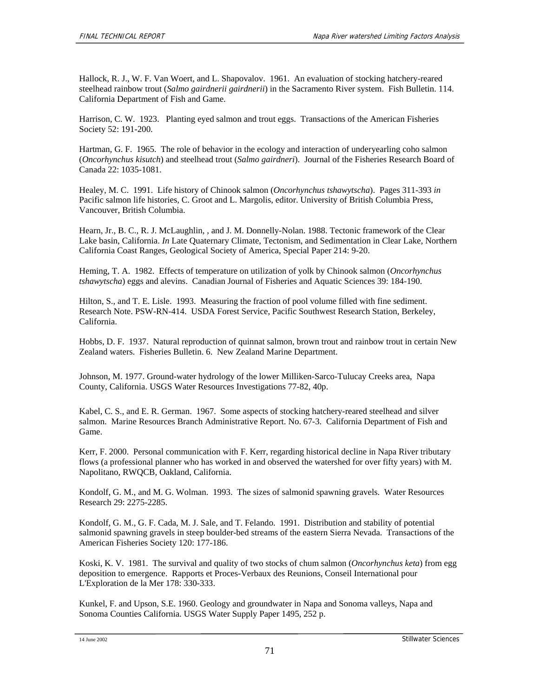Hallock, R. J., W. F. Van Woert, and L. Shapovalov. 1961. An evaluation of stocking hatchery-reared steelhead rainbow trout (*Salmo gairdnerii gairdnerii*) in the Sacramento River system. Fish Bulletin. 114. California Department of Fish and Game.

Harrison, C. W. 1923. Planting eyed salmon and trout eggs. Transactions of the American Fisheries Society 52: 191-200.

Hartman, G. F. 1965. The role of behavior in the ecology and interaction of underyearling coho salmon (*Oncorhynchus kisutch*) and steelhead trout (*Salmo gairdneri*). Journal of the Fisheries Research Board of Canada 22: 1035-1081.

Healey, M. C. 1991. Life history of Chinook salmon (*Oncorhynchus tshawytscha*). Pages 311-393 *in*  Pacific salmon life histories*,* C. Groot and L. Margolis, editor. University of British Columbia Press, Vancouver, British Columbia.

Hearn, Jr., B. C., R. J. McLaughlin, , and J. M. Donnelly-Nolan. 1988. Tectonic framework of the Clear Lake basin, California. *In* Late Quaternary Climate, Tectonism, and Sedimentation in Clear Lake, Northern California Coast Ranges, Geological Society of America, Special Paper 214: 9-20.

Heming, T. A. 1982. Effects of temperature on utilization of yolk by Chinook salmon (*Oncorhynchus tshawytscha*) eggs and alevins. Canadian Journal of Fisheries and Aquatic Sciences 39: 184-190.

Hilton, S., and T. E. Lisle. 1993. Measuring the fraction of pool volume filled with fine sediment. Research Note. PSW-RN-414. USDA Forest Service, Pacific Southwest Research Station, Berkeley, California.

Hobbs, D. F. 1937. Natural reproduction of quinnat salmon, brown trout and rainbow trout in certain New Zealand waters. Fisheries Bulletin. 6. New Zealand Marine Department.

Johnson, M. 1977. Ground-water hydrology of the lower Milliken-Sarco-Tulucay Creeks area, Napa County, California. USGS Water Resources Investigations 77-82, 40p.

Kabel, C. S., and E. R. German. 1967. Some aspects of stocking hatchery-reared steelhead and silver salmon. Marine Resources Branch Administrative Report. No. 67-3. California Department of Fish and Game.

Kerr, F. 2000. Personal communication with F. Kerr, regarding historical decline in Napa River tributary flows (a professional planner who has worked in and observed the watershed for over fifty years) with M. Napolitano, RWQCB, Oakland, California.

Kondolf, G. M., and M. G. Wolman. 1993. The sizes of salmonid spawning gravels. Water Resources Research 29: 2275-2285.

Kondolf, G. M., G. F. Cada, M. J. Sale, and T. Felando. 1991. Distribution and stability of potential salmonid spawning gravels in steep boulder-bed streams of the eastern Sierra Nevada. Transactions of the American Fisheries Society 120: 177-186.

Koski, K. V. 1981. The survival and quality of two stocks of chum salmon (*Oncorhynchus keta*) from egg deposition to emergence. Rapports et Proces-Verbaux des Reunions, Conseil International pour L'Exploration de la Mer 178: 330-333.

Kunkel, F. and Upson, S.E. 1960. Geology and groundwater in Napa and Sonoma valleys, Napa and Sonoma Counties California. USGS Water Supply Paper 1495, 252 p.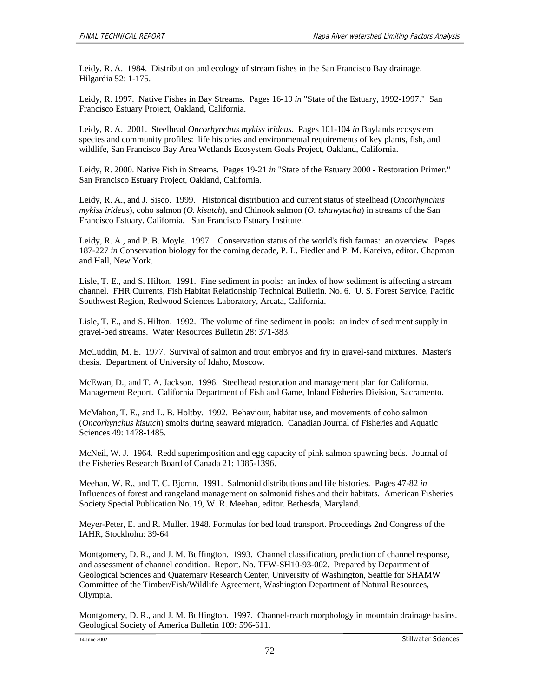Leidy, R. A. 1984. Distribution and ecology of stream fishes in the San Francisco Bay drainage. Hilgardia 52: 1-175.

Leidy, R. 1997. Native Fishes in Bay Streams. Pages 16-19 *in* "State of the Estuary, 1992-1997." San Francisco Estuary Project, Oakland, California.

Leidy, R. A. 2001. Steelhead *Oncorhynchus mykiss irideus*. Pages 101-104 *in* Baylands ecosystem species and community profiles: life histories and environmental requirements of key plants, fish, and wildlife*,* San Francisco Bay Area Wetlands Ecosystem Goals Project, Oakland, California.

Leidy, R. 2000. Native Fish in Streams. Pages 19-21 *in* "State of the Estuary 2000 - Restoration Primer." San Francisco Estuary Project, Oakland, California.

Leidy, R. A., and J. Sisco. 1999. Historical distribution and current status of steelhead (*Oncorhynchus mykiss irideus*), coho salmon (*O. kisutch*), and Chinook salmon (*O. tshawytscha*) in streams of the San Francisco Estuary, California. San Francisco Estuary Institute.

Leidy, R. A., and P. B. Moyle. 1997. Conservation status of the world's fish faunas: an overview. Pages 187-227 *in* Conservation biology for the coming decade*,* P. L. Fiedler and P. M. Kareiva, editor. Chapman and Hall, New York.

Lisle, T. E., and S. Hilton. 1991. Fine sediment in pools: an index of how sediment is affecting a stream channel. FHR Currents, Fish Habitat Relationship Technical Bulletin. No. 6. U. S. Forest Service, Pacific Southwest Region, Redwood Sciences Laboratory, Arcata, California.

Lisle, T. E., and S. Hilton. 1992. The volume of fine sediment in pools: an index of sediment supply in gravel-bed streams. Water Resources Bulletin 28: 371-383.

McCuddin, M. E. 1977. Survival of salmon and trout embryos and fry in gravel-sand mixtures. Master's thesis. Department of University of Idaho, Moscow.

McEwan, D., and T. A. Jackson. 1996. Steelhead restoration and management plan for California. Management Report. California Department of Fish and Game, Inland Fisheries Division, Sacramento.

McMahon, T. E., and L. B. Holtby. 1992. Behaviour, habitat use, and movements of coho salmon (*Oncorhynchus kisutch*) smolts during seaward migration. Canadian Journal of Fisheries and Aquatic Sciences 49: 1478-1485.

McNeil, W. J. 1964. Redd superimposition and egg capacity of pink salmon spawning beds. Journal of the Fisheries Research Board of Canada 21: 1385-1396.

Meehan, W. R., and T. C. Bjornn. 1991. Salmonid distributions and life histories. Pages 47-82 *in*  Influences of forest and rangeland management on salmonid fishes and their habitats. American Fisheries Society Special Publication No. 19*,* W. R. Meehan, editor. Bethesda, Maryland.

Meyer-Peter, E. and R. Muller. 1948. Formulas for bed load transport. Proceedings 2nd Congress of the IAHR, Stockholm: 39-64

Montgomery, D. R., and J. M. Buffington. 1993. Channel classification, prediction of channel response, and assessment of channel condition. Report. No. TFW-SH10-93-002. Prepared by Department of Geological Sciences and Quaternary Research Center, University of Washington, Seattle for SHAMW Committee of the Timber/Fish/Wildlife Agreement, Washington Department of Natural Resources, Olympia.

Montgomery, D. R., and J. M. Buffington. 1997. Channel-reach morphology in mountain drainage basins. Geological Society of America Bulletin 109: 596-611.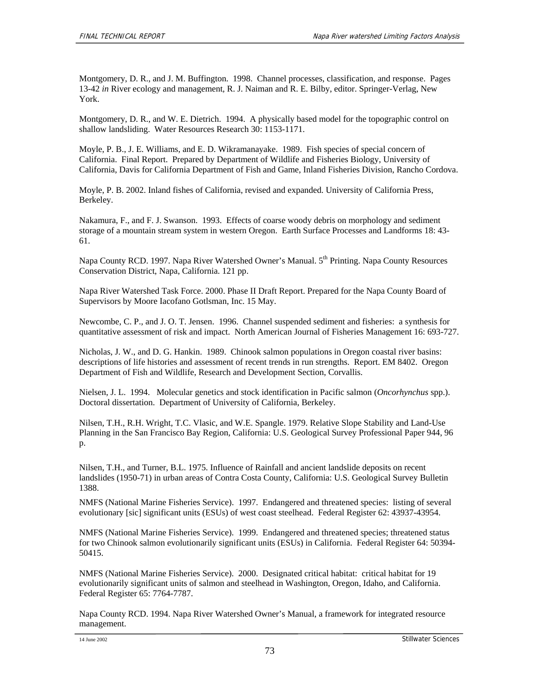Montgomery, D. R., and J. M. Buffington. 1998. Channel processes, classification, and response. Pages 13-42 *in* River ecology and management*,* R. J. Naiman and R. E. Bilby, editor. Springer-Verlag, New York.

Montgomery, D. R., and W. E. Dietrich. 1994. A physically based model for the topographic control on shallow landsliding. Water Resources Research 30: 1153-1171.

Moyle, P. B., J. E. Williams, and E. D. Wikramanayake. 1989. Fish species of special concern of California. Final Report. Prepared by Department of Wildlife and Fisheries Biology, University of California, Davis for California Department of Fish and Game, Inland Fisheries Division, Rancho Cordova.

Moyle, P. B. 2002. Inland fishes of California, revised and expanded. University of California Press, Berkeley.

Nakamura, F., and F. J. Swanson. 1993. Effects of coarse woody debris on morphology and sediment storage of a mountain stream system in western Oregon. Earth Surface Processes and Landforms 18: 43- 61.

Napa County RCD. 1997. Napa River Watershed Owner's Manual. 5<sup>th</sup> Printing. Napa County Resources Conservation District, Napa, California. 121 pp.

Napa River Watershed Task Force. 2000. Phase II Draft Report. Prepared for the Napa County Board of Supervisors by Moore Iacofano Gotlsman, Inc. 15 May.

Newcombe, C. P., and J. O. T. Jensen. 1996. Channel suspended sediment and fisheries: a synthesis for quantitative assessment of risk and impact. North American Journal of Fisheries Management 16: 693-727.

Nicholas, J. W., and D. G. Hankin. 1989. Chinook salmon populations in Oregon coastal river basins: descriptions of life histories and assessment of recent trends in run strengths. Report. EM 8402. Oregon Department of Fish and Wildlife, Research and Development Section, Corvallis.

Nielsen, J. L. 1994. Molecular genetics and stock identification in Pacific salmon (*Oncorhynchus* spp.). Doctoral dissertation. Department of University of California, Berkeley.

Nilsen, T.H., R.H. Wright, T.C. Vlasic, and W.E. Spangle. 1979. Relative Slope Stability and Land-Use Planning in the San Francisco Bay Region, California: U.S. Geological Survey Professional Paper 944, 96 p.

Nilsen, T.H., and Turner, B.L. 1975. Influence of Rainfall and ancient landslide deposits on recent landslides (1950-71) in urban areas of Contra Costa County, California: U.S. Geological Survey Bulletin 1388.

NMFS (National Marine Fisheries Service). 1997. Endangered and threatened species: listing of several evolutionary [sic] significant units (ESUs) of west coast steelhead. Federal Register 62: 43937-43954.

NMFS (National Marine Fisheries Service). 1999. Endangered and threatened species; threatened status for two Chinook salmon evolutionarily significant units (ESUs) in California. Federal Register 64: 50394- 50415.

NMFS (National Marine Fisheries Service). 2000. Designated critical habitat: critical habitat for 19 evolutionarily significant units of salmon and steelhead in Washington, Oregon, Idaho, and California. Federal Register 65: 7764-7787.

Napa County RCD. 1994. Napa River Watershed Owner's Manual, a framework for integrated resource management.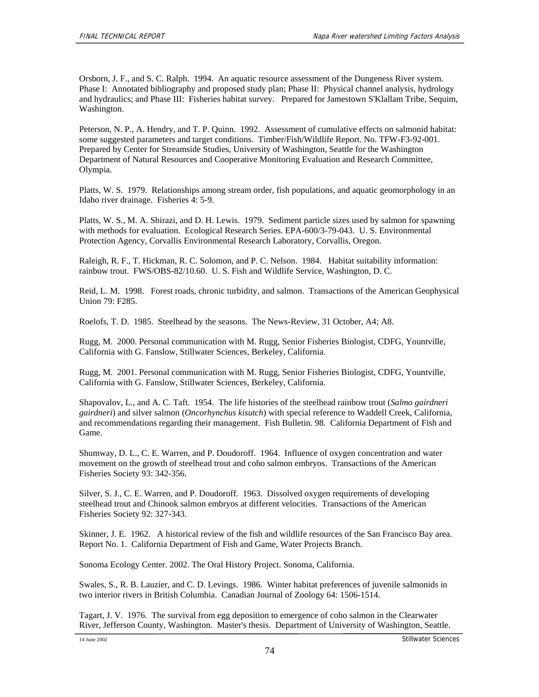Orsborn, J. F., and S. C. Ralph. 1994. An aquatic resource assessment of the Dungeness River system. Phase I: Annotated bibliography and proposed study plan; Phase II: Physical channel analysis, hydrology and hydraulics; and Phase III: Fisheries habitat survey. Prepared for Jamestown S'Klallam Tribe, Sequim, Washington.

Peterson, N. P., A. Hendry, and T. P. Quinn. 1992. Assessment of cumulative effects on salmonid habitat: some suggested parameters and target conditions. Timber/Fish/Wildlife Report. No. TFW-F3-92-001. Prepared by Center for Streamside Studies, University of Washington, Seattle for the Washington Department of Natural Resources and Cooperative Monitoring Evaluation and Research Committee, Olympia.

Platts, W. S. 1979. Relationships among stream order, fish populations, and aquatic geomorphology in an Idaho river drainage. Fisheries 4: 5-9.

Platts, W. S., M. A. Shirazi, and D. H. Lewis. 1979. Sediment particle sizes used by salmon for spawning with methods for evaluation. Ecological Research Series. EPA-600/3-79-043. U. S. Environmental Protection Agency, Corvallis Environmental Research Laboratory, Corvallis, Oregon.

Raleigh, R. F., T. Hickman, R. C. Solomon, and P. C. Nelson. 1984. Habitat suitability information: rainbow trout. FWS/OBS-82/10.60. U. S. Fish and Wildlife Service, Washington, D. C.

Reid, L. M. 1998. Forest roads, chronic turbidity, and salmon. Transactions of the American Geophysical Union 79: F285.

Roelofs, T. D. 1985. Steelhead by the seasons. The News-Review, 31 October, A4; A8.

Rugg, M. 2000. Personal communication with M. Rugg, Senior Fisheries Biologist, CDFG, Yountville, California with G. Fanslow, Stillwater Sciences, Berkeley, California.

Rugg, M. 2001. Personal communication with M. Rugg, Senior Fisheries Biologist, CDFG, Yountville, California with G. Fanslow, Stillwater Sciences, Berkeley, California.

Shapovalov, L., and A. C. Taft. 1954. The life histories of the steelhead rainbow trout (*Salmo gairdneri gairdneri*) and silver salmon (*Oncorhynchus kisutch*) with special reference to Waddell Creek, California, and recommendations regarding their management. Fish Bulletin. 98. California Department of Fish and Game.

Shumway, D. L., C. E. Warren, and P. Doudoroff. 1964. Influence of oxygen concentration and water movement on the growth of steelhead trout and coho salmon embryos. Transactions of the American Fisheries Society 93: 342-356.

Silver, S. J., C. E. Warren, and P. Doudoroff. 1963. Dissolved oxygen requirements of developing steelhead trout and Chinook salmon embryos at different velocities. Transactions of the American Fisheries Society 92: 327-343.

Skinner, J. E. 1962. A historical review of the fish and wildlife resources of the San Francisco Bay area. Report No. 1. California Department of Fish and Game, Water Projects Branch.

Sonoma Ecology Center. 2002. The Oral History Project. Sonoma, California.

Swales, S., R. B. Lauzier, and C. D. Levings. 1986. Winter habitat preferences of juvenile salmonids in two interior rivers in British Columbia. Canadian Journal of Zoology 64: 1506-1514.

Tagart, J. V. 1976. The survival from egg deposition to emergence of coho salmon in the Clearwater River, Jefferson County, Washington. Master's thesis. Department of University of Washington, Seattle.